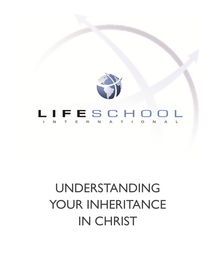

# UNDERSTANDING YOUR INHERITANCE IN CHRIST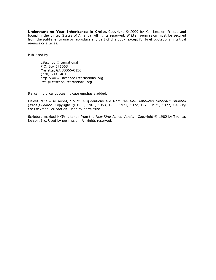Understanding Your Inheritance in Christ. Copyright © 2009 by Ken Kessler. Printed and bound in the United States of America. All rights reserved. Written permission must be secured from the publisher to use or reproduce any part of this book, except for brief quotations in critical reviews or articles.

Published by:

Lifeschool International P.O. Box 671063 Marietta, GA 30066-0136 (770) 509-1481 http://www.LifeschoolInternational.org info@Lifeschoolinternational.org

Italics in biblical quotes indicate emphasis added.

Unless otherwise noted, Scripture quotations are from the New American Standard Updated (NASU) Edition. Copyright © 1960, 1962, 1963, 1968, 1971, 1972, 1973, 1975, 1977, 1995 by the Lockman Foundation. Used by permission.

Scripture marked NKJV is taken from the New King James Version. Copyright © 1982 by Thomas Nelson, Inc. Used by permission. All rights reserved.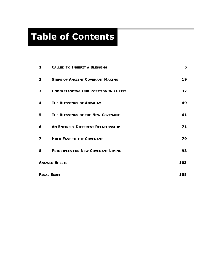# Table of Contents

| 1                        | <b>CALLED TO INHERIT A BLESSING</b>         | 5   |
|--------------------------|---------------------------------------------|-----|
| $\overline{2}$           | <b>STEPS OF ANCIENT COVENANT MAKING</b>     | 19  |
| 3                        | <b>UNDERSTANDING OUR POSITION IN CHRIST</b> | 37  |
| 4                        | <b>THE BLESSINGS OF ABRAHAM</b>             | 49  |
| 5                        | THE BLESSINGS OF THE NEW COVENANT           | 61  |
| 6                        | <b>AN ENTIRELY DIFFERENT RELATIONSHIP</b>   | 71  |
| 7                        | <b>HOLD FAST TO THE COVENANT</b>            | 79  |
| 8                        | <b>PRINCIPLES FOR NEW COVENANT LIVING</b>   | 93  |
| <b>ANSWER SHEETS</b>     |                                             | 103 |
| 105<br><b>FINAL EXAM</b> |                                             |     |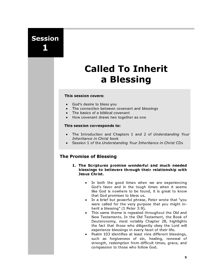# Session 1

# Called To Inherit a Blessing

#### This session covers:

- God's desire to bless you
- The connection between covenant and blessings
- The basics of a biblical covenant
- How covenant draws two together as one

#### This session corresponds to:

- The Introduction and Chapters 1 and 2 of Understanding Your Inheritance in Christ book
- Session 1 of the Understanding Your Inheritance in Christ CDs

### The Promise of Blessing

- 1. The Scriptures promise wonderful and much needed blessings to believers through their relationship with Jesus Christ.
	- In both the good times when we are experiencing God's favor and in the tough times when it seems like God is nowhere to be found, it is great to know that God promises to bless us.
	- In a brief but powerful phrase, Peter wrote that "you were called for the very purpose that you might inherit a blessing" (1 Peter 3:9).
	- This same theme is repeated throughout the Old and New Testaments. In the Old Testament, the Book of Deuteronomy, most notably Chapter 28, highlights the fact that those who diligently obey the Lord will experience blessings in every facet of their life.
	- Psalm 103 identifies at least nine different blessings, such as forgiveness of sin, healing, renewal of strength, redemption from difficult times, grace, and compassion to those who follow God.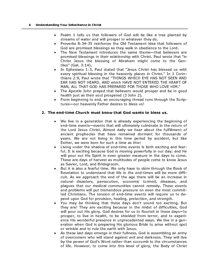- Psalm 1 tells us that followers of God will be like a tree planted by streams of water and will prosper in whatever they do.
- Proverbs 8:34-35 reinforces the Old Testament idea that followers of God are promised blessings as they walk in obedience to the Lord.
- The New Testament introduces the same theme-that believers are promised blessings in their relationship with Christ. Paul wrote that "in Christ Jesus the blessing of Abraham might come to the Gentiles" (Gal. 3:14).
- In Ephesians 1:3, Paul stated that "Jesus Christ has blessed us with every spiritual blessing in the heavenly places in Christ." In 1 Corinthians 2:9, Paul wrote that "THINGS WHICH EYE HAS NOT SEEN AND EAR HAS NOT HEARD, AND which HAVE NOT ENTERED THE HEART OF MAN, ALL THAT GOD HAS PREPARED FOR THOSE WHO LOVE HIM."
- The Apostle John prayed that believers would prosper and be in good health just as their soul prospered (3 John 2).
- From beginning to end, an encouraging thread runs through the Scriptures—our heavenly Father desires to bless us!

#### 2. The end-time Church must know that God wants to bless us.

- We live in a generation that is already experiencing the beginning of end-time events—events that will ultimately culminate in the return of the Lord Jesus Christ. Almost daily we hear about the fulfillment of ancient prophecies that have remained dormant for thousands of years. We are not living in this time period by accident, but like Esther, we were born for such a time as this!
- Living under the shadow of end-time events is both exciting and fearful. It is exciting because God is moving powerfully in our day; and He will pour out His Spirit in even greater measure in the days to come. These are days of harvest as multitudes of people come to know Jesus as Savior, Lord, and Bridegroom.
- But it is also a fearful time. We only have to skim through the Book of Revelation to understand that life in the end-times will be more difficult. As we approach the end of the age there will be an increase in natural disasters, persecution, economic turmoil, diseases, and plagues that our medical communities cannot remedy. These events and problems will put tremendous pressure on even the most committed Christians. The tension of end-time events will require us to depend upon God for provision, healing, protection, and strength.
- You may be thinking that these days don't sound too exciting. But they are! They are exciting because in the midst of difficulties, God will pour out His glory. God desires for us to flourish in these days—to prosper, to live in health, to be shielded from terror, and to experience His wonderful presence in unprecedented ways. We live in a generation when God is preparing His glorious Bride to arise without spot or wrinkle and to rule the earth with Jesus.
- As these last days emerge in their fullness, God is assembling an army of overcomers who will stand against evil and darkness. They will live by the power of God's Word rather than succumb to the circumstances of life. However, to come into this level of glory, the Body of Christ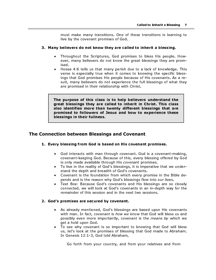must make many transitions. One of these transitions is learning to live by the covenant promises of God.

#### 3. Many believers do not know they are called to inherit a blessing.

- Throughout the Scriptures, God promises to bless His people. However, many believers do not know the great blessings they are promised.
- Hosea 4:6 tells us that many perish due to a lack of knowledge. This verse is especially true when it comes to knowing the specific blessings that God promises His people because of His covenants. As a result, many believers do not experience the full blessings of what they are promised in their relationship with Christ. Called to Inherit a Blessing<br>
I must make many transitions. One of these transitions is learning<br>
live by the covenant promises of God.<br> **ny believers do not know they are called to inherit a blessing.**<br>
• Throughout the S

great blessings they are called to inherit in Christ. This class also identifies more than twenty different blessings that are promised to followers of Jesus and how to experience these blessings in their fullness.

# The Connection between Blessings and Covenant

#### 1. Every blessing from God is based on His covenant promises.

- God interacts with man through covenant. God is a covenant-making, covenant-keeping God. Because of this, every blessing offered by God is only made available through His covenant promises.
- To live in the reality of God's blessings, it is imperative that we understand the depth and breadth of God's covenants.
- Covenant is the foundation from which every promise in the Bible depends and is the reason why God's blessings flow into our lives.
- Text Box: Because God's covenants and His blessings are so closely connected, we will look at God's covenants in an in-depth way for the remainder of this session and in the next two sessions.

#### 2. God's promises are secured by covenant.

- As already mentioned, God's blessings are based upon His covenants with man. In fact, covenant is how we know that God will bless us and possibly even more importantly, covenant is the means by which we get a hold upon God.
- To see why covenant is so important to knowing that God will bless us, let's look at the promises of blessing that God made to Abraham. In Genesis 12:1-3, God told Abraham,

Go forth from your country, and from your relatives and from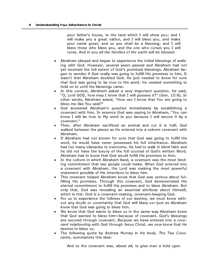your father's house, to the land which I will show you; and I will make you a great nation, and I will bless you, and make your name great; and so you shall be a blessing; and I will bless those who bless you, and the one who curses you I will curse. And in you all the families of the earth will be blessed.

- Abraham obeyed and began to experience the initial blessings of walking with God. However, several years passed and Abraham had not yet received the full extent of God's promised blessings. Abraham began to wonder if God really was going to fulfill His promises to him. It wasn't that Abraham doubted God. He just needed to know for sure that God was going to be true to His word. He needed something to hold on to until the blessings came.
- In this context, Abraham asked a very important question. He said, "O, Lord GOD, how may I know that I will possess it?" (Gen. 15:8). In other words, Abraham asked, "How can I know that You are going to bless me like You said?"
- God answered Abraham's question immediately by establishing a covenant with him. In essence God was saying to Abraham, "You can know I will be true to My word to you because I will secure it by a covenant."
- Then, after Abraham sacrificed an animal and cut it in half, God walked between the pieces as He entered into a solemn covenant with Abraham.
- If Abraham had not known for sure that God was going to fulfill His word, he would have never possessed his full inheritance. Abraham had too many obstacles to overcome. He had to walk in blind faith and he did not have the luxury of the full counsel of God's written Word. Abraham had to know that God would fulfill His promises to Him.
- In the culture in which Abraham lived, a covenant was the most binding commitment that two people could make. When God entered into a covenant with Abraham, the Lord was making the most powerful statement possible of His intentions to bless him.
- This covenant helped Abraham know that God was serious about fulfilling His promises. Through this covenant, God demonstrated His eternal commitment to fulfill His promises and to bless Abraham. Not only that, God was revealing an essential attribute about Himself, which is this: God is a covenant-making, covenant-keeping God.
- For us to experience the fullness of our destiny, we must know without any doubt or uncertainty that God will bless us—just as Abraham knew that God was going to bless him.
- We know that God wants to bless us in the same way Abraham knew that God wanted to bless him—because of covenant. God's blessings are secured through covenant. Because we have entered into a covenant relationship with God through Jesus Christ, we now know that He desires to bless us.
- The following quote by Andrew Murray in his book, The Two Covenants, summarizes this idea:

And so the covenant was, above all, to give man a hold upon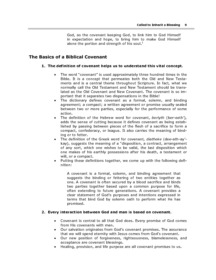God, as the covenant keeping God, to link him to God Himself in expectation and hope, to bring him to make God Himself alone the portion and strength of his soul.<sup>1</sup>

# The Basics of a Biblical Covenant

#### 1. The definition of covenant helps us to understand this vital concept.

- The word "covenant" is used approximately three hundred times in the Bible. It is a concept that permeates both the Old and New Testaments and is a central theme throughout Scripture. In fact, what we normally call the Old Testament and New Testament should be translated as the Old Covenant and New Covenant. The covenant is so important that it separates two dispensations in the Bible!
- The dictionary defines covenant as a formal, solemn, and binding agreement; a compact; a written agreement or promise usually sealed between two or more parties, especially for the performance of some action.
- The definition of the Hebrew word for covenant, beriyth (ber-eeth'), adds the sense of cutting because it defines covenant as being established by passing between pieces of the flesh of a sacrifice to form a compact, confederacy, or league. It also carries the meaning of binding or to fetter.
- The definition of the Greek word for covenant, *diatheke* (dee-ath-ay'kay), suggests the meaning of a "disposition, a contract, arrangement of any sort, which one wishes to be valid, the last disposition which one makes of his earthly possessions after his death, a testament or will, or a compact.
- Putting these definitions together, we come up with the following definition:

A covenant is a formal, solemn, and binding agreement that suggests the binding or fettering of two entities together as one. A covenant is often secured by a blood sacrifice and binds two parties together based upon a common purpose for life, often extending to future generations. A covenant provides a clear statement of God's purposes and intentions expressed in terms that bind God by solemn oath to perform what He has promised.

#### 2. Every interaction between God and man is based on covenant.

- Covenant is central to all that God does. Every promise of God comes from His covenants with man.
- Our salvation originates from God's covenant promises. The assurance that we will spend eternity with Jesus comes from God's covenant.
- Our new position of forgiveness, righteousness, blamelessness, and acceptance are covenant blessings.
- Healing, provision, and life purpose are all covenant promises to us.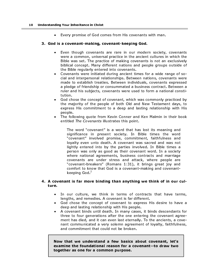• Every promise of God comes from His covenants with man.

#### 3. God is a covenant-making, covenant-keeping God.

- Even though covenants are rare in our modern society, covenants were a common, universal practice in the ancient cultures in which the Bible was set. The practice of making covenants is not an exclusively biblical concept. Many different nations and people groups outside of the Bible regularly entered into covenants.
- Covenants were initiated during ancient times for a wide range of social and interpersonal relationships. Between nations, covenants were made to establish treaties. Between individuals, covenants expressed a pledge of friendship or consummated a business contract. Between a ruler and his subjects, covenants were used to form a national constitution.
- God chose the concept of covenant, which was commonly practiced by the majority of the people of both Old and New Testament days, to express His commitment to a deep and lasting relationship with His people.
- The following quote from Kevin Conner and Ken Malmin in their book entitled The Covenants illustrates this point.

The word "covenant" is a word that has lost its meaning and significance in present society. In Bible times the word "covenant" involved promise, commitment, faithfulness and loyalty even unto death. A covenant was sacred and was not lightly entered into by the parties involved. In Bible times a person was only as good as their covenant word. In a society where national agreements, business contracts and marriage covenants are under stress and attack, where people are "covenant-breakers" (Romans 1:31), it brings great joy and comfort to know that God is a covenant-making and covenantkeeping God.<sup>2</sup>

#### 4. A covenant is far more binding than anything we think of in our culture.

- In our culture, we think in terms of contracts that have terms, lengths, and remedies. A covenant is far different.
- God chose the concept of covenant to express His desire to have a deep and lasting relationship with His people.
- A covenant binds until death. In many cases, it binds descendants for three to four generations after the one entering the covenant agreement has died, and it can even last eternally. To the ancients, a covenant communicated a very solemn agreement of loyalty, faithfulness, and commitment that could not be broken.

#### Now that we understand a few basics about covenant, let's examine the foundational reason for a covenant—to draw two together as one for a common purpose.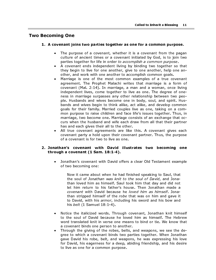## Two Becoming One

#### 1. A covenant joins two parties together as one for a common purpose.

- The purpose of a covenant, whether it is a covenant from the pagan culture of ancient times or a covenant initiated by God, is to join two parties together for life in order to accomplish a common purpose.
- A covenant ends independent living by binding two together so that they begin to live for one another, give to one another, help one another, and work with one another to accomplish common goals.
- Marriage is one of the most common examples of a true covenant agreement. The Prophet Malachi writes that marriage is a form of covenant (Mal. 2:14). In marriage, a man and a woman, once living independent lives, come together to live as one. The degree of oneness in marriage surpasses any other relationship between two people. Husbands and wives become one in body, soul, and spirit. Husbands and wives begin to think alike, act alike, and develop common goals for their family. Married couples live as one, taking on a common purpose to raise children and face life's issues together. Thus, in marriage, two become one. Marriage consists of an exchange that occurs when the husband and wife each draw from all that their partner has and each gives their all to the other.
- All true covenant agreements are like this. A covenant gives each covenant party a hold upon their covenant partner. Thus, the purpose of a covenant is for two to live as one.

#### 2. Jonathan's covenant with David illustrates two becoming one through a covenant (1 Sam. 18:1-4).

• Jonathan's covenant with David offers a clear Old Testament example of two becoming one:

Now it came about when he had finished speaking to Saul, that the soul of Jonathan was knit to the soul of David, and Jonathan loved him as himself. Saul took him that day and did not let him return to his father's house. Then Jonathan made a covenant with David because he loved him as himself. Jonathan stripped himself of the robe that was on him and gave it to David, with his armor, including his sword and his bow and his belt (1 Samuel 18:1-4).

- Notice the italicized words. Through covenant, Jonathan knit himself to the soul of David because he loved him as himself. The Hebrew word translated knit in verse one means to bind or tie. We know that a covenant binds one person to another.
- Through the giving of the robes, belts, and weapons, we see the degree to which a covenant binds two parties together. When Jonathan gave David his robe, belt, and weapons, he was expressing his love for David, his eagerness for a deep, abiding friendship, and his desire to live as one for a common purpose.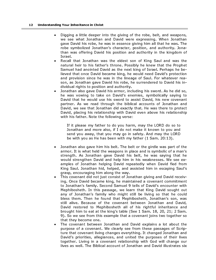- Digging a little deeper into the giving of the robe, belt, and weapons, we see what Jonathan and David were expressing. When Jonathan gave David his robe, he was in essence giving him all that he was. The robe symbolized Jonathan's character, position, and authority. Jonathan was offering David his position and authority in the kingdom of Israel.
- Recall that Jonathan was the eldest son of King Saul and was the natural heir to his father's throne. Possibly he knew that the Prophet Samuel had anointed David as the next king of Israel. Perhaps he believed that once David became king, he would need David's protection and provision since he was in the lineage of Saul. For whatever reason, as Jonathan gave David his robe, he surrendered to David his individual rights to position and authority.
- Jonathan also gave David his armor, including his sword. As he did so, he was vowing to take on David's enemies, symbolically saying to David that he would use his sword to assist David, his new covenant partner. As we read through the biblical accounts of Jonathan and David, we see that Jonathan did exactly that. He was there to protect David, placing his relationship with David even above his relationship with his father. Note the following verse:

If it please my father to do you harm, may the LORD do so to Jonathan and more also, if I do not make it known to you and send you away, that you may go in safety. And may the LORD be with you as He has been with my father (1 Sam. 20:13).

- Jonathan also gave him his belt. The belt or the girdle was part of the armor. It is what held the weapons in place and is symbolic of a man's strength. As Jonathan gave David his belt, he was saying that he would strengthen David and help him in his weaknesses. We see examples of Jonathan helping David repeatedly when David fled from King Saul. Jonathan hid, helped, and assisted him in escaping Saul's grasp, encouraging him along the way.
- This covenant did not just consist of Jonathan giving and David receiving. Once David became king, he maintained a covenant commitment to Jonathan's family. Second Samuel 9 tells of David's encounter with Mephibosheth. In this passage, we learn that King David sought out any of Jonathan's family who might still be living so that he could bless them. Then he found that Mephibosheth, Jonathan's son, was still alive. Because of the covenant between Jonathan and David, David restored to Mephibosheth all of his rightful inheritance and brought him to eat at the king's table (See 1 Sam. 18, 20, 21; 2 Sam. 9). So we see from this example that a covenant joins two together so that they become one.
- The covenant between Jonathan and David explains a lot about the purpose of a covenant. We clearly see from these passages of Scripture that covenant living changes everything. It changed Jonathan and David's priorities, allegiances, and united the purposes of their lives together. Living in a covenant relationship with God will change our lives as well. The Biblical account of Jonathan and David illustrates six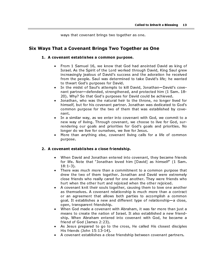ways that covenant brings two together as one.

# Six Ways That a Covenant Brings Two Together as One

#### 1. A covenant establishes a common purpose.

- From 1 Samuel 16, we know that God had anointed David as king of Israel. As the Spirit of the Lord worked through David, King Saul grew increasingly jealous of David's success and the adoration he received from the people. Saul was determined to take David's life; he wanted to thwart God's purposes for David.
- In the midst of Saul's attempts to kill David, Jonathan—David's covenant partner—defended, strengthened, and protected him (1 Sam. 18- 20). Why? So that God's purposes for David could be achieved.
- Jonathan, who was the natural heir to the throne, no longer lived for himself, but for his covenant partner. Jonathan was dedicated to God's common purpose for the two of them that was established by covenant.
- In a similar way, as we enter into covenant with God, we commit to a new way of living. Through covenant, we choose to live for God, surrendering our goals and priorities for God's goals and priorities. No longer do we live for ourselves, we live for Jesus.
- More than anything else, covenant living calls for a life of common purpose.

### 2. A covenant establishes a close friendship.

- When David and Jonathan entered into covenant, they became friends for life. Note that "Jonathan loved him [David] as himself" (1 Sam. 18:1-3).
- There was much more than a commitment to a common purpose that drew the two of them together. Jonathan and David were extremely close friends who really cared for one another. They were friends who hurt when the other hurt and rejoiced when the other rejoiced.
- A covenant knit their souls together, causing them to love one another as themselves. A covenant relationship is much more than a contract or an agreement that allows both parties to accomplish a common goal. It establishes a new and different type of relationship—a close, open, transparent friendship.
- When God made a covenant with Abraham, it was far more than just a means to create the nation of Israel. It also established a new friendship. When Abraham entered into covenant with God, he became a friend of God (James 2:23).
- As Jesus prepared to go to the cross, He called His closest disciples His friends (John 15:13-14).
- A covenant establishes a close friendship between covenant partners.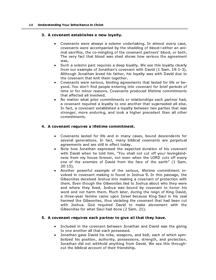#### 3. A covenant establishes a new loyalty.

- Covenants were always a solemn undertaking. In almost every case, covenants were accompanied by the shedding of blood—either an animal sacrifice, the co-mingling of the covenant partners' blood, or both. The very fact that blood was shed shows how serious the agreement was.
- Such a solemn pact requires a deep loyalty. We see this loyalty clearly from our example of Jonathan's covenant with David (1 Sam. 19:1-3). Although Jonathan loved his father, his loyalty was with David due to the covenant that knit them together.
- Covenants were serious, binding agreements that lasted for life or beyond. You don't find people entering into covenant for brief periods of time or for minor reasons. Covenants produced lifetime commitments that affected all involved.
- No matter what prior commitments or relationships each partner had, a covenant required a loyalty to one another that superseded all else. In fact, a covenant established a loyalty between two parties that was stronger, more enduring, and took a higher precedent than all other commitments.

#### 4. A covenant requires a lifetime commitment.

- Covenants lasted for life and in many cases, bound descendents for several generations. In fact, many biblical covenants are perpetual agreements and are still in effect today.
- Note how Jonathan expressed the expected duration of his covenant with David when he told him, "You shall not cut off your lovingkindness from my house forever, not even when the LORD cuts off every one of the enemies of David from the face of the earth" (1 Sam. 20:15).
- Another powerful example of the serious, lifetime commitment involved in covenant making is found in Joshua 9. In this passage, the Gibeonites deceived Joshua into making a covenant of protection with them. Even though the Gibeonites lied to Joshua about who they were and where they lived, Joshua was bound by covenant to honor his word and not harm them. Much later, during the reign of King David, a three-year famine came upon Israel because King Saul in his zeal harmed the Gibeonites, thus violating the covenant that had been cut with Joshua. God required David to make atonement with the Gibeonites for what Saul had done (2 Sam. 21).

#### 5. A covenant requires each partner to give all that they have.

- Included in the covenant between Jonathan and David was the giving to one another all that each possessed.
- Jonathan gave David his robe, weapons, and belt, each of which symbolized his position, authority, possessions, strength, and protection. Jonathan did not withhold anything from David. We see this throughout the biblical account of their friendship.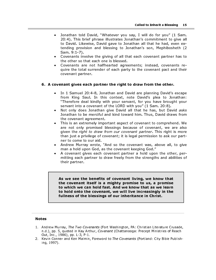- Jonathan told David, "Whatever you say, I will do for you" (1 Sam. 20:4). This brief phrase illustrates Jonathan's commitment to give all to David. Likewise, David gave to Jonathan all that he had, even extending provision and blessing to Jonathan's son, Mephibosheth (2 Sam. 9:1-7). Called to Inherit a Blessing<br>
2014). This brief phrase illustrates Jonathan's commitment to givid<br>
2014). This brief phrase illustrates Jonathan's commitment to givid<br>
to David. Likewise, David gave to Jonathan's commitmen
- Covenants involve the giving of all that each covenant partner has to the other so that each one is blessed.
- Covenants are not halfhearted agreements; instead, covenants require the total surrender of each party to the covenant pact and their covenant partner.

#### 6. A covenant gives each partner the right to draw from the other.

- In 1 Samuel 20:4-8, Jonathan and David are planning David's escape from King Saul. In this context, note David's plea to Jonathan: "Therefore deal kindly with your servant, for you have brought your servant into a covenant of the LORD with you" (1 Sam. 20:8).
- Not only does Jonathan give David all that he has, but David asks Jonathan to be merciful and kind toward him. Thus, David draws from the covenant agreement.
- This is an extremely important aspect of covenant to comprehend. We are not only promised blessings because of covenant, we are also given the right to draw from our covenant partner. This right is more than just a privilege of covenant; it is legal permission to ask our partner to come to our aid.
- Andrew Murray wrote, "And so the covenant was, above all, to give man a hold upon God, as the covenant keeping God."
- A covenant gives each covenant partner a hold upon the other, permitting each partner to draw freely from the strengths and abilities of their partner.

the covenant itself is a mighty promise to us, a promise to which we can hold fast. And we know that as we learn to hold onto the covenant, we will live increasingly in the fullness of the blessings of our inheritance in Christ.

#### Notes

- 1. Andrew Murray, The Two Covenants (Fort Washington, PA: Christian Literature Crusade, n.d.), pp. 5, quoted in Kay Arthur, Covenant (Chattanooga: Precept Ministries of Reach Out, Inc., 1986), pp. L-3, P-1.
- 2. Kevin Conner and Ken Malmin, Foreword to The Covenants (Portland: City Bible Publishing, 1997).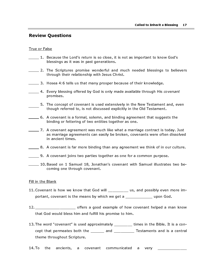# Review Questions

#### True or False

- 1. Because the Lord's return is so close, it is not as important to know God's blessings as it was in past generations.
- 2. The Scriptures promise wonderful and much needed blessings to believers through their relationship with Jesus Christ.
- 3. Hosea 4:6 tells us that many prosper because of their knowledge.
- 4. Every blessing offered by God is only made available through His covenant promises.
- 5. The concept of covenant is used extensively in the New Testament and, even though referred to, is not discussed explicitly in the Old Testament.
- 6. A covenant is a formal, solemn, and binding agreement that suggests the binding or fettering of two entities together as one.
- 7. A covenant agreement was much like what a marriage contract is today. Just as marriage agreements can easily be broken, covenants were often dissolved in ancient times.
- 8. A covenant is far more binding than any agreement we think of in our culture.
- 9. A covenant joins two parties together as one for a common purpose.
- 10. Based on 1 Samuel 18, Jonathan's covenant with Samuel illustrates two becoming one through covenant.

#### Fill in the Blank

- 11. Covenant is how we know that God will \_\_\_\_\_\_\_\_ us, and possibly even more important, covenant is the means by which we get a \_\_\_\_\_\_\_\_\_\_\_\_\_ upon God.
- 12. \_\_\_\_\_\_\_\_\_\_\_\_\_\_\_\_\_\_ offers a good example of how covenant helped a man know that God would bless him and fulfill his promise to him.
- 13. The word "covenant" is used approximately \_\_\_\_\_\_\_\_ times in the Bible. It is a concept that permeates both the \_\_\_\_\_\_ and \_\_\_\_\_\_\_\_\_ Testaments and is a central theme throughout Scripture.
- 14. To the ancients, a covenant communicated a very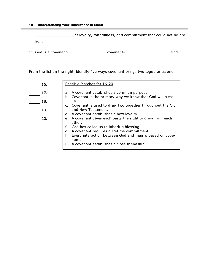#### 18 Understanding Your Inheritance in Christ

 $\mathsf{l}$ 

\_\_\_\_\_\_\_\_\_\_\_\_\_\_\_\_\_ of loyalty, faithfulness, and commitment that could not be broken.

15. God is a covenant-\_\_\_\_\_\_\_\_\_\_\_\_\_\_\_\_\_\_\_, covenant-\_\_\_\_\_\_\_\_\_\_\_\_\_\_\_\_\_\_\_\_\_\_\_\_\_\_\_God.

From the list on the right, identify five ways covenant brings two together as one.

| 16.             | Possible Matches for 16-20                                                                                |
|-----------------|-----------------------------------------------------------------------------------------------------------|
| 17 <sub>1</sub> | a. A covenant establishes a common purpose.<br>b. Covenant is the primary way we know that God will bless |
| 18.             | us.                                                                                                       |
| 19.             | c. Covenant is used to draw two together throughout the Old<br>and New Testament.                         |
|                 | d. A covenant establishes a new loyalty.                                                                  |
| 20.             | e. A covenant gives each party the right to draw from each<br>other.                                      |
|                 | f. God has called us to inherit a blessing.                                                               |
|                 | A covenant requires a lifetime commitment.<br>q.                                                          |
|                 | Every interaction between God and man is based on cove-<br>h.<br>nant.                                    |
|                 | A covenant establishes a close friendship.                                                                |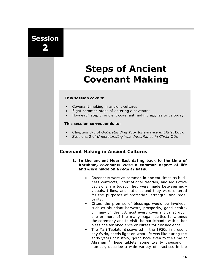Session 2

# Steps of Ancient Covenant Making

#### This session covers:

- Covenant making in ancient cultures
- Eight common steps of entering a covenant
- How each step of ancient covenant making applies to us today

#### This session corresponds to:

- Chapters 3-5 of Understanding Your Inheritance in Christ book
- Sessions 2 of Understanding Your Inheritance in Christ CDs

# Covenant Making in Ancient Cultures

- 1. In the ancient Near East dating back to the time of Abraham, covenants were a common aspect of life and were made on a regular basis.
	- Covenants were as common in ancient times as business contracts, international treaties, and legislative decisions are today. They were made between individuals, tribes, and nations, and they were entered for the purposes of protection, strength, and prosperity.
	- Often, the promise of blessings would be involved, such as abundant harvests, prosperity, good health, or many children. Almost every covenant called upon one or more of the many pagan deities to witness the ceremony and to visit the participants with either blessings for obedience or curses for disobedience.
	- The Mari Tablets, discovered in the 1930s in present day Syria, sheds light on what life was like during the early years of history, going back even to the time of Abraham.<sup>1</sup> These tablets, some twenty thousand in number, describe a wide variety of practices in the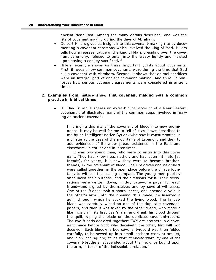ancient Near East. Among the many details described, one was the rite of covenant making during the days of Abraham.

- Delbert Hillers gives us insight into this covenant-making rite by documenting a covenant ceremony which involved the king of Mari. Hillers tells how a representative of the king of Mari, presiding over the covenant ceremony, refused to enter into the treaty lightly and insisted upon having a donkey sacrificed.  $\frac{2}{3}$
- Hillers' example shows us three important points about covenants. First, it reveals how common covenants were during the time that God cut a covenant with Abraham. Second, it shows that animal sacrifices were an integral part of ancient-covenant making. And third, it reinforces how serious covenant agreements were considered in ancient times.

#### 2. Examples from history show that covenant making was a common practice in biblical times.

• H. Clay Trumbull shares an extra-biblical account of a Near Eastern covenant that illustrates many of the common steps involved in making an ancient covenant:

In bringing this rite of the covenant of blood into new prominence, it may be well for me to tell of it as it was described to me by an intelligent native Syrian, who saw it consummated in a village at the base of the mountains of Lebanon; and then to add evidences of its wide-spread existence in the East and elsewhere, in earlier and in later times.

It was two young men, who were to enter into this covenant. They had known each other, and had been intimate [as friends], for years; but now they were to become brotherfriends, in the covenant of blood. Their relatives and neighbors were called together, in the open place before the village fountain, to witness the sealing compact. The young men publicly announced their purpose, and their reasons for it. Their declarations were written down, in duplicate—one paper for each friend—and signed by themselves and by several witnesses. One of the friends took a sharp lancet, and opened a vein in the other's arm. Into the opening thus made, he inserted a quill, through which he sucked the living blood. The lancetblade was carefully wiped on one of the duplicate covenantpapers, and then it was taken by the other friend, who made a like incision in its first user's arm and drank his blood through the quill, wiping the blade on the duplicate covenant-record. The two friends declared together: "We are brothers in a covenant made before God: who deceiveth the other, him will God deceive." Each blood-marked covenant-record was then folded carefully, to be sewed up in a small leathern case, or amulet, about an inch square; to be worn thenceforward by one of the covenant-brothers, suspended about the neck, or bound upon the arm, in token of the indissoluble relation.<sup>3</sup>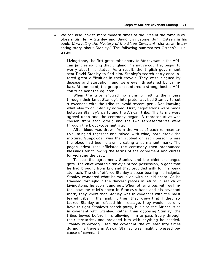We can also look to more modern times at the lives of the famous explorers Sir Henry Stanley and David Livingstone. John Osteen in his book, Unraveling the Mystery of the Blood Covenant, shares an interesting story about Stanley.<sup>4</sup> The following summarizes Osteen's illustration.

> Livingstone, the first great missionary to Africa, was in the African jungles so long that England, his native country, began to worry about his status. As a result, the English government sent David Stanley to find him. Stanley's search party encountered great difficulties in their travels. They were plagued by disease and starvation, and were even threatened by cannibals. At one point, the group encountered a strong, hostile African tribe near the equator.

> When the tribe showed no signs of letting them pass through their land, Stanley's interpreter advised Stanley to cut a covenant with the tribe to avoid severe peril. Not knowing what else to do, Stanley agreed. First, negotiations were made between Stanley's party and the African tribe. The terms were agreed upon and the ceremony began. A representative was chosen from each group and the two representatives went through the blood-covenant rite.

> After blood was drawn from the wrist of each representative, mingled together and mixed with wine, both drank the mixture. Gunpowder was then rubbed on each person where the blood had been drawn, creating a permanent mark. The pagan priest that officiated the ceremony then pronounced blessings for following the terms of the agreement and curses for violating the pact.

> To seal the agreement, Stanley and the chief exchanged gifts. The chief wanted Stanley's prized possession, a goat that he had brought from England that provided milk for his weak stomach. The chief offered Stanley a spear bearing his insignia. Stanley wondered what he would do with an old spear. As he traveled throughout the darkest places in Africa in search of Livingstone, he soon found out. When other tribes with evil intent saw the chief's spear in Stanley's hand and his covenant mark, they knew that Stanley was in covenant with the most feared tribe in the land. Further, they knew that if they attacked Stanley or refused him passage, they would not only have to fight Stanley's search party, but also the African tribe in covenant with Stanley. Rather than opposing Stanley, the tribes bowed before him, allowing him to pass freely through their territories, and provided him with anything he needed. Stanley reportedly used the covenant rite at least fifty times during his travels in Africa. Stanley was mightily blessed because of covenant!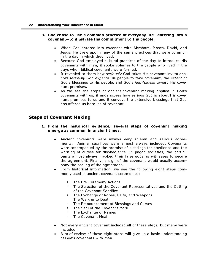#### 3. God chose to use a common practice of everyday life—entering into a covenant—to illustrate His commitment to His people.

- When God entered into covenant with Abraham, Moses, David, and Jesus, He drew upon many of the same practices that were common in the day in which they lived.
- Because God employed cultural practices of the day to introduce His covenants with man, it spoke volumes to the people who lived in the days when biblical covenants were formed.
- It revealed to them how seriously God takes His covenant invitations, how seriously God expects His people to take covenant, the extent of God's blessings to His people, and God's faithfulness toward His covenant promises.
- As we see the steps of ancient-covenant making applied in God's covenants with us, it underscores how serious God is about His covenant promises to us and it conveys the extensive blessings that God has offered us because of covenant.

# Steps of Covenant Making

#### 1. From the historical evidence, several steps of covenant making emerge as common in ancient times.

- Ancient covenants were always very solemn and serious agreements. Animal sacrifices were almost always included. Covenants were accompanied by the promise of blessings for obedience and the warning of curses for disobedience. In pagan societies, the participants almost always invoked their false gods as witnesses to secure the agreement. Finally, a sign of the covenant would usually accompany the sealing of the agreement.
- From historical information, we see the following eight steps commonly used in ancient covenant ceremonies:
	- **EXEC** The Pre-Ceremony Actions<br>**EXEC** The Selection of the Coven
	- The Selection of the Covenant Representatives and the Cutting of the Covenant Sacrifice
	- **The Exchange of Robes, Belts, and Weapons**<br>**The Walk unto Death**
	- **EXTRE** The Walk unto Death
	- **The Pronouncement of Blessings and Curses**<br> **The Seal of the Covenant Mark**
	- The Seal of the Covenant Mark<br>• The Exchange of Names
	- **Exchange of Names**<br>**EXPLA** Covenant Meal
	- The Covenant Meal
- Not every ancient covenant included all of these steps, but many were included.
- A brief review of these eight steps will give us a basic understanding of God's covenants with man.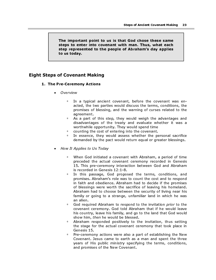The important point to us is that God chose these same steps to enter into covenant with man. Thus, what each step represented to the people of Abraham's day applies to us today.

## Eight Steps of Covenant Making

#### 1. The Pre-Ceremony Actions

- Overview
	- In a typical ancient covenant, before the covenant was enacted, the two parties would discuss the terms, conditions, the promises of blessing, and the warning of curses related to the agreement.
	- As a part of this step, they would weigh the advantages and disadvantages of the treaty and evaluate whether it was a worthwhile opportunity. They would spend time
	- **counting the cost of entering into the covenant.**<br>**E** In essence, they would assess whether the ne
	- In essence, they would assess whether the personal sacrifice demanded by the pact would return equal or greater blessings.
- How It Applies to Us Today
	- When God initiated a covenant with Abraham, a period of time preceded the actual covenant ceremony recorded in Genesis 15. This pre-ceremony interaction between God and Abraham is recorded in Genesis 12:1-8.
	- <sup>o</sup> In this passage, God proposed the terms, conditions, and promises. Abraham's role was to count the cost and to respond in faith and obedience. Abraham had to decide if the promises of blessings were worth the sacrifice of leaving his homeland. Abraham had to choose between the security of living near his family or going to a strange, unfamiliar land in which he was an alien.
	- <sup>o</sup> God required Abraham to respond to the invitation *prior* to the covenant ceremony. God told Abraham that if he would leave his country, leave his family, and go to the land that God would show him, then he would be blessed.
	- Abraham responded positively to the invitation, thus setting the stage for the actual covenant ceremony that took place in Genesis 15.
	- Pre-ceremony actions were also a part of establishing the New Covenant. Jesus came to earth as a man and spent the three years of His public ministry specifying the terms, conditions, and promises of the New Covenant.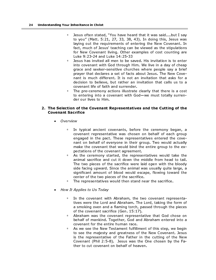- **Jesus often stated, "You have heard that it was said....but I say** to you" (Matt. 5:21, 27, 33, 38, 43). In doing this, Jesus was laying out the requirements of entering the New Covenant. In fact, much of Jesus' teaching can be viewed as the stipulations for New Covenant living. Other examples of cost counting are Luke 9:23-24 and Luke 14:25-33
- Jesus has invited all men to be saved. His invitation is to enter into covenant with God through Him. We live in a day of cheap grace and seeker-sensitive churches where people say a brief prayer that declares a set of facts about Jesus. The New Covenant is much different. It is not an invitation that asks for a decision to believe, but rather an invitation that calls us to a covenant life of faith and surrender.
- The pre-ceremony actions illustrate clearly that there is a cost to entering into a covenant with God—we must totally surrender our lives to Him.

#### 2. The Selection of the Covenant Representatives and the Cutting of the Covenant Sacrifice

- Overview
	- <sup>o</sup> In typical ancient covenants, before the ceremony began, a covenant representative was chosen on behalf of each group engaged in the pact. These representatives entered the covenant on behalf of everyone in their group. Two would actually make the covenant that would bind the entire group to the expectations of the covenant agreement.
	- **B** As the ceremony started, the representatives would take the animal sacrifice and cut it down the middle from head to tail. The two pieces of the sacrifice were laid open with the bloody side facing upward. Since the animal was usually quite large, a significant amount of blood would escape, flowing toward the center of the two pieces of the sacrifice.
	- The representatives would then stand near the sacrifice.
- How It Applies to Us Today
	- <sup>o</sup> In the covenant with Abraham, the two covenant representatives were the Lord and Abraham. The Lord, taking the form of a smoking oven and a flaming torch, passed through the pieces of the covenant sacrifice (Gen. 15:17).
	- Abraham was the covenant representative that God chose on behalf of mankind. Together, God and Abraham entered into a covenant for the entire human race.
	- **B** As we see the New Testament fulfillment of this step, we begin to see the majesty and greatness of the New Covenant. Jesus is the representative of the Father in the cutting of the New Covenant (Phil 2:5-8). Jesus was the One chosen by the Father to cut covenant on behalf of heaven.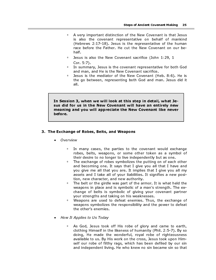- A very important distinction of the New Covenant is that Jesus is also the covenant representative on behalf of mankind (Hebrews 2:17-18). Jesus is the representative of the human race before the Father. He cut the New Covenant on our behalf. Steps of Ancient Covenant Making 25<br>
is also the covenant representative on behalf of mankind<br>
(Hebrews 2:17-18). Jesus is the representative of the human<br>
race before the Father. He cut the New Covenant on our be-<br>
half.<br>
	- Desus is also the New Covenant sacrifice (John 1:29, 1 Cor. 5:7).
	- **In summary, Jesus is the covenant representative for both God** and man, and He is the New Covenant sacrifice.
	- Desus is the mediator of the New Covenant (Heb. 8:6). He is the go between, representing both God and man. Jesus did it all.

sus did for us in the New Covenant will have an entirely new meaning and you will appreciate the New Covenant like never before.

#### 3. The Exchange of Robes, Belts, and Weapons

- Overview
	- <sup>o</sup> In many cases, the parties to the covenant would exchange robes, belts, weapons, or some other token as a symbol of their desire to no longer to live independently but as one.
	- The exchange of robes symbolizes the putting on of each other and becoming one. It says that I give you all that I have and you give me all that you are. It implies that I give you all my assets and I take all of your liabilities. It signifies a new position, new character, and new authority.
	- The belt or the girdle was part of the armor. It is what held the weapons in place and is symbolic of a man's strength. The exchange of belts is symbolic of giving your covenant partner your strengths and taking on his weaknesses.
	- **Weapons are used to defeat enemies. Thus, the exchange of** weapons symbolizes the responsibility and the power to defeat the other's enemies.
- How It Applies to Us Today
	- <sup>o</sup> As God, Jesus took off His robe of glory and came to earth, clothing Himself in the likeness of humanity (Phil. 2:5-7). By so doing, He made the wonderful, royal robe of righteousness available to us. By His work on the cross, Jesus took upon Himself our robe of filthy rags, which has been defiled by our sin and independent living. He who knew no sin became sin so that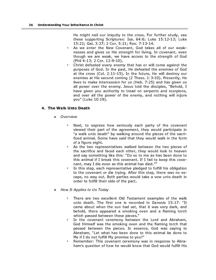He might nail our iniquity to the cross. For further study, see these supporting Scriptures: Isa. 64:6; Luke 15:12-13; Luke 15:22; Gal. 3:27; 2 Cor. 5:21; Rev. 7:13-14.

- As we enter the New Covenant, God takes all of our weaknesses and gives us His strength for living. In covenant, even though we are weak, we have access to the strength of God (Phil 4:13; 2 Cor. 12:9-10).
- Christ defeated every enemy that has or will come against the purposes of God. In the past, He defeated the enemies of God at the cross (Col. 2:11-15). In the future, He will destroy our enemies at His second coming (2 Thess. 1:3-10). Presently, He lives to make intercession for us (Heb. 7:25) and has given us all power over the enemy. Jesus told the disciples, "Behold, I have given you authority to tread on serpents and scorpions, and over all the power of the enemy, and nothing will injure you" (Luke 10:19).

#### 4. The Walk Unto Death

- Overview
	- **Next, to express how seriously each party of the covenant** viewed their part of the agreement, they would participate in "a walk unto death" by walking around the pieces of the sacrificed animal. Some have said that they would walk in the form of a figure eight.
	- **B** As the two representatives walked between the two pieces of the sacrifice and faced each other, they would look to heaven and say something like this: "Do so to me as has been done to this animal if I break this covenant. If I fail to keep this covenant, may I die even as this animal has died." $\overline{ }$
	- **In this step, each representative pledged to fulfill his obligation** to the covenant or die trying. After this step, there was no escape, no way out. Both parties would take a vow unto death in order to fulfill their side of the pact.
- How It Applies to Us Today
	- There are two excellent Old Testament examples of the walk unto death. The first one is recorded in Genesis 15:17: "It came about when the sun had set, that it was very dark, and behold, there appeared a smoking oven and a flaming torch which passed between these pieces."
	- In the covenant ceremony between the Lord and Abraham, God Himself was the smoking oven and the flaming torch that passed between the pieces. In essence, God was saying to Abraham, "Let what has been done to this animal be done to Me if I do not fulfill My promise to you!"
	- **BEX 10 Remember:** This covenant ceremony was in response to Abraham's question of how he would know that God would fulfill His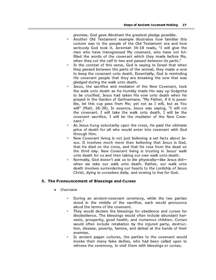promise. God gave Abraham the greatest pledge possible.

- Another Old Testament example illustrates how familiar this custom was to the people of the Old Testament era and how seriously God took it. Jeremiah 34:18 reads, "I will give the men who have transgressed My covenant, who have not fulfilled the words of the covenant which they made before Me, when they cut the calf in two and passed between its parts."
- In the context of this verse, God is saying to Israel that when they passed between the parts of the animal, they made a vow to keep the covenant unto death. Essentially, God is reminding His covenant people that they are breaking the vow that was pledged during the walk unto death.
- Jesus, the sacrifice and mediator of the New Covenant, took the walk unto death as He humbly made His way up Golgotha to be crucified. Jesus had taken His vow unto death when He prayed in the Garden of Gethsemane, "My Father, if it is possible, let this cup pass from Me; yet not as I will, but as You will" (Matt. 26:39). In essence, Jesus was saying, "I will cut the covenant. I will take the walk unto death. I will be the covenant sacrifice. I will be the mediator of the New Covenant."
- **B** As Jesus hung voluntarily upon the cross, He paid the ultimate price of death for all who would enter into covenant with God through Him.
- New Covenant living is not just believing a set facts about Jesus. It involves much more than believing that Jesus is God, that He died on the cross, and that He rose from the dead on the third day. New Covenant living is trusting in Jesus' walk unto death for us and then taking our own walk unto death.
- Normally, God doesn't ask us to die physically—like Jesus did when we take our walk unto death. Rather, our walk unto death involves surrendering our hearts to the Lordship of Jesus Christ, dying to ourselves daily, and vowing to live for God.

#### 5. The Pronouncement of Blessings and Curses

- Overview
	- During an ancient-covenant ceremony, while the two parties stood in the middle of the sacrifice, each would pronounce aloud the terms of the covenant.
	- **They would declare the blessings for obedience and curses for** disobedience. The blessings would often include abundant harvests, prosperity, good health, and numerous children. Curses would often include retaliation by the injured party, destruction, disease, poverty, famine, and defeat at the hands of their enemies.
	- <sup>o</sup> In ancient pagan cultures, the parties to the covenant would invoke their many false deities, who had been called upon to witness the ceremony, to visit them with blessings or curses.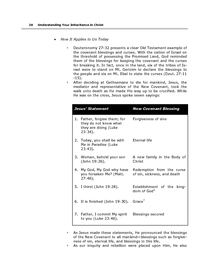- How It Applies to Us Today
	- Deuteronomy 27-32 presents a clear Old Testament example of the covenant blessings and curses. With the nation of Israel on the threshold of possessing the Promised Land, God reminded them of the blessings for keeping the covenant and the curses for breaking it. In fact, once in the land, six of the tribes of Israel were to stand on Mt. Gerizim to declare the blessings to the people and six on Mt. Ebal to state the curses (Deut. 27:11 -15).
	- **After deciding at Gethsemane to die for mankind, Jesus, the** mediator and representative of the New Covenant, took the walk unto death as He made His way up to be crucified. While He was on the cross, Jesus spoke seven sayings:

|    | Jesus' Statement                                                                            | <b>New Covenant Blessing</b>                                                                                                 |
|----|---------------------------------------------------------------------------------------------|------------------------------------------------------------------------------------------------------------------------------|
|    | 1. Father, forgive them; for<br>they do not know what<br>they are doing (Luke<br>$23.34$ ). | Forgiveness of sins                                                                                                          |
|    | 2. Today, you shall be with<br>Me in Paradise (Luke<br>$23:43$ ).                           | Eternal life                                                                                                                 |
|    | 3. Woman, behold your son<br>(John 19:26).                                                  | A new family in the Body of<br>Christ                                                                                        |
| 4. | you forsaken Me? (Matt.<br>$27:46$ ).                                                       | My God, My God why have Redemption from the curse<br>of sin, sickness, and death                                             |
|    | 5. I thirst (John 19:28).                                                                   | Establishment of the<br>king-<br>dom of God <sup>6</sup>                                                                     |
| 6. | It is finished (John 19:30). $Grace7$                                                       |                                                                                                                              |
|    | 7. Father, I commit My spirit<br>to you (Luke 23:46).                                       | Blessings secured                                                                                                            |
|    | ness of sin, eternal life, and blessings in this life.                                      | As Jesus made these statements, He pronounced the blessings<br>of the New Covenant to all mankind-blessings such as forgive- |
|    |                                                                                             | As our iniquity and rebellion were placed upon Him, He also                                                                  |
|    |                                                                                             |                                                                                                                              |
|    |                                                                                             |                                                                                                                              |
|    |                                                                                             |                                                                                                                              |
|    |                                                                                             |                                                                                                                              |
|    |                                                                                             |                                                                                                                              |
|    |                                                                                             |                                                                                                                              |
|    |                                                                                             |                                                                                                                              |
|    |                                                                                             |                                                                                                                              |
|    |                                                                                             |                                                                                                                              |
|    |                                                                                             |                                                                                                                              |
|    |                                                                                             |                                                                                                                              |
|    |                                                                                             |                                                                                                                              |
|    |                                                                                             |                                                                                                                              |
|    |                                                                                             |                                                                                                                              |
|    |                                                                                             |                                                                                                                              |
|    |                                                                                             |                                                                                                                              |
|    |                                                                                             |                                                                                                                              |
|    |                                                                                             |                                                                                                                              |
|    |                                                                                             |                                                                                                                              |
|    |                                                                                             |                                                                                                                              |
|    |                                                                                             |                                                                                                                              |
|    |                                                                                             |                                                                                                                              |
|    |                                                                                             |                                                                                                                              |
|    |                                                                                             |                                                                                                                              |
|    |                                                                                             |                                                                                                                              |
|    |                                                                                             |                                                                                                                              |
|    |                                                                                             |                                                                                                                              |
|    |                                                                                             |                                                                                                                              |
|    |                                                                                             |                                                                                                                              |
|    |                                                                                             |                                                                                                                              |
|    |                                                                                             |                                                                                                                              |
|    |                                                                                             |                                                                                                                              |
|    |                                                                                             |                                                                                                                              |
|    |                                                                                             |                                                                                                                              |
|    |                                                                                             |                                                                                                                              |
|    |                                                                                             |                                                                                                                              |
|    |                                                                                             |                                                                                                                              |

- As Jesus made these statements, He pronounced the blessings of the New Covenant to all mankind—blessings such as forgiveness of sin, eternal life, and blessings in this life.
- **B** As our iniquity and rebellion were placed upon Him, He also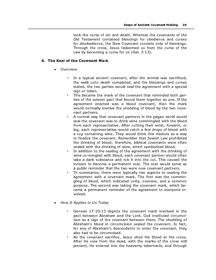took the curse of sin and death. Whereas the covenants of the Old Testament contained blessings for obedience and curses for disobedience, the New Covenant consists only of blessings. Through the cross, Jesus redeemed us from the curse of the Law by becoming a curse for us (Gal. 3:13).

#### 6. The Seal of the Covenant Mark

- Overview
	- <sup>o</sup> In a typical ancient covenant, after the animal was sacrificed, the walk unto death completed, and the blessings and curses stated, the two parties would seal the agreement with a special sign or token.
	- This became the mark of the covenant that reminded both parties of the solemn pact that bound them together as one. If the agreement enacted was a blood covenant, then the mark would normally involve the shedding of blood by the two covenant partners.
	- **A** normal way that covenant partners in the pagan world would seal the covenant was to drink wine commingled with the blood from each representative. After cutting their wrist, forearm, or leg, each representative would catch a few drops of blood with a cup containing wine. They would drink this mixture as a way to finalize the covenant. Remember that Jewish Law prohibited the drinking of blood; therefore, biblical covenants were often sealed with the drinking of wine, which symbolized blood.
	- **In addition to the sealing of the agreement with the drinking of** wine co-mingled with blood, each covenant partner would often take a dark substance and rub it into the cut. This caused the incision to become a permanent scar. The scar would serve as a public reminder that the two were now covenant partners.
	- To summarize, there were typically two aspects to sealing the agreement with a covenant mark. The first was the commingling of blood, which indicated unity, oneness, and a common purpose. The second was taking the covenant mark, which became a permanent reminder of the agreement to everyone involved.
- How It Applies to Us Today
	- Genesis 17:10-13 depicts the covenant mark involved in the pact between Abraham and the Lord. God instituted circumcision as a sign of the covenant between them. The shedding of Abraham's blood in circumcision sealed the covenant. In fact, for any of Abraham's descendents to enter the covenant, they also had to be circumcised.
	- <sup>o</sup> As the covenant sacrifice, Jesus shed His blood at the cross. After He rose from the dead, with the marks of the cross still present, He entered into the heavenly tabernacle, and through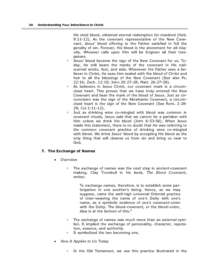His shed blood, obtained eternal redemption for mankind (Heb. 9:11-12). As the covenant representative of the New Covenant, Jesus' blood offering to the Father satisfied in full the penalty of sin. Forever, His blood is the atonement for all iniquity. Whoever calls upon Him will be forgiven all their trespasses.

- Jesus' blood became the sign of the New Covenant for us. Today, He still bears the marks of the covenant in His nailscarred wrists, feet, and side. Whenever the Father sees a believer in Christ, He sees him sealed with the blood of Christ and heir to all the blessings of the New Covenant (See also Ps. 22:16; Zech. 12:10; John 20:27-28; Matt. 26:27-28).
- As believers in Jesus Christ, our covenant mark is a circumcised heart. This proves that we have truly entered the New Covenant and bear the mark of the blood of Jesus. Just as circumcision was the sign of the Abrahamic Covenant, a circumcised heart is the sign of the New Covenant (See Rom. 2:28- 29; Col 2:11-12).
- **Just as drinking wine co-mingled with blood was common in** covenant rituals, Jesus said that we cannot be a partaker with Him unless we drink His blood (John 6:53-56). When Jesus made this statement, there is no doubt that He was referring to the common covenant practice of drinking wine co-mingled with blood. We drink Jesus' blood by accepting His blood as the only thing that will cleanse us from sin and bring us near to God.

#### 7. The Exchange of Names

- Overview
	- The exchange of names was the next step in ancient-covenant making. Clay Trumbull in his book, The Blood Covenant, writes:

To exchange names, therefore, is to establish some participation in one another's being. Hence, as we may suppose, came the well-nigh universal Oriental practice of inter-weaving the name of one's Deity with one's name, as a symbolic evidence of one's covenant-union with the Deity. The blood-covenant, or the blood-union, idea is at the bottom of this. $8$ 

- The exchange of names was much more than an external symbol. It implied the exchange of personality, character, reputation, essence, and authority.
- <sup>o</sup> It symbolized the two becoming one.
- How It Applies to Us Today
	- In the Old Testament, we see this practice illustrated in the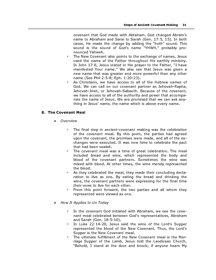covenant that God made with Abraham. God changed Abram's name to Abraham and Sarai to Sarah (Gen. 17:5, 15). In both cases, He made the change by adding the "heth" sound. This sound is the sound of God's name "YHWH," probably pronounced Yahweh.

- The New Covenant also points to the exchange of names. Jesus used the name of the Father throughout His earthly ministry. In John 17:6, Jesus stated in His prayer to the Father, "I have manifested Your name." We also see that Jesus was given a new name that was greater and more powerful than any other name (See Phil 2:5-8; Eph. 1:20-23).
- As Christians, we have access to all of the Hebrew names of God. We can call on our covenant partner as Jehovah-Rapha, Jehovah-Jireh, or Jehovah-Sabaoth. Because of the covenant, we have access to all of the authority and power that accompanies the name of Jesus. We are promised that we can ask anything in Jesus' name, the name which is above every name.

#### 8. The Covenant Meal

- Overview
	- The final step in ancient-covenant making was the celebration of the covenant meal. By this point, the parties had agreed upon the covenant, the promises were made, and all of the exchanges were executed. It was now time to celebrate the pact that had been sealed.
	- The covenant meal was a time of great celebration. The meal included bread and wine, which represented the body and blood of the covenant partners. Sometimes the wine was mixed with blood. At other times, the wine merely represented the blood.
	- As they celebrated the meal, they made their concluding declaration to live as one. By eating the bread and drinking the wine, the covenant partners were expressing for the final time their vows to live for each other.
	- **Example 1** From this point forward, the two parties and all whom they represented were viewed as one.
- How It Applies to Us Today
	- □ In the covenant God initiated with Abraham, we see the covenant meal celebrated between God's representatives, Abraham and Sarah (Gen. 18:5-10).
	- □ In Luke 22:14-20, Jesus said the wine of the Lord's Supper represented the blood of the New Covenant. Thus, the Lord's Supper is the New Covenant meal.
	- <sup>o</sup> The ultimate fulfillment of the New Covenant meal is the Marriage Supper of the Lamb. Jesus told the Laodicean Church, "Behold, I stand at the door and knock; if anyone hears My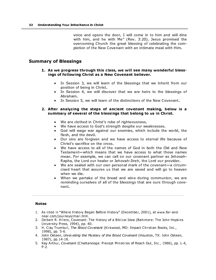voice and opens the door, I will come in to him and will dine with him, and he with Me" (Rev. 3:20). Jesus promised the overcoming Church the great blessing of celebrating the completion of the New Covenant with an intimate meal with Him.

### Summary of Blessings

#### 1. As we progress through this class, we will see many wonderful blessings of following Christ as a New Covenant believer.

- In Session 3, we will learn of the blessings that we inherit from our position of being in Christ.
- In Session 4, we will discover that we are heirs to the blessings of Abraham.
- In Session 5, we will learn of the distinctions of the New Covenant.

#### 2. After analyzing the steps of ancient covenant making, below is a summary of several of the blessings that belong to us in Christ.

- We are clothed in Christ's robe of righteousness.
- We have access to God's strength despite our weaknesses.
- God will wage war against our enemies, which include the world, the flesh, and the devil.
- Our sins are forgiven and we have access to eternal life because of Christ's sacrifice on the cross.
- We have access to all of the names of God in both the Old and New Testament—which means that we have access to what those names mean. For example, we can call on our covenant partner as Jehovah-Rapha, the Lord our healer or Jehovah-Jireh, the Lord our provider.
- We are sealed with our own personal mark of the covenant-a circumcised heart that assures us that we are saved and will go to heaven when we die.
- When we partake of the bread and wine during communion, we are reminding ourselves of all of the blessings that are ours through covenant.

#### Notes

l

- 1. As cited in "Where History Began Before History" (December, 2001), at www.far-andnear.com/journeys/mari.htm.
- 2. Delbert R. Hillers, Covenant: The History of a Biblical Idea (Baltimore: The John Hopkins University Press, 1994), pp. 40.
- 3. H. Clay Trumbull, The Blood Covenant (Kirkwood, MO: Impact Christian Books, Inc., 1998), pp. 5-6.
- 4. John Osteen, Unraveling the Mystery of the Blood Covenant (Houston, TX: John Osteen, 1987), pp.14-18.
- 5. Kay Arthur, Covenant (Chattanooga: Precept Ministries of Reach Out, Inc., 1986), pp. L-4, P-2.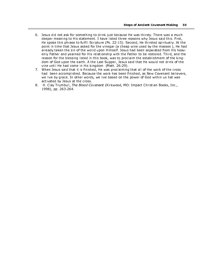- 6. Jesus did not ask for something to drink just because He was thirsty. There was a much deeper meaning to His statement. I have listed three reasons why Jesus said this. First, He spoke this phrase to fulfill Scripture (Ps. 22:15). Second, He thirsted spiritually. At the point in time that Jesus asked for the vinegar (a cheap wine used by the masses ), He had already taken the sin of the wolrd upon Himself. Jesus had been separated from His heavenly Father and yearned for His relationship with the Father to be restored. Third, and the reason for the blessing listed in this book, was to proclaim the establishment of the kingdom of God upon the earth. A the Last Supper, Jesus said that He would not drink of the vine until He had come in His kingdom (Matt. 26:29).
- 7. When Jesus said that it is finished, He was proclaiming that all of the work of the cross had been accomplished. Because the work has been finished, as New Covenant believers, we live by grace. In other words, we live based on the power of God within us hat was activated by Jesus at the cross.
- 8. H. Clay Trumbull, The Blood Covenant (Kirkwood, MO: Impact Christian Books, Inc., 1998), pp. 263-264.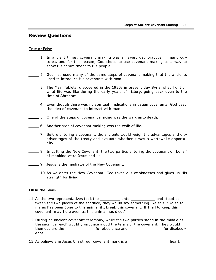# Review Questions

#### True or False

- 1. In ancient times, covenant making was an every day practice in many cultures, and for this reason, God chose to use covenant making as a way to show His commitment to His people.
- 2. God has used many of the same steps of covenant making that the ancients used to introduce His covenants with man.
- 3. The Mari Tablets, discovered in the 1930s in present day Syria, shed light on what life was like during the early years of history, going back even to the time of Abraham.
- 4. Even though there was no spiritual implications in pagan covenants, God used the idea of covenant to interact with man.
- 5. One of the steps of covenant making was the walk unto death.
- 6. Another step of covenant making was the walk of life.
- 7. Before entering a covenant, the ancients would weigh the advantages and disadvantages of the treaty and evaluate whether it was a worthwhile opportunity.
- **8.** In cutting the New Covenant, the two parties entering the covenant on behalf of mankind were Jesus and us.
- 9. Jesus is the mediator of the New Covenant.
- 10. As we enter the New Covenant, God takes our weaknesses and gives us His strength for living.

#### Fill in the Blank

- 11. As the two representatives took the \_\_\_\_\_\_\_\_\_ unto \_\_\_\_\_\_\_\_\_\_ and stood between the two pieces of the sacrifice, they would say something like this: "Do so to me as has been done to this animal if I break this covenant. If I fail to keep this covenant, may I die even as this animal has died."
- 12. During an ancient-covenant ceremony, while the two parties stood in the middle of the sacrifice, each would pronounce aloud the terms of the covenant. They would then declare the \_\_\_\_\_\_\_\_\_\_\_\_\_ for obedience and \_\_\_\_\_\_\_\_\_\_\_\_\_\_\_ for disobedience.
- 13. As believers in Jesus Christ, our covenant mark is a \_\_\_\_\_\_\_\_\_\_\_\_\_\_\_\_\_\_\_\_\_\_ heart.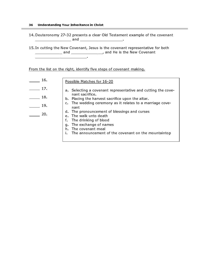#### 36 Understanding Your Inheritance in Christ

- 14. Deuteronomy 27-32 presents a clear Old Testament example of the covenant \_\_\_\_\_\_\_\_\_\_\_\_\_\_\_\_ and \_\_\_\_\_\_\_\_\_\_\_\_\_\_\_\_\_\_\_.
- 15. In cutting the New Covenant, Jesus is the covenant representative for both \_\_\_\_\_\_\_\_\_\_\_\_ and \_\_\_\_\_\_\_\_\_\_\_\_\_\_, and He is the New Covenant \_\_\_\_\_\_\_\_\_\_\_\_\_\_\_\_\_\_\_\_\_\_\_.

From the list on the right, identify five steps of covenant making.

| 16. | Possible Matches for 16-20                                             |
|-----|------------------------------------------------------------------------|
| 17. | a. Selecting a covenant representative and cutting the cove-           |
| 18. | nant sacrifice.<br>b. Placing the harvest sacrifice upon the altar.    |
| 19. | c. The wedding ceremony as it relates to a marriage cove-<br>nant      |
| 20. | d. The pronouncement of blessings and curses<br>e. The walk unto death |
|     | The drinking of blood                                                  |
|     | The exchange of names<br>a.                                            |
|     |                                                                        |
|     | The covenant meal                                                      |
|     | The announcement of the covenant on the mountaintop                    |
|     |                                                                        |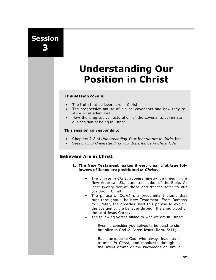Session 3

# Understanding Our Position in Christ

#### This session covers:

- The truth that believers are in Christ
- The progressive nature of biblical covenants and how they restore what Adam lost
- How the progressive restoration of the covenants culminate in our position of being in Christ

#### This session corresponds to:

- Chapters 7-8 of Understanding Your Inheritance in Christ book
- Session 3 of Understanding Your Inheritance in Christ CDs

# Believers Are in Christ

- 1. The New Testament makes it very clear that true followers of Jesus are positioned in Christ.
	- The phrase in Christ appears ninety-five times in the New American Standard translation of the Bible. At least twenty-five of those occurrences refer to our position in Christ.
	- **Iowers of Jesus are positioned in Christ.**<br>
	 The phrase in Christ appears ninety-fi<br>
	New American Standard translation (least twenty-five of those occurrence<br> *position* in Christ.<br>
	 The phrase in Christ is a predomina<br> • The phrase in Christ is a predominant theme that runs throughout the New Testament. From Romans to 1 Peter, the apostles used this phrase to explain the position of the believer through the shed blood of the Lord Jesus Christ.
		- The following verses allude to who we are in Christ:

Even so consider yourselves to be dead to sin, but alive to God in Christ Jesus (Rom. 6:11).

But thanks be to God, who always leads us in triumph in Christ, and manifests through us the sweet aroma of the knowledge of Him in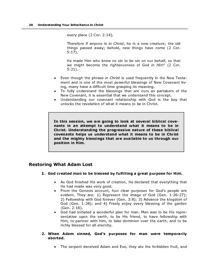every place (2 Cor. 2:14).

Therefore if anyone is in Christ, he is a new creature; the old things passed away; behold, new things have come (2 Cor. 5:17).

He made Him who knew no sin to be sin on our behalf, so that we might become the righteousness of God in Him" (2 Cor. 5:21).

- Even though the phrase in Christ is used frequently in the New Testament and is one of the most powerful blessings of New Covenant living, many have a difficult time grasping its meaning.
- To fully understand the blessings that are ours as partakers of the New Covenant, it is essential that we understand this concept.
- Understanding our covenant relationship with God is the key that unlocks the revelation of what it means to be in Christ.

In this session, we are going to look at several biblical covenants in an attempt to understand what it means to be in Christ. Understanding the progressive nature of these biblical covenants helps us understand what it means to be in Christ and the mighty blessings that are available to us through our position in Him.

## Restoring What Adam Lost

- 1. God created man to be blessed by fulfilling a great purpose for Him.
	- As God finished His work of creation, He declared that everything that He had made was very good.
	- From the Genesis account, four clear purposes for God's people are evident. They are: 1) Represent the image of God (Gen. 1:26-27); 2) Fellowship with God forever (Gen. 3:8); 3) Advance the kingdom of God (Gen. 1:28); and 4) Freely enjoy every blessing of the garden (Gen. 2:16).
	- God had initiated a wonderful plan for man. Man was to be His representative upon the earth, to be His friend, to have fellowship with Him, to partner with him, to take dominion over the earth, and to be richly blessed for all eternity.
- 2. When Adam sinned, God's purposes for man were temporarily aborted.
	- The serpent deceived Adam and Eve, they ate the forbidden fruit, and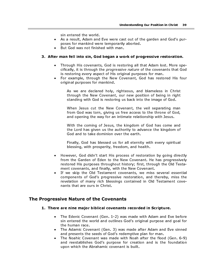sin entered the world.

- As a result, Adam and Eve were cast out of the garden and God's purposes for mankind were temporarily aborted.
- But God was not finished with man.

#### 3. After man fell into sin, God began a work of progressive restoration.

- Through His covenants, God is restoring all that Adam lost. More specifically, it is through the *progressive nature* of the covenants that God is restoring every aspect of His original purposes for man.
- For example, through the New Covenant, God has restored His four original purposes for mankind.

As we are declared holy, righteous, and blameless in Christ through the New Covenant, our new position of being in right standing with God is restoring us back into the image of God.

When Jesus cut the New Covenant, the veil separating man from God was torn, giving us free access to the throne of God, and opening the way for an intimate relationship with Jesus.

With the coming of Jesus, the kingdom of God has come and the Lord has given us the authority to advance the kingdom of God and to take dominion over the earth.

Finally, God has blessed us for all eternity with every spiritual blessing, with prosperity, freedom, and health.

- However, God didn't start His process of restoration by going directly from the Garden of Eden to the New Covenant. He has progressively restored His purposes throughout history; first, through the Old Testament covenants, and finally, with the New Covenant.
- If we skip the Old Testament covenants, we miss several essential components of God's progressive restoration, and thereby, miss the revelation of many rich blessings contained in Old Testament covenants that are ours in Christ.

## The Progressive Nature of the Covenants

#### 1. There are nine major biblical covenants recorded in Scripture.

- The Edenic Covenant (Gen. 1-2) was made with Adam and Eve before sin entered the world and outlines God's original purpose and goal for the human race.
- The Adamic Covenant (Gen. 3) was made after Adam and Eve sinned and presents the seeds of God's redemptive plan for man.
- The Noahic Covenant was made with Noah after the flood (Gen. 6-9) and reestablishes God's purpose for creation and is the foundation upon which the Abrahamic covenant is built.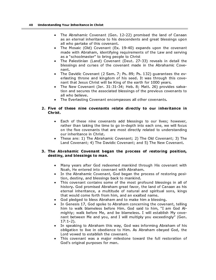- The Abrahamic Covenant (Gen. 12-22) promised the land of Canaan as an eternal inheritance to his descendents and great blessings upon all who partake of this covenant.
- The Mosaic (Old) Covenant (Ex. 19-40) expands upon the covenant made with Abraham, identifying requirements of the Law and serving as a "schoolmaster" to bring people to Christ
- The Palestinian (Land) Covenant (Deut. 27-33) reveals in detail the blessings and curses of the covenant made in the Abrahamic Covenant.
- The Davidic Covenant (2 Sam. 7; Ps. 89; Ps. 132) guarantees the everlasting throne and kingdom of his seed. It was through this covenant that Jesus Christ will be King of the earth for 1000 years.
- The New Covenant (Jer. 31:31-34; Heb. 8; Matt. 26) provides salvation and secures the associated blessings of the previous covenants to all who believe.
- The Everlasting Covenant encompasses all other covenants.

## 2. Five of these nine covenants relate directly to our inheritance in Christ.

- Each of these nine covenants add blessings to our lives; however, rather than taking the time to go in-depth into each one, we will focus on the five covenants that are most directly related to understanding our inheritance in Christ.
- These are: 1) The Abrahamic Covenant; 2) The Old Covenant; 3) The Land Covenant; 4) The Davidic Covenant; and 5) The New Covenant.

## 3. The Abrahamic Covenant began the process of restoring position, destiny, and blessings to man.

- Many years after God redeemed mankind through His covenant with Noah, He entered into covenant with Abraham.
- In the Abrahamic Covenant, God began the process of restoring position, destiny, and blessings back to mankind.
- This covenant contains some of the most profound blessings in all of history. God promised Abraham great favor, the land of Canaan as his eternal inheritance, a multitude of natural and spiritual sons, kings that would come forth from him, and an exalted name.
- God pledged to bless Abraham and to make him a blessing.
- In Genesis 17, God spoke to Abraham concerning the covenant, telling him to walk blameless before Him. God said to him, "I am God Almighty; walk before Me, and be blameless. I will establish My covenant between Me and you, and I will multiply you exceedingly" (Gen. 17:1-2).
- In speaking to Abraham this way, God was informing Abraham of his obligation to live in obedience to Him. As Abraham obeyed God, the Lord vowed to establish the covenant.
- This covenant was a major milestone toward the full restoration of God's original purposes for man.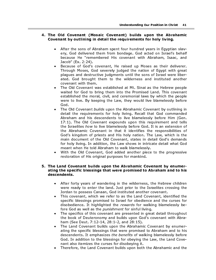### 4. The Old Covenant (Mosaic Covenant) builds upon the Abrahamic Covenant by outlining in detail the requirements for holy living.

- After the sons of Abraham spent four hundred years in Egyptian slavery, God delivered them from bondage. God acted on Israel's behalf because He "remembered His covenant with Abraham, Isaac, and Jacob" (Ex. 2:24).
- Because of God's covenant, He raised up Moses as their deliverer. Through Moses, God severely judged the nation of Egypt with great plagues and destructive judgments until the sons of Israel were liberated. God brought them to the wilderness and instituted another covenant with them.
- The Old Covenant was established at Mt. Sinai as the Hebrew people waited for God to bring them into the Promised Land. This covenant established the moral, civil, and ceremonial laws by which the people were to live. By keeping the Law, they would live blamelessly before God.
- The Old Covenant builds upon the Abrahamic Covenant by outlining in detail the requirements for holy living. Recall that God commanded Abraham and his descendents to live blamelessly before Him (Gen. 17:1). The Old Covenant expounds upon this requirement and tells the Israelites how to live blamelessly before God. It is an extension of the Abrahamic Covenant in that it identifies the responsibilities of God's kingdom of priests and His holy nation. The Law, which is the main document of the Old Covenant, states in detail God's demands for holy living. In addition, the Law shows in intricate detail what God meant when He told Abraham to walk blamelessly.
- With the Old Covenant, God added another piece to the progressive restoration of His original purposes for mankind.

#### 5. The Land Covenant builds upon the Abrahamic Covenant by enumerating the specific blessings that were promised to Abraham and to his descendents.

- After forty years of wandering in the wilderness, the Hebrew children were ready to enter the land. Just prior to the Israelites crossing the Jordan to possess Canaan, God instituted another covenant.
- This covenant, which we refer to as the Land Covenant, identified the specific blessings promised to Israel for obedience and the curses for disobedience. It highlighted the rewards for walking blamelessly before God as well as the *punishment* for sinful living.
- The specifics of this covenant are presented in great detail throughout the book of Deuteronomy and builds upon God's covenant with Abraham (See Deut. 7:12-14, 28:1-2, and 28:15).
- The Land Covenant builds upon the Abrahamic Covenant by enumerating the specific blessings that were promised to Abraham and to his descendents. It emphasizes the benefits of walking blamelessly before God. In addition to the blessings for obeying the Law, the Land Covenant also itemizes the curses for disobeying it.
- Therefore, the Land Covenant builds upon both the Abrahamic and the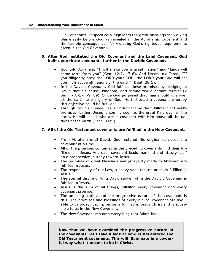Old Covenants. It specifically highlights the great blessings for walking blamelessly before God as revealed in the Abrahamic Covenant and the terrible consequences for violating God's righteous requirements given in the Old Covenant.

#### 6. After God instituted the Old Covenant and the Land Covenant, God built upon these covenants further in the Davidic Covenant.

- God told Abraham, "I will make you a great nation" and "kings will come forth from you" (Gen. 12:2, 17:6). And Moses told Israel, "If you diligently obey the LORD your GOD…the LORD your God will set you high above all nations of the earth" (Deut. 28:1).
- In the Davidic Covenant, God fulfilled these promises by pledging to David that his house, kingdom, and throne would endure forever (2 Sam. 7:8-17; Ps. 89). Since God purposed that man should rule over all the earth to the glory of God, He instituted a covenant whereby this objective could be fulfilled.
- Through David's lineage, Jesus Christ became the fulfillment of David's promise. Further, Jesus is coming soon as the great King over all the earth. He will set all who are in covenant with Him above all the nations of the earth (Zech. 14:9).

## 7. All of the Old Testament covenants are fulfilled in the New Covenant.

- From Abraham until David, God restored His original purposes one covenant at a time.
- All of the promises contained in the preceding covenants find their fulfillment in Jesus. And each covenant leads mankind and history itself on a progressive journey toward Jesus.
- The promises of great blessings and prosperity made to Abraham are fulfilled in Jesus.
- The responsibility of the Law, a heavy yoke for centuries, is fulfilled in Jesus.
- The eternal throne of King David spoken of in the Davidic Covenant is fulfilled in Jesus.
- Jesus is the sum of all things, fulfilling every covenant and every covenant promise.
- The amazing truth about the progressive nature of the covenants is this: The promises and blessings of every biblical covenant are available to us today. Each promise is fulfilled in Jesus Christ and is accessible to us in the New Covenant.
- The New Covenant restores everything that Adam lost!

Now that we have examined the progressive nature of the covenants, let's take a look at how Israel entered the Old Testament covenants. This will illuminate in a powerful way what it means to be in Christ.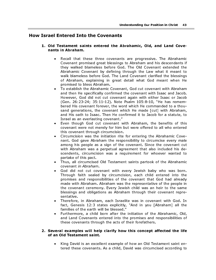# How Israel Entered Into the Covenants

### 1. Old Testament saints entered the Abrahamic, Old, and Land Covenants in Abraham.

- Recall that these three covenants are progressive. The Abrahamic Covenant promised great blessings to Abraham and his descendants if they walked blameless before God. The Old Covenant extended the Abrahamic Covenant by defining through the Law what it meant to walk blameless before God. The Land Covenant clarified the blessings of Abraham, explaining in great detail what God meant when He promised to bless Abraham.
- To establish the Abrahamic Covenant, God cut covenant with Abraham and then He specifically confirmed the covenant with Isaac and Jacob. However, God did not cut covenant again with either Isaac or Jacob (Gen. 26:23-24; 35:11-12). Note Psalm 105:8-10, "He has remembered His covenant forever, the word which He commanded to a thousand generations, the covenant which He made [cut] with Abraham, and His oath to Isaac. Then He confirmed it to Jacob for a statute, to Israel as an everlasting covenant."
- Even though God cut covenant with Abraham, the benefits of this covenant were not merely for him but were offered to all who entered this covenant through circumcision.
- Circumcision was the initiation rite for entering the Abrahamic Covenant. God gave Abraham the responsibility to circumcise every male among his people as a sign of the covenant. Since the covenant cut with Abraham was a perpetual agreement that also included his descendents, circumcision was a requirement for whoever wanted to partake of this pact.
- Thus, all circumcised Old Testament saints partook of the Abrahamic covenant in Abraham.
- God did not cut covenant with every Jewish baby who was born. Through faith sealed by circumcision, each child entered into the promises and responsibilities of the covenant that God had already made with Abraham. Abraham was the representative of the people in the covenant ceremony. Every Jewish child was an heir to the same blessings and obligations as Abraham through their covenant representative.
- Therefore, in Abraham, each Israelite was in covenant with God. In fact, Genesis 12:3 states explicitly, "And in you [Abraham] all the families of the earth will be blessed."
- Furthermore, a child born after the initiation of the Abrahamic, Old, and Land Covenants entered into the promises and responsibilities of these covenants through the acts of their forefathers.

## 2. Several examples will help clarify how this concept affected the life of an Old Testament saint.

• King David is an excellent example of how an Old Testament saint entered these covenants. As a child, David was circumcised according to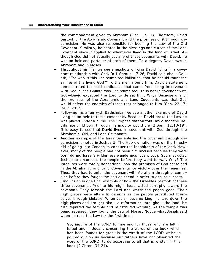the commandment given to Abraham (Gen. 17:11). Therefore, David partook of the Abrahamic Covenant and the promises of it through circumcision. He was also responsible for keeping the Law of the Old Covenant. Similarly, he shared in the blessings and curses of the Land Covenant since it applied to whomever lived in the land of Israel. Although God did not actually cut any of these covenants with David, he was an heir and partaker of each of them. To a degree, David was in Abraham and in Moses.

- Throughout his life, we see snapshots of King David living in a covenant relationship with God. In 1 Samuel 17:26, David said about Goliath, "For who is this uncircumcised Philistine, that he should taunt the armies of the living God?" To the men around him, David's statement demonstrated the bold confidence that came from being in covenant with God. Since Goliath was uncircumcised—thus not in covenant with God—David expected the Lord to defeat him. Why? Because one of the promises of the Abrahamic and Land Covenants was that God would defeat the enemies of those that belonged to Him (Gen. 22:17; Deut. 28:7).
- Following his affair with Bathsheba, we see another example of David living as an heir to these covenants. Because David broke the Law he was placed under a curse. The Prophet Nathan told David that the illegitimate child born through his iniquity would die (2 Sam. 12:13-19). It is easy to see that David lived in covenant with God through the Abrahamic, Old, and Land Covenants.
- Another example of the Israelites entering the covenant through circumcision is noted in Joshua 5. The Hebrew nation was on the threshold of going into Canaan to conquer the inhabitants of the land. However, many of the people had not been circumcised because they were born during Israel's wilderness wanderings (Josh. 5:5). God instructed Joshua to circumcise the people before they went to war. Why? The Israelites were totally dependent upon the promises of God contained in the Abrahamic and Land Covenants for victory over their enemies. Thus, they had to enter the covenant with Abraham through circumcision before they fought the battles ahead in order to ensure success.
- King Josiah is one final example of how the Israelites partook of these three covenants. Prior to his reign, Israel acted corruptly toward the covenant. They forsook the Lord and worshiped pagan gods. Their high places were altars to demons as the people prostituted themselves through idolatry. When Josiah became king, he tore down the high places and brought about a reformation throughout the land. He also repaired the temple and reinstituted worship. As the temple was being repaired, they found the Law of Moses. Notice what Josiah said when he read the Law for the first time:

Go, inquire of the LORD for me and for those who are left in Israel and in Judah, concerning the words of the book which has been found; for great is the wrath of the LORD which is poured out on us because our fathers have not observed the word of the LORD, to do according to all that is written in this book (2 Chron. 34:21).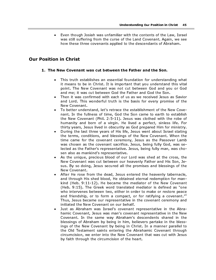• Even though Josiah was unfamiliar with the contents of the Law, Israel was still suffering from the curse of the Land Covenant. Again, we see how these three covenants applied to the descendants of Abraham.

## Our Position in Christ

#### 1. The New Covenant was cut between the Father and the Son.

- This truth establishes an essential foundation for understanding what it means to be in Christ. It is important that you understand this vital point. The New Covenant was not cut between God and you or God and me; it was cut between God the Father and God the Son.
- Then it was confirmed with each of us as we received Jesus as Savior and Lord. This wonderful truth is the basis for every promise of the New Covenant.
- To better understand, let's retrace the establishment of the New Covenant. In the fullness of time, God the Son came to earth to establish the New Covenant (Phil. 2:5-11). Jesus was clothed with the robe of humanity and born of a virgin. He lived a perfect, sinless life. For thirty years, Jesus lived in obscurity as God prepared Him for ministry.
- During the last three years of His life, Jesus went about Israel stating the terms, conditions, and blessings of the New Covenant. When the time came for the covenant ceremony, Jesus as the Passover Lamb was chosen as the covenant sacrifice. Jesus, being fully God, was selected as the Father's representative. Jesus, being fully man, was chosen also as mankind's representative.
- As the unique, precious blood of our Lord was shed at the cross, the New Covenant was cut between our heavenly Father and His Son, Jesus. By so doing, Jesus secured all the promises and blessings of the New Covenant.
- After He rose from the dead, Jesus entered the heavenly tabernacle, and through His shed blood, He obtained eternal redemption for mankind (Heb. 9:11-12). He became the mediator of the New Covenant (Heb. 9:15). The Greek word translated mediator is defined as "one who intervenes between two, either in order to make or restore peace and friendship, or to form a compact, or for ratifying a covenant."<sup>1</sup> Thus, Jesus became our representative in the covenant ceremony and initiated the New Covenant on our behalf.
- Just as Abraham was Israel's covenant representative in the Abrahamic Covenant, Jesus was man's covenant representative in the New Covenant. In the same way Abraham's descendents shared in the blessings of Abraham by being in him, believers partake in the blessings of the New Covenant by being in Christ. In a manner parallel to the Old Testament saints entering the Abrahamic Covenant through circumcision, we enter into the New Covenant that was cut with Jesus by faith through the circumcision of the heart.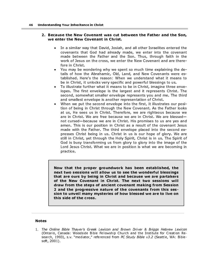#### 2. Because the New Covenant was cut between the Father and the Son, we enter the New Covenant in Christ.

- In a similar way that David, Josiah, and all other Israelites entered the covenants that God had already made, we enter into the covenant made between the Father and the Son. Thus, through faith in the work of Jesus on the cross, we enter the New Covenant and are therefore in Christ.
- You may be wondering why we spent so much time explaining the details of how the Abrahamic, Old, Land, and New Covenants were established. Here's the reason: When we understand what it means to be in Christ, it unlocks very specific and powerful blessings to us.
- To illustrate further what it means to be in Christ, imagine three envelopes. The first envelope is the largest and it represents Christ. The second, somewhat smaller envelope represents you and me. The third and smallest envelope is another representation of Christ.
- When we put the second envelope into the first, it illustrates our position of being in Christ through the New Covenant. As the Father looks at us, He sees us in Christ. Therefore, we are righteous because we are in Christ. We are free because we are in Christ. We are blessed not cursed—because we are in Christ. His promises to us are yes and amen. This is our position in Christ as a result of the covenant Jesus made with the Father. The third envelope placed into the second expresses Christ being in us. Christ in us is our hope of glory. We are still in Christ, yet through the Holy Spirit, Christ is in us. The Spirit of God is busy transforming us from glory to glory into the image of the Lord Jesus Christ. What we are in position is what we are becoming in practice.

Now that the proper groundwork has been established, the next two sessions will allow us to see the wonderful blessings that are ours by being in Christ and because we are partakers of the New Covenant in Christ. The next two sessions will draw from the steps of ancient covenant making from Session 2 and the progressive nature of the covenants from this session to unveil many mysteries of how blessed we are to live on this side of the cross.

## Notes

1. The Online Bible Thayer's Greek Lexicon and Brown Driver & Briggs Hebrew Lexicon (Ontario, Canada: Woodside Bible Fellowship Church and the Institute for Creation Research, 1993), s.v. "mediator," referenced from PC Study Bible v3.2 (Seattle, WA: Biblesoft, 2001).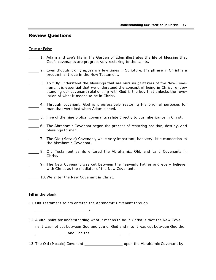# Review Questions

#### True or False

- 1. Adam and Eve's life in the Garden of Eden illustrates the life of blessing that God's covenants are progressively restoring to the saints.
- 2. Even though it only appears a few times in Scripture, the phrase in Christ is a predominant idea in the New Testament.
- 3. To fully understand the blessings that are ours as partakers of the New Covenant, it is essential that we understand the concept of being in Christ; understanding our covenant relationship with God is the key that unlocks the revelation of what it means to be in Christ.
- 4. Through covenant, God is progressively restoring His original purposes for man that were lost when Adam sinned.
- 5. Five of the nine biblical covenants relate directly to our inheritance in Christ.
- 6. The Abrahamic Covenant began the process of restoring position, destiny, and blessings to man.
- 7. The Old (Mosaic) Covenant, while very important, has very little connection to the Abrahamic Covenant.
- 8. Old Testament saints entered the Abrahamic, Old, and Land Covenants in Christ.
- 9. The New Covenant was cut between the heavenly Father and every believer with Christ as the mediator of the New Covenant.
- 10. We enter the New Covenant in Christ.

#### Fill in the Blank

11. Old Testament saints entered the Abrahamic Covenant through

\_\_\_\_\_\_\_\_\_\_\_\_\_\_\_\_\_\_\_\_\_\_\_\_.

12. A vital point for understanding what it means to be in Christ is that the New Covenant was not cut between God and you or God and me; it was cut between God the

\_\_\_\_\_\_\_\_\_\_\_ and God the \_\_\_\_\_\_\_\_\_\_\_\_\_\_\_\_\_\_\_\_\_.

13. The Old (Mosaic) Covenant \_\_\_\_\_\_\_\_\_\_\_\_\_\_\_\_\_ upon the Abrahamic Covenant by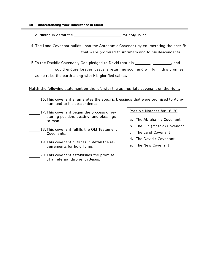#### 48 Understanding Your Inheritance in Christ

outlining in detail the \_\_\_\_\_\_\_\_\_\_\_\_\_\_\_\_\_\_\_\_\_\_\_\_ for holy living.

- 14. The Land Covenant builds upon the Abrahamic Covenant by enumerating the specific \_\_\_\_\_\_\_\_\_\_\_\_\_\_\_\_\_\_\_\_ that were promised to Abraham and to his descendents.
- 15. In the Davidic Covenant, God pledged to David that his \_\_\_\_\_\_\_, \_\_\_\_\_\_\_\_, and \_\_\_\_\_\_\_ would endure forever. Jesus is returning soon and will fulfill this promise as he rules the earth along with His glorified saints.

## Match the following statement on the left with the appropriate covenant on the right.

- 16. This covenant enumerates the specific blessings that were promised to Abraham and to his descendents.
- 17. This covenant began the process of restoring position, destiny, and blessings to man.
- 18. This covenant fulfills the Old Testament Covenants.
- 19. This covenant outlines in detail the requirements for holy living.
	- 20. This covenant establishes the promise of an eternal throne for Jesus.

#### Possible Matches for 16-20

- a. The Abrahamic Covenant
- b. The Old (Mosaic) Covenant
- c. The Land Covenant
- d. The Davidic Covenant
- e. The New Covenant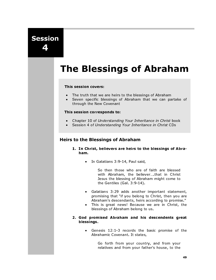Session 4

# The Blessings of Abraham

## This session covers:

- The truth that we are heirs to the blessings of Abraham<br>• Seven specific blessings of Abraham that we can pa
- Seven specific blessings of Abraham that we can partake of through the New Covenant

#### This session corresponds to:

- Chapter 10 of Understanding Your Inheritance in Christ book<br>• Session 4 of Understanding Your Inheritance in Christ CDs
- Session 4 of Understanding Your Inheritance in Christ CDs

## Heirs to the Blessings of Abraham

- 1. In Christ, believers are heirs to the blessings of Abraham.
	- In Galatians 3:9-14, Paul said,

So then those who are of faith are blessed with Abraham, the believer….that in Christ Jesus the blessing of Abraham might come to the Gentiles (Gal. 3:9-14).

- Galatians 3:29 adds another important statement, promising that "if you belong to Christ, then you are Abraham's descendants, heirs according to promise."
- This is great news! Because we are in Christ, the blessings of Abraham belong to us.
- 2. God promised Abraham and his descendents great blessings.
	- Genesis 12:1-3 records the basic promise of the Abrahamic Covenant. It states,

Go forth from your country, and from your relatives and from your father's house, to the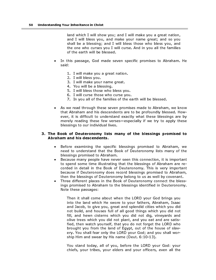land which I will show you; and I will make you a great nation, and I will bless you, and make your name great; and so you shall be a blessing; and I will bless those who bless you, and the one who curses you I will curse. And in you all the families of the earth will be blessed.

- In this passage, God made seven specific promises to Abraham. He said:
	- 1. I will make you a great nation.
	- 2. I will bless you.
	- 3. I will make your name great.
	- 4. You will be a blessing.
	- 5. I will bless those who bless you.
	- 6. I will curse those who curse you.
	- 7. In you all of the families of the earth will be blessed.
- As we read through these seven promises made to Abraham, we know that Abraham and his descendents are to be profoundly blessed. However, it is difficult to understand exactly what these blessings are by merely reading these few verses—especially if we try to apply these blessings to our individual lives.

#### 3. The Book of Deuteronomy lists many of the blessings promised to Abraham and his descendents.

- Before examining the specific blessings promised to Abraham, we need to understand that the Book of Deuteronomy lists many of the blessings promised to Abraham.
- Because many people have never seen this connection, it is important to spend some time illustrating that the blessings of Abraham are recorded in detail in the Book of Deuteronomy. This is very important because if Deuteronomy does record blessings promised to Abraham, then the blessings of Deuteronomy belong to us as well by covenant.
- Three different places in the Book of Deuteronomy connect the blessings promised to Abraham to the blessings identified in Deuteronomy. Note these passages:

Then it shall come about when the LORD your God brings you into the land which He swore to your fathers, Abraham, Isaac and Jacob, to give you, great and splendid cities which you did not build, and houses full of all good things which you did not fill, and hewn cisterns which you did not dig, vineyards and olive trees which you did not plant, and you eat and are satisfied, then watch yourself, that you do not forget the LORD who brought you from the land of Egypt, out of the house of slavery. You shall fear only the LORD your God; and you shall worship Him and swear by His name (Deut. 6:10-13).

You stand today, all of you, before the LORD your God: your chiefs, your tribes, your elders and your officers, even all the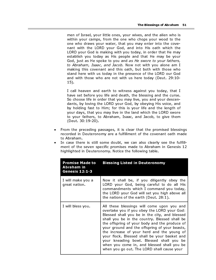men of Israel, your little ones, your wives, and the alien who is within your camps, from the one who chops your wood to the one who draws your water, that you may enter into the covenant with the LORD your God, and into His oath which the LORD your God is making with you today, in order that He may establish you today as His people and that He may be your God, just as He spoke to you and as He swore to your fathers, to Abraham, Isaac, and Jacob. Now not with you alone am I making this covenant and this oath, but both with those who stand here with us today in the presence of the LORD our God and with those who are not with us here today (Deut. 29:10- 15). The Blessings of Abraham 51<br>men of Israel, your little ones, your wives, and the alien who is<br>within your camps, from the one who chops your wood to the<br>one who draws your water, that you may enter into the cove-<br>nant with

I call heaven and earth to witness against you today, that I have set before you life and death, the blessing and the curse. So choose life in order that you may live, you and your descendants, by loving the LORD your God, by obeying His voice, and by holding fast to Him; for this is your life and the length of your days, that you may live in the land which the LORD swore to your fathers, to Abraham, Isaac, and Jacob, to give them (Deut. 30:19-20).

- From the preceding passages, it is clear that the promised blessings recorded in Deuteronomy are a fulfillment of the covenant oath made to Abraham.
- In case there is still some doubt, we can also clearly see the fulfillment of the seven specific promises made to Abraham in Genesis 12 highlighted in Deuteronomy. Notice the following table.

| <b>Promise Made to</b><br>Abraham in<br><b>Genesis 12:1-3</b> | <b>Blessing Listed in Deuteronomy</b>                                                                                                                                                                                                                                                                                                                                                                                                                                                                                               |
|---------------------------------------------------------------|-------------------------------------------------------------------------------------------------------------------------------------------------------------------------------------------------------------------------------------------------------------------------------------------------------------------------------------------------------------------------------------------------------------------------------------------------------------------------------------------------------------------------------------|
| I will make you a<br>great nation.                            | Now it shall be, if you diligently obey the<br>LORD your God, being careful to do all His<br>commandments which I command you today,<br>the LORD your God will set you high above all<br>the nations of the earth (Deut. 28:1).                                                                                                                                                                                                                                                                                                     |
| I will bless you.                                             | All these blessings will come upon you and<br>overtake you if you obey the LORD your God:<br>Blessed shall you be in the city, and blessed<br>shall you be in the country. Blessed shall be<br>the offspring of your body and the produce of<br>your ground and the offspring of your beasts,<br>the increase of your herd and the young of<br>your flock. Blessed shall be your basket and<br>your kneading bowl. Blessed shall you be<br>when you come in, and blessed shall you be<br>when you go out. The LORD shall cause your |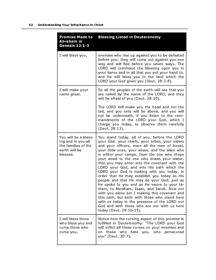m.

| <b>Promise Made to</b><br>Abraham in<br><b>Genesis 12:1-3</b>                                  | <b>Blessing Listed in Deuteronomy</b>                                                                                                                                                                                                                                                                                                                                                                                                                                                                                                                                                                                                                                                                                                                                                                                                                                     |
|------------------------------------------------------------------------------------------------|---------------------------------------------------------------------------------------------------------------------------------------------------------------------------------------------------------------------------------------------------------------------------------------------------------------------------------------------------------------------------------------------------------------------------------------------------------------------------------------------------------------------------------------------------------------------------------------------------------------------------------------------------------------------------------------------------------------------------------------------------------------------------------------------------------------------------------------------------------------------------|
| I will bless you.                                                                              | enemies who rise up against you to be defeated<br>before you; they will come out against you one<br>way and will flee before you seven ways. The<br>LORD will command the blessing upon you in<br>your barns and in all that you put your hand to,<br>and He will bless you in the land which the<br>LORD your God gives you (Deut. 28:2-8).                                                                                                                                                                                                                                                                                                                                                                                                                                                                                                                              |
| I will make your<br>name great.                                                                | So all the peoples of the earth will see that you<br>are called by the name of the LORD, and they<br>will be afraid of you (Deut. 28:10).                                                                                                                                                                                                                                                                                                                                                                                                                                                                                                                                                                                                                                                                                                                                 |
|                                                                                                | The LORD will make you the head and not the<br>tail, and you only will be above, and you will<br>not be underneath, if you listen to the com-<br>mandments of the LORD your God, which I<br>charge you today, to observe them carefully<br>(Deut. 28:13).                                                                                                                                                                                                                                                                                                                                                                                                                                                                                                                                                                                                                 |
| You will be a bless-<br>ing and in you all<br>the families of the<br>earth will be<br>blessed. | You stand today, all of you, before the LORD<br>your God: your chiefs, your tribes, your elders<br>and your officers, even all the men of Israel,<br>your little ones, your wives, and the alien who<br>is within your camps, from the one who chops<br>your wood to the one who draws your water,<br>that you may enter into the covenant with the<br>LORD your God, and into His oath which the<br>LORD your God is making with you today, in<br>order that He may establish you today as His<br>people and that He may be your God, just as<br>He spoke to you and as He swore to your fa-<br>thers, to Abraham, Isaac, and Jacob. Now not<br>with you alone am I making this covenant and<br>this oath, but both with those who stand here<br>with us today in the presence of the LORD our<br>God and with those who are not with us here<br>today (Deut. 29:10-15). |
| I will bless those<br>who bless you and<br>curse those who<br>curse you.                       | Notice how the cursing aspect of this promise is<br>fulfilled in Deuteronomy: "The LORD your God<br>will inflict all these curses on your enemies and<br>on those who hate you, who persecuted<br>you" (Deut. 30:7).                                                                                                                                                                                                                                                                                                                                                                                                                                                                                                                                                                                                                                                      |

۰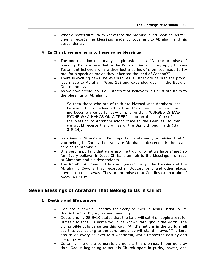• What a powerful truth to know that the promise-filled Book of Deuteronomy records the blessings made by covenant to Abraham and his descendents.

#### 4. In Christ, we are heirs to these same blessings.

- The one question that many people ask is this: "Do the promises of blessing that are recorded in the Book of Deuteronomy apply to New Testament believers or are they just a series of promises made to Israel for a specific time as they inherited the land of Canaan?"
- There is exciting news! Believers in Jesus Christ are heirs to the promises made to Abraham (Gen. 12) and expanded upon in the Book of Deuteronomy.
- As we saw previously, Paul states that believers in Christ are heirs to the blessings of Abraham:

So then those who are of faith are blessed with Abraham, the believer….Christ redeemed us from the curse of the Law, having become a curse for us—for it is written, "CURSED IS EVE-RYONE WHO HANGS ON A TREE"—in order that in Christ Jesus the blessing of Abraham might come to the Gentiles, so that we would receive the promise of the Spirit through faith (Gal. 3:9-14).

- Galatians 3:29 adds another important statement, promising that "if you belong to Christ, then you are Abraham's descendants, heirs according to promise."
- It is very important that we grasp the truth of what we have shared so far. Every believer in Jesus Christ is an heir to the blessings promised to Abraham and his descendents.
- The Abrahamic Covenant has not passed away. The blessings of the Abrahamic Covenant as recorded in Deuteronomy and other places have not passed away. They are promises that Gentiles can partake of today in Christ.

# Seven Blessings of Abraham That Belong to Us in Christ

## 1. Destiny and life purpose

- God has a powerful destiny for every believer in Jesus Christ—a life that is filled with purpose and meaning.
- Deuteronomy 28:9-10 states that the Lord will set His people apart for Himself so that His name would be known throughout the earth. The Living Bible puts verse ten this way: "All the nations in the world shall see that you belong to the Lord, and they will stand in awe." The Lord has called every believer to a wonderful, world-impacting destiny and life purpose.
- Certainly, there is a corporate element to this promise. In our generation, God is beginning to set His Church apart in purity, power, and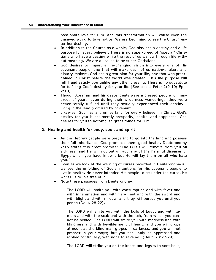passionate love for Him. And this transformation will cause even the unsaved world to take notice. We are beginning to see the Church enter her destiny.

- In addition to the Church as a whole, God also has a destiny and a life purpose for every believer. There is no super-breed of "special" Christians who have a destiny while the rest of us wallow through life without meaning. We are all called to be super-Christians.
- God desires to impart a life-changing vision into every one of His covenant people, one that will make each of us nation-shakers and history-makers. God has a great plan for your life, one that was preordained in Christ before the world was created. This life purpose will fulfill and satisfy you unlike any other blessing. There is no substitute for fulfilling God's destiny for your life (See also 1 Peter 2:9-10; Eph. 2:10).
- Though Abraham and his descendents were a blessed people for hundreds of years, even during their wilderness wanderings, they were never totally fulfilled until they actually experienced their destiny living in the land promised by covenant.
- Likewise, God has a promise land for every believer in Christ. God's destiny for you is not merely prosperity, health, and happiness—God desires for you to accomplish great things for Him.

#### 2. Healing and health for body, soul, and spirit

- As the Hebrew people were preparing to go into the land and possess their full inheritance, God promised them good health. Deuteronomy 7:15 states this great promise: "The LORD will remove from you all sickness; and He will not put on you any of the harmful diseases of Egypt which you have known, but He will lay them on all who hate you."
- Even as we look at the warning of curses recorded in Deuteronomy28, we see the unfolding of God's intentions for His covenant people to live in health. He never intended His people to be under the curse. He wants us to live free of it.
- Note these passages from Deuteronomy:

The LORD will smite you with consumption and with fever and with inflammation and with fiery heat and with the sword and with blight and with mildew, and they will pursue you until you perish (Deut. 28:22).

The LORD will smite you with the boils of Egypt and with tumors and with the scab and with the itch, from which you cannot be healed. The LORD will smite you with madness and with blindness and with bewilderment of heart; and you will grope at noon, as the blind man gropes in darkness, and you will not prosper in your ways; but you shall only be oppressed and robbed continually, with none to save you (Deut. 28:27-29).

The LORD will strike you on the knees and legs with sore boils,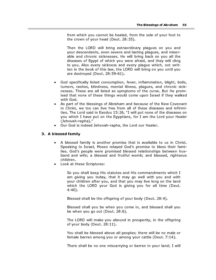from which you cannot be healed, from the sole of your foot to the crown of your head (Deut. 28:35).

Then the LORD will bring extraordinary plagues on you and your descendants, even severe and lasting plagues, and miserable and chronic sicknesses. He will bring back on you all the diseases of Egypt of which you were afraid, and they will cling to you. Also every sickness and every plague which, not written in the book of this law, the LORD will bring on you until you are destroyed (Deut. 28:59-61).

- God specifically listed consumption, fever, inflammation, blight, boils, tumors, rashes, blindness, mental illness, plagues, and chronic sicknesses. These are all listed as symptoms of the curse. But He promised that none of these things would come upon Israel if they walked with God.
- As part of the blessings of Abraham and because of the New Covenant in Christ, we too can live free from all of these diseases and infirmities. The Lord said in Exodus 15:26, "I will put none of the diseases on you which I have put on the Egyptians, for I am the Lord your Healer (Jehovah-rapha)."
- Our God is indeed Jehovah-rapha, the Lord our Healer.

## 3. A blessed family

- A blessed family is another promise that is available to us in Christ. Speaking to Israel, Moses relayed God's promise to bless their families. God's people were promised blessed relationships between husband and wife; a blessed and fruitful womb; and blessed, righteous children.
- Look at these Scriptures:

So you shall keep His statutes and His commandments which I am giving you today, that it may go well with you and with your children after you, and that you may live long on the land which the LORD your God is giving you for all time (Deut. 4:40).

Blessed shall be the offspring of your body (Deut. 28:4).

Blessed shall you be when you come in, and blessed shall you be when you go out (Deut. 28:6).

The LORD will make you abound in prosperity, in the offspring of your body (Deut. 28:11).

You shall be blessed above all peoples; there will be no male or female barren among you or among your cattle (Deut. 7:14).

There shall be no one miscarrying or barren in your land; I will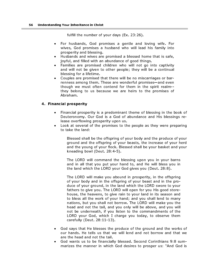fulfill the number of your days (Ex. 23:26).

- For husbands, God promises a gentle and loving wife. For wives, God promises a husband who will lead his family into prosperity and blessing.
- Husbands and wives are promised a blessed home that is safe, joyful, and filled with an abundance of good things.
- Families are promised children who will not go into captivity and will not be given to other people; they will be a continual blessing for a lifetime.
- Couples are promised that there will be no miscarriages or barrenness among them. These are wonderful promises—and even though we must often contend for them in the spirit realm- they belong to us because we are heirs to the promises of Abraham.

## 4. Financial prosperity

- Financial prosperity is a predominant theme of blessing in the book of Deuteronomy. Our God is a God of abundance and His blessings release overflowing prosperity upon us.
- Look at several of the promises to the people as they were preparing to take the land:

Blessed shall be the offspring of your body and the produce of your ground and the offspring of your beasts, the increase of your herd and the young of your flock. Blessed shall be your basket and your kneading bowl (Deut. 28:4-5).

The LORD will command the blessing upon you in your barns and in all that you put your hand to, and He will bless you in the land which the LORD your God gives you (Deut. 28:8).

The LORD will make you abound in prosperity, in the offspring of your body and in the offspring of your beast and in the produce of your ground, in the land which the LORD swore to your fathers to give you. The LORD will open for you His good storehouse, the heavens, to give rain to your land in its season and to bless all the work of your hand; and you shall lend to many nations, but you shall not borrow. The LORD will make you the head and not the tail, and you only will be above, and you will not be underneath, if you listen to the commandments of the LORD your God, which I charge you today, to observe them carefully (Deut. 28:11-13).

- God says that He blesses the produce of the ground and the works of our hands. He tells us that we will lend and not borrow and that we are the head and not the tail.
- God wants us to be financially blessed. Second Corinthians 9:8 summarizes the manner in which God desires to prosper us: "And God is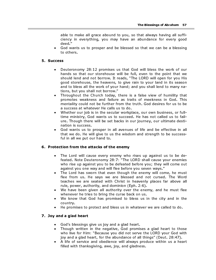able to make all grace abound to you, so that always having all sufficiency in everything, you may have an abundance for every good deed."

God wants us to prosper and be blessed so that we can be a blessing to others.

## 5. Success

- Deuteronomy 28:12 promises us that God will bless the work of our hands so that our storehouse will be full, even to the point that we should lend and not borrow. It reads, "The LORD will open for you His good storehouse, the heavens, to give rain to your land in its season and to bless all the work of your hand; and you shall lend to many nations, but you shall not borrow."
- Throughout the Church today, there is a false view of humility that promotes weakness and failure as traits of meekness in God. This mentality could not be further from the truth. God desires for us to be a success at whatever He calls us to do.
- Whether our job is in the secular workplace, our own business, or fulltime ministry, God wants us to succeed. He has not called us to failure. Though there will be set backs in our journey, our ultimate destination is success.
- God wants us to prosper in all avenues of life and be effective in all that we do. He will give to us the wisdom and strength to be successful in all we put our hand to.

## 6. Protection from the attacks of the enemy

- The Lord will cause every enemy who rises up against us to be defeated. Note Deuteronomy 28:7: "The LORD shall cause your enemies who rise up against you to be defeated before you; they will come out against you one way and will flee before you seven ways."
- The Lord has sworn that even though the enemy will come, he must flee from us. He says we are blessed and not cursed. The Word teaches we are seated with Christ in heavenly places far above all rule, power, authority, and dominion (Eph. 2:6).
- We have been given all authority over the enemy, and he must flee whenever he tries to bring the curse back on us.
- We know that God has promised to bless us in the city and in the country.
- He promises to protect and bless us in whatever we are called to do.

## 7. Joy and a glad heart

- God's blessings give us joy and a glad heart.
- Though written in the negative, God promises a glad heart to those who live for Him: "Because you did not serve the LORD your God with joy and a glad heart, for the abundance of all things" (Deut. 28:47).
- A life of service and obedience will always produce within us a heart filled with thanksgiving, awe, joy, and gladness.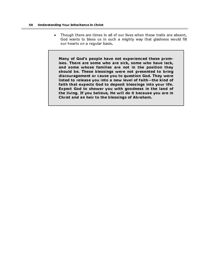• Though there are times in all of our lives when these traits are absent, God wants to bless us in such a mighty way that gladness would fill our hearts on a regular basis.

Many of God's people have not experienced these promises. There are some who are sick, some who have lack, and some whose families are not in the position they should be. These blessings were not presented to bring discouragement or cause you to question God. They were listed to release you into a new level of faith—the kind of faith that expects God to deposit blessings into your life. Expect God to shower you with goodness in the land of the living. If you believe, He will do it because you are in Christ and an heir to the blessings of Abraham.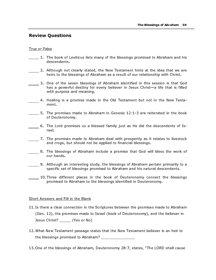# Review Questions

#### True or False

- 1. The book of Leviticus lists many of the blessings promised to Abraham and his descendents.
- 2. Although not clearly stated, the New Testament hints at the idea that we are heirs to the blessings of Abraham as a result of our relationship with Christ.
- 3. One of the seven blessings of Abraham identified in this session is that God has a powerful destiny for every believer in Jesus Christ—a life that is filled with purpose and meaning.
- 4. Healing is a promise made in the Old Testament but not in the New Testament.
- 5. The promises made to Abraham in Genesis 12:1-3 are reiterated in the book of Deuteronomy.
- 6. The Lord promises us a blessed family just as He did the descendents of Israel.
- 7. The promises made to Abraham deal with prosperity as it relates to livestock and crops, but should not be applied to financial blessings.
- 8. The blessings of Abraham include a promise that God will bless the work of our hands.
- 9. Although an interesting study, the blessings of Abraham pertain primarily to a specific set of blessings promised to Abraham and his natural descendents.
- 10. Three different places in the book of Deuteronomy connect the blessings promised to Abraham to the blessings identified in Deuteronomy.

#### Short Answers and Fill in the Blank

- 11. Is there a clear connection in the Scriptures between the promises made to Abraham (Gen. 12), the promises made to Israel (book of Deuteronomy), and the believer in Jesus Christ? \_\_\_\_\_ (Yes or No)
- 12. What New Testament passage states that the New Testament believer is an heir to the blessings promised to Abraham? \_\_\_\_\_\_\_\_\_\_\_\_\_\_\_
- 13. One of the blessings of Abraham, Deuteronomy 28:7, states, "The LORD shall cause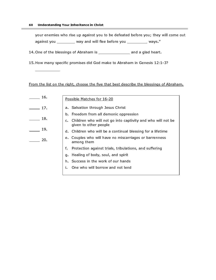#### 60 Understanding Your Inheritance in Christ

your enemies who rise up against you to be defeated before you; they will come out against you \_\_\_\_\_\_\_ way and will flee before you \_\_\_\_\_\_\_\_ ways."

14. One of the blessings of Abraham is \_\_\_\_\_\_\_\_\_\_\_\_\_\_\_\_ and a glad heart.

15. How many specific promises did God make to Abraham in Genesis 12:1-3?

\_\_\_\_\_\_\_\_\_\_\_\_\_\_\_\_

## From the list on the right, choose the five that best describe the blessings of Abraham.

| 16. | Possible Matches for 16-20                                                              |
|-----|-----------------------------------------------------------------------------------------|
|     |                                                                                         |
| 17. | a. Salvation through Jesus Christ                                                       |
|     | b. Freedom from all demonic oppression                                                  |
| 18. | c. Children who will not go into captivity and who will not be<br>given to other people |
| 19. | d. Children who will be a continual blessing for a lifetime                             |
| 20. | e. Couples who will have no miscarriages or barrenness<br>among them                    |
|     | f.<br>Protection against trials, tribulations, and suffering                            |
|     | g. Healing of body, soul, and spirit                                                    |
|     | h. Success in the work of our hands                                                     |
|     | One who will borrow and not lend                                                        |
|     |                                                                                         |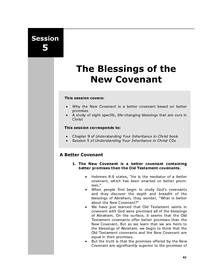Session 5

# The Blessings of the New Covenant

## This session covers:

- Why the New Covenant is a better covenant based on better promises
- A study of eight specific, life-changing blessings that are ours in Christ

#### This session corresponds to:

- Chapter 9 of Understanding Your Inheritance in Christ book
- Session 5 of Understanding Your Inheritance in Christ CDs

# A Better Covenant

- 1. The New Covenant is a better covenant containing better promises than the Old Testament covenants.
	- Hebrews 8:6 states, "He is the mediator of a better covenant, which has been enacted on better promises."
	- When people first begin to study God's covenants and they discover the depth and breadth of the blessings of Abraham, they wonder, "What is better about the New Covenant?"
	- We have just learned that Old Testament saints in covenant with God were promised all of the blessings of Abraham. On the surface, it seems that the Old Testament covenants offer better promises than the New Covenant. But as we learn that we are heirs to the blessings of Abraham, we begin to think that the Old Testament covenants and the New Covenant are equal in their promises.
	- But the truth is that the promises offered by the New Covenant are significantly superior to the promises of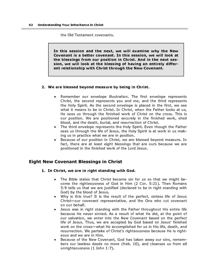the Old Testament covenants.

In this session and the next, we will examine why the New Covenant is a better covenant. In this session, we will look at the blessings from our position in Christ. And in the next session, we will look at the blessing of having an entirely different relationship with Christ through the New Covenant.

#### 2. We are blessed beyond measure by being in Christ.

- Remember our envelope illustration. The first envelope represents Christ, the second represents you and me, and the third represents the Holy Spirit. As the second envelope is placed in the first, we see what it means to be in Christ. In Christ, when the Father looks at us, He sees us through the finished work of Christ on the cross. This is our position. We are positioned securely in the finished work, shed blood, and the death, burial, and resurrection of Christ.
- The third envelope represents the Holy Spirit. Even though the Father sees us through the life of Jesus, the Holy Spirit is at work in us making us in practice what we are in position.
- Because of our position in Christ, we are blessed beyond measure. In fact, there are at least eight blessings that are ours because we are positioned in the finished work of the Lord Jesus.

# Eight New Covenant Blessings in Christ

- 1. In Christ, we are in right standing with God.
	- The Bible states that Christ became sin for us so that we might become the righteousness of God in Him (2 Cor. 5:21). Then Romans 5:9 tells us that we are justified (declared to be in right standing with God) by the blood of Jesus.
	- Why is this true? It is the result of the perfect, sinless life of Jesus Christ—our covenant representative, and the One who cut covenant on our behalf.
	- Jesus was in right standing with the Father throughout His entire life because He never sinned. As a result of what He did, at the point of our salvation, we enter into the New Covenant based on the perfect life of Jesus. Thus, we are accepted by God based on Jesus' finished work on the cross—what He accomplished for us in His life, death, and resurrection. We partake of Christ's righteousness because He is righteous and we are in Him.
	- Because of the New Covenant, God has taken away our sins, remembers our lawless deeds no more (Heb. 10), and cleanses us from all unrighteousness (1 John 1:7).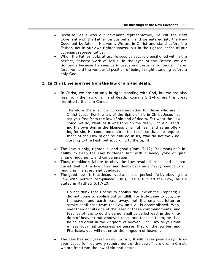- Because Jesus was our covenant representative, He cut the New Covenant with the Father on our behalf, and we entered into the New Covenant by faith in His work. We are in Christ and stand before the Father, not in our own righteousness, but in the righteousness of our covenant representative.
- When the Father looks at us, He sees us securely positioned within the perfect, finished work of Jesus. In the eyes of the Father, we are righteous because He sees us in Jesus and Jesus is righteous. Therefore, we hold the wonderful position of being in right standing before a holy God.

#### 2. In Christ, we are free from the law of sin and death.

In Christ, we are not only in right standing with God, but we are also free from the law of sin and death. Romans 8:1-4 offers this great promise to those in Christ:

Therefore there is now no condemnation for those who are in Christ Jesus. For the law of the Spirit of life in Christ Jesus has set you free from the law of sin and of death. For what the Law could not do, weak as it was through the flesh, God did: sending His own Son in the likeness of sinful flesh and as an offering for sin, He condemned sin in the flesh, so that the requirement of the Law might be fulfilled in us, who do not walk according to the flesh but according to the Spirit.

- The Law is holy, righteous, and good (Rom. 7:12). Yet mankind's inability to keep the Law burdened him with a heavy yoke of guilt, shame, judgment, and condemnation.
- Thus, mankind's failure to obey the Law resulted in sin and sin produced death. This law of sin and death became a heavy weight to all, resulting in slavery and bondage.
- The good news is that Jesus lived a sinless, perfect life by obeying the Law with perfect compliance. Thus, Jesus fulfilled the Law, as He stated in Matthew 5:17-20:

Do not think that I came to abolish the Law or the Prophets; I did not come to abolish but to fulfill. For truly I say to you, until heaven and earth pass away, not the smallest letter or stroke shall pass from the Law until all is accomplished. Whoever then annuls one of the least of these commandments, and teaches others to do the same, shall be called least in the kingdom of heaven; but whoever keeps and teaches them, he shall be called great in the kingdom of heaven. For I say to you that unless your righteousness surpasses that of the scribes and Pharisees, you will not enter the kingdom of heaven.

• The Law has not passed away. In fact, it will never pass away. However, Jesus fulfilled every requirement of the Law. Therefore, in Christ, we are free from the law of sin and death.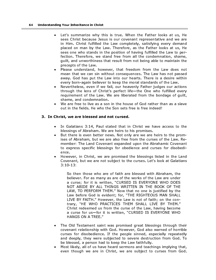#### 64 Understanding Your Inheritance in Christ

- Let's summarize why this is true. When the Father looks at us, He sees Christ because Jesus is our covenant representative and we are in Him. Christ fulfilled the Law completely, satisfying every demand placed on man by the Law. Therefore, as the Father looks at us, He sees one who stands in the position of having fulfilled the Law to perfection. Therefore, we stand free from all the condemnation, shame, guilt, and unworthiness that result from not being able to maintain the precepts of the Law.
- Please understand, however, that freedom from the Law does not mean that we can sin without consequences. The Law has not passed away. God has put the Law into our hearts. There is a desire within every born-again believer to keep the moral standards of the Law.
- Nevertheless, even if we fail, our heavenly Father judges our actions through the lens of Christ's perfect life—the One who fulfilled every requirement of the Law. We are liberated from the bondage of guilt, shame, and condemnation.
- We are free to live as a son in the house of God rather than as a slave out in the fields. He who the Son sets free is free indeed!

#### 3. In Christ, we are blessed and not cursed.

- In Galatians 3:14, Paul stated that in Christ we have access to the blessings of Abraham. We are heirs to his promises.
- But there is even better news. Not only are we are heirs to the promises of Abraham, but we are also free from the curses of the Law. Remember: The Land Covenant expanded upon the Abrahamic Covenant to express specific blessings for obedience and curses for disobedience.
- However, in Christ, we are promised the blessings listed in the Land Covenant, but we are not subject to the curses. Let's look at Galatians 3:10-13:

So then those who are of faith are blessed with Abraham, the believer. For as many as are of the works of the Law are under a curse; for it is written, "CURSED IS EVERYONE WHO DOES NOT ABIDE BY ALL THINGS WRITTEN IN THE BOOK OF THE LAW, TO PERFORM THEM." Now that no one is justified by the Law before God is evident; for, "THE RIGHTEOUS MAN SHALL LIVE BY FAITH." However, the Law is not of faith; on the contrary, "HE WHO PRACTICES THEM SHALL LIVE BY THEM." Christ redeemed us from the curse of the Law, having become a curse for us—for it is written, "CURSED IS EVERYONE WHO HANGS ON A TREE."

- The Old Testament saint was promised great blessings through their covenant relationship with God. However, God also warned of horrible curses for disobedience. If the people sinned, especially repeatedly and deeply, they were subjected to severe destruction from God. To be blessed, a person had to keep the Law faithfully.
- Most likely, all of us have heard sermons and teachings implying that, even though we are in Christ, we are subject to curses from God.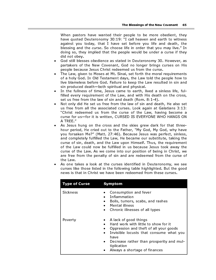When pastors have wanted their people to be more obedient, they have quoted Deuteronomy 30:19: "I call heaven and earth to witness against you today, that I have set before you life and death, the blessing and the curse. So choose life in order that you may live." In doing so, they implied that the people would be under a curse if they did not obey.

- God still blesses obedience as stated in Deuteronomy 30. However, as partakers of the New Covenant, God no longer brings curses on His people because Jesus Christ redeemed us from the curse.
- The Law, given to Moses at Mt. Sinai, set forth the moral requirements of a holy God. In Old Testament days, the Law told the people how to live blameless before God. Failure to keep the Law resulted in sin and sin produced death—both spiritual and physical.
- In the fullness of time, Jesus came to earth, lived a sinless life, fulfilled every requirement of the Law, and with His death on the cross, set us free from the law of sin and death (Rom. 8:1-4).
- Not only did He set us free from the law of sin and death, He also set us free from all the associated curses. Look again at Galatians 3:13: "Christ redeemed us from the curse of the Law, having become a curse for us—for it is written, CURSED IS EVERYONE WHO HANGS ON A TREE."
- As Jesus hung on the cross and the skies grew dark for that threehour period, He cried out to the Father, "My God, My God, why have you forsaken Me?" (Matt. 27:46). Because Jesus was perfect, sinless, and completely fulfilled the Law, He became our substitute, taking the curse of sin, death, and the Law upon Himself. Thus, the requirement of the Law could now be fulfilled in us because Jesus took away the curse of the Law. As we come into our position of being in Christ, we are free from the penalty of sin and are redeemed from the curse of the Law. The Blessings of the New Covenant 65<br>
When pastors have wanted their people to be more obedient, they<br>
against you today, that 1 have set before you life and death, the<br>
lessing and the curse. So choose life in order that
- As one takes a look at the curses identified in Deuteronomy, we see curses like those listed in the following table highlighted. But the good news is that in Christ we have been redeemed from these curses.

| Type of Curse   | <b>Symptom</b>                                                                                                                                                                                                                                                      |
|-----------------|---------------------------------------------------------------------------------------------------------------------------------------------------------------------------------------------------------------------------------------------------------------------|
| <b>Sickness</b> | Consumption and fever<br>Inflammation<br>Boils, tumors, scabs, and rashes<br>Mental illness<br>Chronic illnesses of all types<br>$\bullet$                                                                                                                          |
| Poverty         | A lack of good things<br>Hard work with little to show for it<br>Oppression and theft of all your goods<br>Invisible locusts that consume what you<br>have<br>Decrease rather than prosperity and mul-<br>$\bullet$<br>tiplication<br>Always a shortage of finances |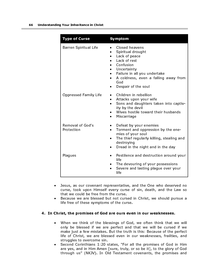| <b>Type of Curse</b>           | <b>Symptom</b>                                                                                                                                                                                                                  |
|--------------------------------|---------------------------------------------------------------------------------------------------------------------------------------------------------------------------------------------------------------------------------|
| Barren Spiritual Life          | Closed heavens<br>Spiritual drought<br>$\bullet$<br>Lack of peace<br>٠<br>Lack of rest<br>• Confusion<br>Uncertainty<br>Failure in all you undertake<br>A coldness, even a falling away from<br>God<br>Despair of the soul<br>٠ |
| Oppressed Family Life          | Children in rebellion<br>Attacks upon your wife<br>$\bullet$<br>Sons and daughters taken into captiv-<br>$\bullet$<br>ity by the devil<br>Wives hostile toward their husbands<br>Miscarriage                                    |
| Removal of God's<br>Protection | Defeat by your enemies<br>$\bullet$<br>Torment and oppression by the ene-<br>$\bullet$<br>mies of your soul<br>The thief regularly killing, stealing and<br>$\bullet$<br>destroying<br>Dread in the night and in the day        |
| Plagues                        | Pestilence and destruction around your<br>life.<br>The devouring of your possessions<br>Severe and lasting plague over your<br>life                                                                                             |

- Jesus, as our covenant representative, and the One who deserved no curse, took upon Himself every curse of sin, death, and the Law so that we could be free from the curse.
- Because we are blessed but not cursed in Christ, we should pursue a life free of these symptoms of the curse.

## 4. In Christ, the promises of God are ours even in our weaknesses.

- When we think of the blessings of God, we often think that we will only be blessed if we are perfect and that we will be cursed if we make just a few mistakes. But the truth is this: Because of the perfect life of Christ, we are blessed even in our weaknesses, frailties, and struggles to overcome sin.
- Second Corinthians 1:20 states, "For all the promises of God in Him are yes, and in Him Amen [sure, truly, or so be it], to the glory of God through us" (NKJV). In Old Testament covenants, the promises and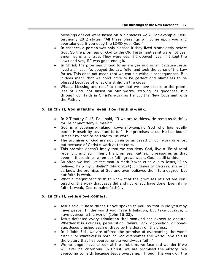blessings of God were based on a blameless walk. For example, Deuteronomy 28:2 states, "All these blessings will come upon you and overtake you if you obey the LORD your God."

- In essence, a person was only blessed if they lived blamelessly before God. So the promises of God to the Old Testament saint were not yes, amen, sure, and true. They were yes, if I obeyed; yes, if I kept the Law; and yes, if I was good enough.
- In Christ, the promises of God to us are yes and amen because Jesus lived a sinless life, obeyed the Law fully, and took the curse of the Law for us. This does not mean that we can sin without consequences. But it does mean that we don't have to be perfect and blameless to be blessed because of what Christ did on the cross.
- What a blessing and relief to know that we have access to the promises of God—not based on our works, striving, or goodness—but through our faith in Christ's work as He cut the New Covenant with the Father.

## 5. In Christ, God is faithful even if our faith is weak.

- In 2 Timothy 2:13, Paul said, "If we are faithless, He remains faithful, for He cannot deny Himself."
- God is a covenant-making, covenant-keeping God who has legally bound Himself by covenant to fulfill His promises to us. He has bound Himself by oath to be true to His word.
- The promises of God are not given to us based on our work or effort but because of Christ's work at the cross.
- This promise doesn't imply that we can deny God, live a life of total rebellion, and still inherit His promises. Rather, it reassures us that even in those times when our faith grows weak, God is still faithful.
- So often we feel like the man in Mark 9 who cried out to Jesus, "I do believe; help my unbelief" (Mark 9:24). In times of distress, many of us know the promises of God and even believed them to a degree, but our faith is weak.
- What a magnificent truth to know that the promises of God are centered on the work that Jesus did and not what I have done. Even if my faith is weak, God remains faithful.

## 6. In Christ, we are overcomers.

- Jesus said, "These things I have spoken to you, so that in Me you may have peace. In the world you have tribulation, but take courage; I have overcome the world" (John 16:33).
- Jesus defeated every tribulation that mankind can expect to endure. Whether it is sickness, persecution, failure, lack, opposition, or bondage, Jesus crushed each of these by His death on the cross.
- In 1 John 5:4, we are offered the promise of overcoming the world also: "For whatever is born of God overcomes the world; and this is the victory that has overcome the world—our faith."
- We no longer have to look at the problems we face and wonder if we will ever be victorious. In Christ, we are promised the victory. We overcome by faith because Jesus overcame. Through His work on the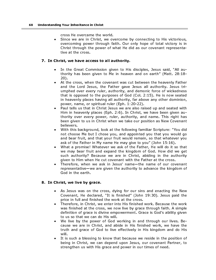cross He overcame the world.

• Since we are in Christ, we overcome by connecting to His victorious, overcoming power through faith. Our only hope of total victory is in Christ through the power of what He did as our covenant representative at the cross.

#### 7. In Christ, we have access to all authority.

- In the Great Commission given to His disciples, Jesus said, "All authority has been given to Me in heaven and on earth" (Matt. 28:18- 20).
- At the cross, when the covenant was cut between the heavenly Father and the Lord Jesus, the Father gave Jesus all authority. Jesus triumphed over every ruler, authority, and demonic force of wickedness that is opposed to the purposes of God (Col. 2:15). He is now seated in heavenly places having all authority, far above any other dominion, power, name, or spiritual ruler (Eph. 1:20-22).
- Paul tells us that in Christ Jesus we are also raised up and seated with Him in heavenly places (Eph. 2:6). In Christ, we have been given authority over every power, ruler, authority, and name. This right has been given to us in Christ when we take our position as New Covenant believers.
- With this background, look at the following familiar Scripture: "You did not choose Me but I chose you, and appointed you that you would go and bear fruit, and that your fruit would remain, so that whatever you ask of the Father in My name He may give to you" (John 15:16).
- What a promise! Whatever we ask of the Father, He will do it so that we may bear fruit and expand the kingdom of God. How did we get such authority? Because we are in Christ, abiding in the authority given to Him when He cut covenant with the Father at the cross.
- Therefore, when we ask in Jesus' name—the name of our covenant representative—we are given the authority to advance the kingdom of God in the earth.

## 8. In Christ, we live by grace.

- As Jesus was on the cross, dying for our sins and enacting the New Covenant, He declared, "It is finished" (John 19:30). Jesus paid the price in full and finished the work at the cross.
- Therefore, in Christ, we enter into His finished work. Because the work was finished at the cross, we now live by grace through faith. A simple definition of grace is divine empowerment. Grace is God's ability given to us so that we can do His will.
- We live by the power of God working in and through our lives. Because we are in Christ, and abide in His finished work, we have the truth and grace of God to live effectively in His kingdom and do His will.
- It is such a blessing to know that because we reside in the position of being in Christ, we can depend upon Jesus, our covenant Partner, to strengthen us with His grace and power in our times of need.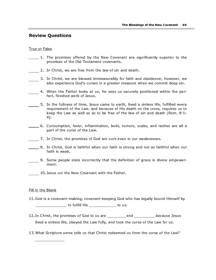## Review Questions

#### True or False

- 1. The promises offered by the New Covenant are significantly superior to the promises of the Old Testament covenants.
- 2. In Christ, we are free from the law of sin and death.
- 3. In Christ, we are blessed immeasurably for faith and obedience; however, we also experience God's curses in a greater measure when we commit deep sin.
- 4. When the Father looks at us, He sees us securely positioned within the perfect, finished work of Jesus.
- 5. In the fullness of time, Jesus came to earth, lived a sinless life, fulfilled every requirement of the Law, and because of His death on the cross, requires us to keep the Law as well so as to be free of the law of sin and death (Rom. 8:1- 4).
- 6. Consumption, fever, inflammation, boils, tumors, scabs, and rashes are all a part of the curse of the Law.
- 7. In Christ, the promises of God are ours even in our weaknesses.
- 8. In Christ, God is faithful when our faith is strong and not as faithful when our faith is weak.
- 9. Some people state incorrectly that the definition of grace is divine empowerment.
- 10. Jesus cut the New Covenant with the Father.

#### Fill in the Blank

\_\_\_\_\_\_\_\_\_\_\_\_\_\_\_\_

- 11. God is a covenant-making, covenant-keeping God who has legally bound Himself by \_\_\_\_\_\_\_\_\_\_\_\_\_\_ to fulfill His \_\_\_\_\_\_\_\_\_\_\_\_ to us.
- 12. In Christ, the promises of God to us are \_\_\_\_\_\_\_\_ and \_\_\_\_\_\_\_\_\_ because Jesus lived a sinless life, obeyed the Law fully, and took the curse of the Law for us.
- 13. What Scripture verse tells us that Christ redeemed us from the curse of the Law?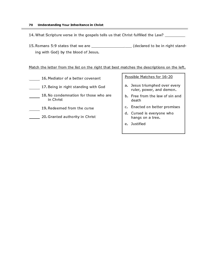#### 70 Understanding Your Inheritance in Christ

- 14. What Scripture verse in the gospels tells us that Christ fulfilled the Law? \_\_\_\_\_\_\_\_\_
- 15. Romans 5:9 states that we are \_\_\_\_\_\_\_\_\_\_\_\_\_\_\_\_\_\_\_ (declared to be in right standing with God) by the blood of Jesus.

## Match the letter from the list on the right that best matches the descriptions on the left.

- 16. Mediator of a better covenant
- 17. Being in right standing with God
- 18. No condemnation for those who are in Christ
- 19. Redeemed from the curse
- **20. Granted authority in Christ**

Possible Matches for 16-20

- a. Jesus triumphed over every ruler, power, and demon.
- b. Free from the law of sin and death
- c. Enacted on better promises
- d. Cursed is everyone who hangs on a tree.
- e. Justified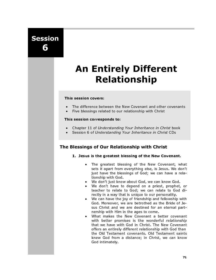Session 6

# An Entirely Different Relationship

## This session covers:

- The difference between the New Covenant and other covenants
- Five blessings related to our relationship with Christ

#### This session corresponds to:

- Chapter 11 of Understanding Your Inheritance in Christ book
- Session 6 of Understanding Your Inheritance in Christ CDs

# The Blessings of Our Relationship with Christ

- 1. Jesus is the greatest blessing of the New Covenant.
	- The greatest blessing of the New Covenant, what sets it apart from everything else, is Jesus. We don't just have the blessings of God; we can have a relationship with God.
	- We don't just know about God, we can know God.
	- We don't have to depend on a priest, prophet, or teacher to relate to God; we can relate to God directly in a way that is unique to our personality.
	- We can have the joy of friendship and fellowship with God. Moreover, we are betrothed as the Bride of Jesus Christ and we are destined for an eternal partnership with Him in the ages to come.
	- What makes the New Covenant a better covenant with better promises is the wonderful relationship that we have with God in Christ. The New Covenant offers an entirely different relationship with God than the Old Testament covenants. Old Testament saints knew God from a distance; in Christ, we can know God intimately.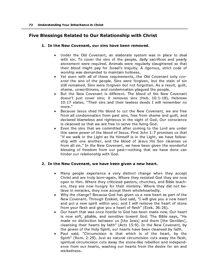# Five Blessings Related to Our Relationship with Christ

## 1. In the New Covenant, our sins have been removed.

- Under the Old Covenant, an elaborate system was in place to deal with sin. To cover the sins of the people, daily sacrifices and yearly atonement were required. Animals were regularly slaughtered so that their blood might pay for Israel's iniquity. A rigorous, strict code of worship was demanded to maintain holiness.
- Yet even with all of these requirements, the Old Covenant only covered the sins of the people. Sins were forgiven, but the stain of sin still remained. Sins were forgiven but not forgotten. As a result, guilt, shame, unworthiness, and condemnation plagued the people.
- But the New Covenant is different. The blood of the New Covenant doesn't just cover sins; it removes sins (Heb. 10:1-18). Hebrews 10:17 states, "Their sins and their lawless deeds I will remember no more."
- Because Jesus shed His blood to cut the New Covenant, we are free from all condemnation from past sins, free from shame and guilt, and declared blameless and righteous in the sight of God. Our conscience is cleansed so that we are free to serve the living God.
- Even the sins that we committed after coming to the Lord are under this same power of the blood of Jesus. First John 1:7 promises us that "if we walk in the Light as He Himself is in the Light, we have fellowship with one another, and the blood of Jesus His Son cleanses us from all sin." In the New Covenant, we have been given the wonderful blessing of freedom from our past—nothing that we have done can hinder our relationship with God.

## 2. In the New Covenant, we have been given a new heart.

- Many people experience a very distinct change when they accept Christ and are truly born-again. Where they resisted God they are now open to Him. Where they criticized pastors, churches, and Bible teachers, they are now hungry for their ministry. Where they did not believe in miracles, they now accept them wholeheartedly.
- Why the change? Because God has given us a new heart as part of the New Covenant. Through Ezekiel, God said, "I will give you a new heart and put a new spirit within you; and I will remove the heart of stone from your flesh and give you a heart of flesh" (Ezek. 36:26).
- Our heart that was once hostile to God has been made new. Our heart is now soft, pliable, and sensitive toward God. The Bible says, "He made no distinction between us [the Jews] and them [the Gentiles], cleansing their hearts by faith" (Acts 15:9). In the New Covenant, by the power of the Holy Spirit, our hearts have been cleansed by faith.
- Paul said, "Circumcision is that which is of the heart, by the Spirit" (Rom. 2:29). Just as natural circumcision cuts away the flesh, spiritual circumcision cuts away the stone-like rebellion and independence from our hearts, washing our hearts from the desire for sin and wickedness.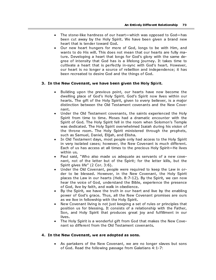- The stone-like hardness of our heart—which was opposed to God—has been cut away by the Holy Spirit. We have been given a brand new heart that is tender toward God.
- Our new heart hungers for more of God, longs to be with Him, and wants to do His will. This does not mean that our hearts are fully mature. Developing a heart that longs for God's glory with the same degree of intensity that God has is a lifelong journey. It takes time to cultivate a heart that is perfectly in-sync with God's heart. However, our heart is no longer a source of rebellion and independence; it has been recreated to desire God and the things of God.

## 3. In the New Covenant, we have been given the Holy Spirit.

- Building upon the previous point, our hearts have now become the dwelling place of God's Holy Spirit. God's Spirit now lives within our hearts. The gift of the Holy Spirit, given to every believer, is a major distinction between the Old Testament covenants and the New Covenant.
- Under the Old Testament covenants, the saints experienced the Holy Spirit from time to time. Moses had a dramatic encounter with the Spirit of God. The Holy Spirit fell in the room when Solomon's Temple was dedicated. The Holy Spirit overwhelmed Isaiah during his vision of the throne room. The Holy Spirit ministered through the prophets, such as Samuel, Daniel, Elijah, and Elisha.
- In Old Testament days, most people only had access to the Holy Spirit in very isolated cases; however, the New Covenant is much different. Each of us has access at all times to the precious Holy Spirit—He lives within us.
- Paul said, "Who also made us adequate as servants of a new covenant, not of the letter but of the Spirit; for the letter kills, but the Spirit gives life" (2 Cor. 3:6).
- Under the Old Covenant, people were required to keep the Law in order to be blessed. However, in the New Covenant, the Holy Spirit places the Law in our hearts (Heb. 8:7-12). By the Spirit, we can now hear the voice of God, understand the Bible, experience the presence of God, live by faith, and walk in obedience.
- By the Spirit, we have the truth in our heart and live by the enabling power of God's grace. Thus, all the New Covenant promises are ours as we live in fellowship with the Holy Spirit.
- New Covenant living is not just keeping a set of rules or principles that position us for blessing. It consists of a relationship with the Father, Son, and Holy Spirit that produces great joy and fulfillment in our lives.
- The Holy Spirit is a wonderful gift from God that makes the New Covenant so different from the Old Testament covenants.

## 4. In the New Covenant, we are adopted as sons.

• As partakers of the New Covenant, we are no longer slaves but sons of God. Read the following passage from Galatians 4:1-7: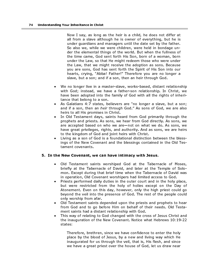Now I say, as long as the heir is a child, he does not differ at all from a slave although he is owner of everything, but he is under guardians and managers until the date set by the father. So also we, while we were children, were held in bondage under the elemental things of the world. But when the fullness of the time came, God sent forth His Son, born of a woman, born under the Law, so that He might redeem those who were under the Law, that we might receive the adoption as sons. Because you are sons, God has sent forth the Spirit of His Son into our hearts, crying, "Abba! Father!" Therefore you are no longer a slave, but a son; and if a son, then an heir through God.

- We no longer live in a master-slave, works-based, distant relationship with God; instead, we have a father-son relationship. In Christ, we have been adopted into the family of God with all the rights of inheritance that belong to a son.
- As Galatians 4:7 states, believers are "no longer a slave, but a son; and if a son, then an heir through God." As sons of God, we are also heirs to all His promises in Christ.
- In Old Testament days, saints heard from God primarily through the prophets and priests. As sons, we hear from God directly. As sons, we are accepted based on who we are—not on what we do. As sons, we have great privileges, rights, and authority. And as sons, we are heirs to the kingdom of God and joint heirs with Christ.
- Living as a son of God is a foundational distinction between the blessings of the New Covenant and the blessings contained in the Old Testament covenants.

#### 5. In the New Covenant, we can have intimacy with Jesus.

- Old Testament saints worshiped God at the Tabernacle of Moses, briefly at the Tabernacle of David, and later at the Temple of Solomon. Except during that brief time when the Tabernacle of David was in operation, Old Covenant worshipers had limited access to God.
- Priests performed daily duties in the outer court and in the holy place, but were restricted from the holy of holies except on the Day of Atonement. Even on this day, however, only the high priest could go beyond the veil into the presence of God. The rest of the people could only worship from afar.
- Old Testament saints depended upon the priests and prophets to hear from God and to go before Him on behalf of their needs. Old Testament saints had a distant relationship with God.
- This way of relating to God changed with the cross of Jesus Christ and the inauguration of the New Covenant. Notice what Hebrews 10:19-22 states:

Therefore, brethren, since we have confidence to enter the holy place by the blood of Jesus, by a new and living way which He inaugurated for us through the veil, that is, His flesh, and since we have a great priest over the house of God, let us draw near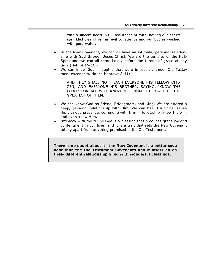with a sincere heart in full assurance of faith, having our hearts sprinkled clean from an evil conscience and our bodies washed with pure water.

- In the New Covenant, we can all have an intimate, personal relationship with God through Jesus Christ. We are the temples of the Holy Spirit and we can all come boldly before the throne of grace at any time (Heb. 4:15-16). An Entirely Different Relationship 75<br>
With a sincere heart in full assurance of faith, having our hearts<br>
sprinkled clean from an evil conscience and our bodies washed<br>
With pure water.<br>
In the New Covenant, we can all ha
- We can know God in depths that were impossible under Old Testament covenants. Notice Hebrews 8:11:

AND THEY SHALL NOT TEACH EVERYONE HIS FELLOW CITI-ZEN, AND EVERYONE HIS BROTHER, SAYING, 'KNOW THE LORD,' FOR ALL WILL KNOW ME, FROM THE LEAST TO THE GREATEST OF THEM.

- We can know God as Friend, Bridegroom, and King. We are offered a deep, personal relationship with Him. We can hear His voice, sense His glorious presence, commune with Him in fellowship, know His will, and even know Him.
- Intimacy with the triune God is a blessing that produces great joy and contentment in our lives, and it is a trait that sets the New Covenant totally apart from anything promised in the Old Testament.

nant than the Old Testament Covenants and it offers an entirely different relationship filled with wonderful blessings.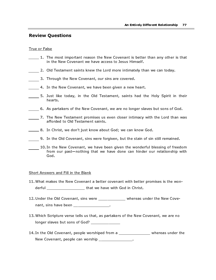# Review Questions

#### True or False

- 1. The most important reason the New Covenant is better than any other is that in the New Covenant we have access to Jesus Himself.
- 2. Old Testament saints knew the Lord more intimately than we can today.
- 3. Through the New Covenant, our sins are covered.
- 4. In the New Covenant, we have been given a new heart.
- 5. Just like today, in the Old Testament, saints had the Holy Spirit in their hearts.
- 6. As partakers of the New Covenant, we are no longer slaves but sons of God.
- 7. The New Testament promises us even closer intimacy with the Lord than was afforded to Old Testament saints.
- **2008** S. In Christ, we don't just know about God; we can know God.
- 9. In the Old Covenant, sins were forgiven, but the stain of sin still remained.
- 10. In the New Covenant, we have been given the wonderful blessing of freedom from our past—nothing that we have done can hinder our relationship with God.

#### Short Answers and Fill in the Blank

- 11. What makes the New Covenant a better covenant with better promises is the wonderful \_\_\_\_\_\_\_\_\_\_\_\_\_\_\_\_\_\_\_\_\_ that we have with God in Christ.
- 12. Under the Old Covenant, sins were \_\_\_\_\_\_\_\_\_\_\_\_ whereas under the New Covenant, sins have been \_\_\_\_\_\_\_\_\_\_\_\_\_\_\_\_\_
- 13. Which Scripture verse tells us that, as partakers of the New Covenant, we are no longer slaves but sons of God? \_\_\_\_\_\_\_\_\_\_\_\_\_\_\_
- 14. In the Old Covenant, people worshiped from a \_\_\_\_\_\_\_\_\_\_\_\_\_\_ whereas under the New Covenant, people can worship \_\_\_\_\_\_\_\_\_\_\_\_\_\_\_\_.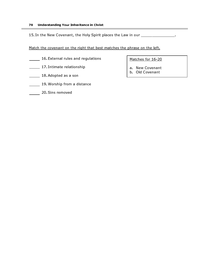#### 78 Understanding Your Inheritance in Christ

15. In the New Covenant, the Holy Spirit places the Law in our \_\_\_\_\_\_\_\_\_\_\_\_\_\_\_\_.

Match the covenant on the right that best matches the phrase on the left.

- **16. External rules and regulations**
- 17. Intimate relationship
- **18. Adopted as a son**
- 19. Worship from a distance
- **120. Sins removed**

Matches for 16-20

- a. New Covenant
- b. Old Covenant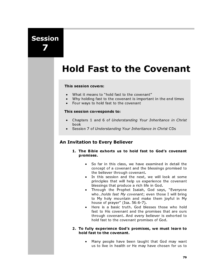Session 7

# Hold Fast to the Covenant

## This session covers:

- What it means to "hold fast to the covenant"
- Why holding fast to the covenant is important in the end times
- Four ways to hold fast to the covenant

#### This session corresponds to:

- Chapters 1 and 6 of Understanding Your Inheritance in Christ book
- Session 7 of Understanding Your Inheritance in Christ CDs

# An Invitation to Every Believer

- 1. The Bible exhorts us to hold fast to God's covenant promises.
	- So far in this class, we have examined in detail the concept of a covenant and the blessings promised to the believer through covenant.
	- In this session and the next, we will look at some principles that will help us experience the covenant blessings that produce a rich life in God.
	- Through the Prophet Isaiah, God says, "Everyone who...holds fast My covenant; even those I will bring to My holy mountain and make them joyful in My house of prayer" (Isa. 56:6-7).
	- Here is a basic truth. God blesses those who hold fast to His covenant and the promises that are ours through covenant. And every believer is exhorted to hold fast to the covenant promises of God.

## 2. To fully experience God's promises, we must learn to hold fast to the covenant.

Many people have been taught that God may want us to live in health or He may have chosen for us to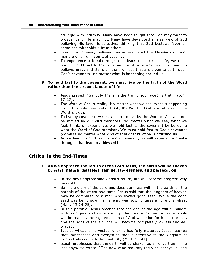struggle with infirmity. Many have been taught that God may want to prosper us or He may not. Many have developed a false view of God believing His favor is selective, thinking that God bestows favor on some and withholds it from others.

- Even though every believer has access to all the blessings of God, many are living in spiritual poverty.
- To experience a breakthrough that leads to a blessed life, we must learn to hold fast to the covenant. In other words, we must learn to believe, pray, and stand on the promises that are given to us through God's covenants—no matter what is happening around us.

#### 3. To hold fast to the covenant, we must live by the truth of the Word rather than the circumstances of life.

- Jesus prayed, "Sanctify them in the truth; Your word is truth" (John 17:17).
- The Word of God is reality. No matter what we see, what is happening around us, what we feel or think, the Word of God is what is real—the Word is truth.
- To live by covenant, we must learn to live by the Word of God and not be moved by our circumstances. No matter what we see, what we feel, think, or experience, we hold fast to the covenant by believing what the Word of God promises. We must hold fast to God's covenant promises no matter what kind of trial or tribulation is afflicting us.
- As we learn to hold fast to God's covenant, we will experience breakthroughs that lead to a blessed life.

# Critical in the End-Times

#### 1. As we approach the return of the Lord Jesus, the earth will be shaken by wars, natural disasters, famine, lawlessness, and persecution.

- In the days approaching Christ's return, life will become progressively more difficult.
- Both the glory of the Lord and deep darkness will fill the earth. In the parable of the wheat and tares, Jesus said that the kingdom of heaven may be compared to a man who sowed good seed. While the good seed was being sown, an enemy was sowing tares among the wheat (Matt. 13:24-25).
- In this parable, Jesus teaches that the end of the age will culminate with both good and evil maturing. The great end-time harvest of souls will be reaped, the righteous sons of God will shine forth like the sun, and the sons of the evil one will become completely lawless and depraved.
- Just as wheat is harvested when it has fully matured, Jesus teaches that lawlessness and everything that is offensive to the kingdom of God will also come to full maturity (Matt. 13:41).
- Isaiah prophesied that the earth will be shaken as an olive tree in the last days. He wrote: "The new wine mourns, the vine decays, all the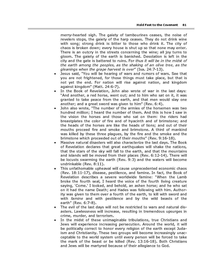merry-hearted sigh. The gaiety of tambourines ceases, the noise of revelers stops, the gaiety of the harp ceases. They do not drink wine with song; strong drink is bitter to those who drink it. The city of chaos is broken down; every house is shut up so that none may enter. There is an outcry in the streets concerning the wine; all joy turns to gloom. The gaiety of the earth is banished. Desolation is left in the city and the gate is battered to ruins. For thus it will be in the midst of the earth among the peoples, as the shaking of an olive tree, as the gleanings when the grape harvest is over" (Isa. 24:7-13).

- Jesus said, "You will be hearing of wars and rumors of wars. See that you are not frightened, for those things must take place, but that is not yet the end. For nation will rise against nation, and kingdom against kingdom" (Matt. 24:6-7).
- In the Book of Revelation, John also wrote of war in the last days: "And another, a red horse, went out; and to him who sat on it, it was granted to take peace from the earth, and that men would slay one another; and a great sword was given to him" (Rev. 6:4).
- John also wrote, "The number of the armies of the horsemen was two hundred million; I heard the number of them. And this is how I saw in the vision the horses and those who sat on them: the riders had breastplates the color of fire and of hyacinth and of brimstone; and the heads of the horses are like the heads of lions; and out of their mouths proceed fire and smoke and brimstone. A third of mankind was killed by these three plagues, by the fire and the smoke and the brimstone which proceeded out of their mouths" (Rev. 9:16-18).
- Massive natural disasters will also characterize the last days. The Book of Revelation declares that great earthquakes will shake the nations, that the stars of the sky will fall to the earth, and that the mountains and islands will be moved from their places (Rev. 6:12-14). There will be locusts swarming the earth (Rev. 9:3) and the waters will become undrinkable (Rev. 8:11).
- This unfathomable upheaval will cause unprecedented economic chaos (Rev. 18:11-17), disease, pestilence, and famine. In fact, the Book of Revelation describes a severe worldwide famine: "When the Lamb broke the fourth seal, I heard the voice of the fourth living creature saying, 'Come.' I looked, and behold, an ashen horse; and he who sat on it had the name Death; and Hades was following with him. Authority was given to them over a fourth of the earth, to kill with sword and with *famine* and with pestilence and by the wild beasts of the earth" (Rev. 6:7-8).
- The evil of the last days will not be restricted to wars and natural disasters. Lawlessness will increase, resulting in tremendous upsurges in crime, murder, and terrorism.
- In the midst of these unimaginable tribulations, true Christians and Jews will experience increasing persecution. Around the world, it will be politically correct to honor every religion of the earth except Judaism and Christianity. These two groups will become increasingly unacceptable to the world system until every person will be forced to take the mark of the beast or be killed (Rev. 13:16-18). Both Christians and Jews will be martyred because of their allegiance to God.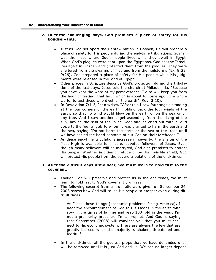#### 2. In these challenging days, God promises a place of safety for His bondservants.

- Just as God set apart the Hebrew nation in Goshen, He will prepare a place of safety for His people during the end-time tribulations. Goshen was the place where God's people lived while they dwelt in Egypt. When God's plagues were sent upon the Egyptians, God set the Israelites apart in Goshen and protected them from the plagues. They were sheltered from the swarms of flies and from the hailstorms (Ex. 8:22, 9:26). God prepared a place of safety for His people while His judgments were released in the land of Egypt.
- Other places in Scripture describe God's protection during the tribulations of the last days. Jesus told the church at Philadelphia, "Because you have kept the word of My perseverance, I also will keep you from the hour of testing, that hour which is about to come upon the whole world, to test those who dwell on the earth" (Rev. 3:10).
- In Revelation 7:1-3, John writes, "After this I saw four angels standing at the four corners of the earth, holding back the four winds of the earth, so that no wind would blow on the earth or on the sea or on any tree. And I saw another angel ascending from the rising of the sun, having the seal of the living God; and he cried out with a loud voice to the four angels to whom it was granted to harm the earth and the sea, saying, 'Do not harm the earth or the sea or the trees until we have sealed the bond-servants of our God on their foreheads.'"
- As these end-time tribulations increase in severity, the shelter of the Most High is available to sincere, devoted followers of Jesus. Even though many believers will be martyred, God also promises to protect His people. Whether in cities of refuge or by His invisible shield, God will protect His people from the severe tribulations of the end-times.

## 3. As these difficult days draw near, we must learn to hold fast to the covenant.

- Though God will preserve and protect us in the end-times, we must learn to hold fast to God's covenant promises.
- The following excerpt from a prophetic word given on September 24, 2008 shows how God will cause His people to prosper even during difficult times:

As I see these things [economic problems facing America], I hear the encouragement of God to His Isaacs in the earth who sow in the times of famine and reap 100 fold in the year. I'm not a prosperity preacher, I'm a prophet. And God is saying that September [2008] will convince you that you must connect to His economic system. There are always the few that are greatly blessed when the majority is shaken, threatened and fearful.<sup>1</sup>

In the end-times, all the godless props that we have depended upon will be removed until it is just God and us. We can no longer depend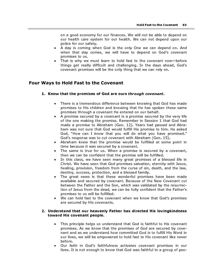on a good economy for our finances. We will not be able to depend on our health care system for our health. We can not depend upon our police for our safety.

- A day is coming when God is the only One we can depend on. And when that day comes, we will have to depend on God's covenant promises to us.
- That is why we must learn to hold fast to the covenant now—before things get really difficult and challenging. In the days ahead, God's covenant promises will be the only thing that we can rely on.

# Four Ways to Hold Fast to the Covenant

#### 1. Know that the promises of God are ours through covenant.

- There is a tremendous difference between knowing that God has made promises to His children and knowing that He has spoken these same promises through a covenant He entered on our behalf.
- 1. Know that the promises of God are ours through covenant.<br>
There is a tremendous difference between knowing that Gos promises through a covenant is energed on our behalf.<br>
A promises schough a covenant is a promise secur • A promise secured by a covenant is a promise secured by the very life of the one making the promise. Remember in Session 1 that God had made a promise to Abraham (Gen. 12). Years had passed and Abraham was not sure that God would fulfill His promise to him. He asked God, "How can I know that you will do what you have promised." God's response was to cut covenant with Abraham (Gen. 15).
	- Abraham knew that the promise would be fulfilled at some point in time because it was secured by a covenant.
	- The same is true for us. When a promise is secured by a covenant, then we can be confident that the promise will be fulfilled.
	- In this class, we have seen many great promises of a blessed life in Christ. We have seen that God promises salvation, eternity with Jesus, healing, provision, freedom from the curse of sin, death, and the law, destiny, success, protection, and a blessed family.
	- The great news is that these wonderful promises have been made available and secured by covenant. Because of the New Covenant cut between the Father and the Son, which was validated by the resurrection of Jesus from the dead, we can be fully confident that the Father's promises to us will be fulfilled.
	- We can hold fast to the covenant when we know that God's promises are secured by His covenants.

#### 2. Understand that our heavenly Father has directed His lovingkindness toward His covenant people.

- This principle helps us understand that God is faithful to His covenant promises. As we know that the promises of God are secured by covenant and as we understand how committed God is to fulfill His Word in our lives, we will be empowered to hold fast to His covenant like never before.
- Our faith in God's faithfulness activates covenant promises in our lives. It is not enough to know that God was faithful to a group of peo-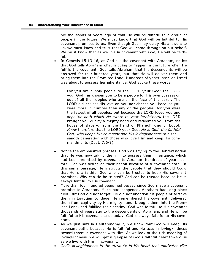ple thousands of years ago or that He will be faithful to a group of people in the future. We must know that God will be faithful to His covenant promises to us. Even though God may delay His answers to us, we must know and trust that God will come through on our behalf. We must know that as we live in covenant with God, He will be faithful.

In Genesis 15:13-16, as God cut the covenant with Abraham, notice that God tells Abraham what is going to happen in the future when He fulfills the covenant. God tells Abraham that his descendents will be enslaved for four-hundred years, but that He will deliver them and bring them into the Promised Land. Hundreds of years later, as Israel was about to possess her inheritance, God spoke these words:

For you are a holy people to the LORD your God; the LORD your God has chosen you to be a people for His own possession out of all the peoples who are on the face of the earth. The LORD did not set His love on you nor choose you because you were more in number than any of the peoples, for you were the fewest of all peoples, but because the LORD loved you and kept the oath which He swore to your forefathers, the LORD brought you out by a mighty hand and redeemed you from the house of slavery, from the hand of Pharaoh king of Egypt. Know therefore that the LORD your God, He is God, the faithful God, who keeps His covenant and His lovingkindness to a thousandth generation with those who love Him and keep His commandments (Deut. 7:6-9).

- Notice the emphasized phrases. God was saying to the Hebrew nation that He was now taking them in to possess their inheritance, which had been promised by covenant to Abraham hundreds of years before. God was acting on their behalf because of a covenant oath. In this same passage, He instructs the people that they should know that He is a faithful God who can be trusted to keep His covenant promises. Why can He be trusted? God can be trusted because He is always faithful to His covenant.
- More than four hundred years had passed since God made a covenant promise to Abraham. Much had happened. Abraham had long since died. But God did not forget, He did not abandon his people or forsake them in Egyptian bondage. He remembered His covenant, delivered them from captivity by His mighty hand, brought them into the Promised Land, and fulfilled their destiny. God was faithful to His covenant thousands of years ago to the descendents of Abraham, and He will be faithful to His covenant to us today. God is always faithful to His covenant.
- As we just saw in Deuteronomy 7, we know that God will keep His covenant oaths because He is faithful and He acts in lovingkindness toward those in covenant with Him. As we look at the rich meaning of lovingkindness, we will get a glimpse of God's faithful heart toward us as we live with Him in covenant.
- God's lovingkindness is the attribute in His heart that motivates Him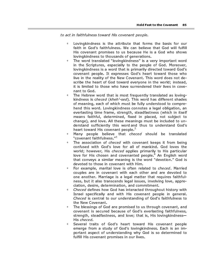to act in faithfulness toward His covenant people.

- Lovingkindness is the attribute that forms the basis for our faith in God's faithfulness. We can believe that God will fulfill His covenant promises to us because He is a God who shows lovingkindness to thousands of generations.
- The word translated "lovingkindness" is a very important word in the Scriptures, especially to the people of God. Moreover, lovingkindness is a word that is primarily directed toward God's covenant people. It expresses God's heart toward those who live in the reality of the New Covenant. This word does not describe the heart of God toward everyone in the world; instead, it is limited to those who have surrendered their lives in covenant to God.
- The Hebrew word that is most frequently translated as lovingkindness is checed (kheh'-sed). This word has different shades of meaning, each of which must be fully understood to comprehend this word. Lovingkindness connotes a legal obligation, an everlasting time frame, strength, steadfastness (which in itself means faithful, determined, fixed in placed, not subject to change), and love. All these meanings must be included to understand sufficiently this word and thus to understand God's heart toward His covenant people. $\frac{2}{3}$
- **Many people believe that checed should be translated** "covenant faithfulness."3
- The association of *checed* with covenant keeps it from being confused with God's love for all of mankind. God loves the world; however, His checed applies primarily to His particular love for His chosen and covenanted people.<sup>4</sup> An English word that conveys a similar meaning is the word "devotion." God is devoted to those in covenant with Him.
- For example, marital love is often related to *checed*. Married couples are in covenant with each other and are devoted to one another. Marriage is a legal matter that requires faithfulness, but it also transcends legal issues, involving love, appreciation, desire, determination, and commitment.
- □ Checed defines how God has interacted throughout history with Israel specifically and with His covenant people in general. Checed is central to our understanding of God's faithfulness to the New Covenant.
- The blessings of God are promised to us through covenant, and covenant is secured because of God's everlasting faithfulness, strength, steadfastness, and love; that is, His lovingkindness— His checed.
- Several traits of God's heart toward His covenant people emerge from a study of God's lovingkindness. Each is an important aspect of understanding why God is so determined to fulfill His covenant promises in our lives.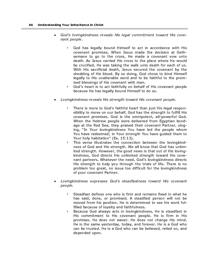- God's lovingkindness reveals His legal commitment toward His covenant people.
	- God has legally bound Himself to act in accordance with His covenant promises. When Jesus made the decision at Gethsemane to go to the cross, He made a covenant vow unto death. As Jesus carried His cross to the place where He would be crucified, He was taking the walk unto death for each of us. With His sacrificial death, Jesus secured the covenant by the shedding of His blood. By so doing, God chose to bind Himself legally to His unalterable word and to be faithful to the promised blessings of His covenant with man.
	- God's heart is to act faithfully on behalf of His covenant people because He has legally bound Himself to do so.
- Lovingkindness reveals His strength toward His covenant people.
	- There is more to God's faithful heart than just His legal responsibility to move on our behalf. God has the strength to fulfill His covenant promises. God is the omnipotent, all-powerful God. When the Hebrew people were delivered from Egyptian bondage at the Red Sea, they praised their covenant Partner, singing, "In Your lovingkindness You have led the people whom You have redeemed; in Your strength You have guided them to Your holy habitation" (Ex. 15:13).
	- This verse illustrates the connection between the lovingkindness of God and His strength. We all know that God has unlimited strength. However, the good news is that out of His lovingkindness, God directs His unlimited strength toward His covenant partners. Whatever the need, God's lovingkindness directs His strength to help you through the trials of life. There is no problem too great, no issue too difficult for the lovingkindness of your covenant Partner.
- Lovingkindness expresses God's steadfastness toward His covenant people.
	- Steadfast defines one who is firm and remains fixed in what he has said, done, or promised. A steadfast person will not be moved from his position. He is determined to see his word fulfilled because of loyalty and faithfulness.
	- **Because God always acts in lovingkindness, He is steadfast in** His commitment to His covenant people. He is firm in His promises. He does not waver. He does not change His mind. He is the same yesterday, today, and forever. He is a God who can be trusted. He is a God who can be believed, relied on, and depended upon.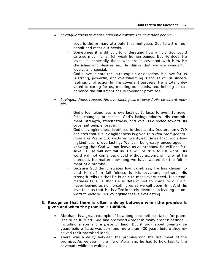- Lovingkindness reveals God's love toward His covenant people.
	- Love is the primary attribute that motivates God to act on our behalf and meet our needs.
	- Sometimes it is difficult to understand how a holy God could care so much for sinful, weak human beings. But He does. He loves us, especially those who are in covenant with Him. He cherishes and desires us. He thinks that we are wonderful, lovely, and special.
	- God's love is hard for us to explain or describe. His love for us is strong, powerful, and overwhelming. Because of His sincere feelings of affection for His covenant partners, He is totally devoted to caring for us, meeting our needs, and helping us experience the fulfillment of His covenant promises.
- Lovingkindness reveals His everlasting care toward His covenant people.
	- God's lovingkindness is everlasting. It lasts forever. It never fails, changes, or ceases. God's lovingkindness—His commitment, strength, steadfastness, and love—is directed toward His covenant people forever.
	- God's lovingkindness is offered to thousands. Deuteronomy 7:9 declares that His lovingkindness is given to a thousand generations and Psalm 136 declares twenty-six times that God's lovingkindness is everlasting. We can be greatly encouraged in knowing that God will not leave us as orphans. He will not forsake us. He will not fail us. He will be true to His word. His word will not come back void without accomplishing what He intended. No matter how long we have waited for the fulfillment of a promise.
	- **Because God demonstrates lovingkindness, He has chosen to** bind Himself in faithfulness to His covenant partners. His strength tells us that He is able to meet every need. His steadfastness tells us that He is determined to come to our aid, never leaving us nor forsaking us as we call upon Him. And His love tells us that He is affectionately devoted to leading us onward to victory. His lovingkindness is everlasting!

#### 3. Recognize that there is often a delay between when the promise is given and when the promise is fulfilled.

- Abraham is a great example of how long it sometimes takes for promises to be fulfilled. God had promised Abraham many great blessings including a son and a piece of land. But it took about twenty-five years before Isaac was born and more than 400 years before they received their promised land.
- There was a delay between the promise and the fulfillment of the promise. As we see in the life of Abraham, he had to hold fast to the covenant while he waited.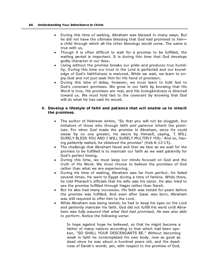- During this time of waiting, Abraham was blessed in many ways. But he did not have the ultimate blessing that God had promised to him a child through which all the other blessings would come. The same is true with us.
- Though it is often difficult to wait for a promise to be fulfilled, the waiting period is important. It is during this time that God develops godly character in our lives.
- Living without the promise breaks our pride and produces true humility. During this time our trust in the Lord is perfected and our knowledge of God's faithfulness is matured. While we wait, we learn to enjoy God and not just seek Him for His hand of provision.
- During this time of delay, however, we must learn to hold fast to God's covenant promises. We grow in our faith by knowing that His Word is true, His promises are real, and His lovingkindness is directed toward us. We must hold fast to the covenant by knowing that God will do what He has said He would.

### 4. Develop a lifestyle of faith and patience that will enable us to inherit the promises.

- The author of Hebrews writes, "So that you will not be sluggish, but imitators of those who through faith and patience inherit the promises. For when God made the promise to Abraham, since He could swear by no one greater, He swore by Himself, saying, 'I WILL SURELY BLESS YOU AND I WILL SURELY MULTIPLY YOU.' And so, having patiently waited, he obtained the promise" (Heb 6:12-15).
- The challenge that Abraham faced and that we face as we wait for the promise to be fulfilled is to maintain our faith as we wait patiently for God's perfect timing.
- During this time, we must keep our minds focused on God and the truth of His Word. We must choose to believe the promises of God rather than what we are experiencing.
- During his time of waiting, Abraham was far from perfect. He failed several times. He went to Egypt during a time of famine. While there, he told Pharaoh's officials that his wife was his sister. He also tried to see the promise fulfilled through Hagar rather than Sarah.
- But he also had many successes. His faith was tested for years before the promise was fulfilled. And even after Isaac was born, Abraham was still required to offer him to the Lord.
- While Abraham was being tested, he had to keep his eyes on the Lord and patiently maintain his faith. God did not fulfill His word until Abraham was fully assured that what God had promised, He was also able to perform. Notice the following verse:

In hope against hope he believed, so that he might become a father of many nations according to that which had been spoken, "SO SHALL YOUR DESCENDANTS BE." Without becoming weak in faith he contemplated his own body, now as good as dead since he was about a hundred years old, and the deadness of Sarah's womb; yet, with respect to the promise of God,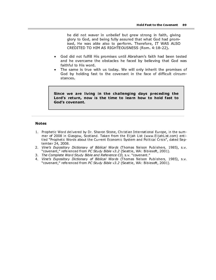he did not waver in unbelief but grew strong in faith, giving glory to God, and being fully assured that what God had promised, He was able also to perform. Therefore, IT WAS ALSO CREDITED TO HIM AS RIGHTEOUSNESS (Rom. 4:18-22). Hold Fast to the Covenant 89<br>
he did not waver in unbelief but grew strong in faith, giving<br>
glory to God, and being fully assured that what God had prom-<br>
ised, He was able also to perform. Therefore, IT WAS ALSO<br>
CREDITE

- God did not fulfill His promises until Abraham's faith had been tested and he overcame the obstacles he faced by believing that God was faithful to His word.
- The same is true with us today. We will only inherit the promises of God by holding fast to the covenant in the face of difficult circumstances.

Lord's return, now is the time to learn how to hold fast to God's covenant.

#### Notes

l

- 1. Prophetic Word delivered by Dr. Sharon Stone, Christian International Europe, in the summer of 2008 in Glasgow, Scotland. Taken from the Elijah List (www.ElijahList.com) entitled "Prophetic Words about the Current Economic System and Political Crisis", dated September 24, 2008.
- 2. Vine's Expository Dictionary of Biblical Words (Thomas Nelson Publishers, 1985), s.v. "covenant," referenced from PC Study Bible v3.2 (Seattle, WA: Biblesoft, 2001).
- 3. The Complete Word Study Bible and Reference CD, s.v. "covenant."
- 4. Vine's Expository Dictionary of Biblical Words (Thomas Nelson Publishers, 1985), s.v. "covenant," referenced from PC Study Bible v3.2 (Seattle, WA: Biblesoft, 2001).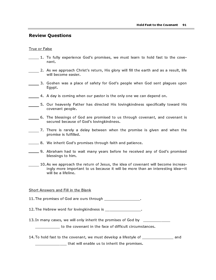# Review Questions

## True or False

- 1. To fully experience God's promises, we must learn to hold fast to the covenant.
- 2. As we approach Christ's return, His glory will fill the earth and as a result, life will become easier.
- 3. Goshen was a place of safety for God's people when God sent plagues upon Egypt.
- 4. A day is coming when our pastor is the only one we can depend on.
- 5. Our heavenly Father has directed His lovingkindness specifically toward His covenant people.
- 6. The blessings of God are promised to us through covenant, and covenant is secured because of God's lovingkindness.
- 7. There is rarely a delay between when the promise is given and when the promise is fulfilled.
- 8. We inherit God's promises through faith and patience.
- 9. Abraham had to wait many years before he received any of God's promised blessings to him.
- 10. As we approach the return of Jesus, the idea of covenant will become increasingly more important to us because it will be more than an interesting idea—it will be a lifeline.

## Short Answers and Fill in the Blank

11. The promises of God are ours through the promises of  $\sim$ 

12. The Hebrew word for loving kindness is \_\_\_\_\_\_\_\_\_\_\_\_\_\_\_\_\_.

13. In many cases, we will only inherit the promises of God by \_\_\_\_\_\_\_\_\_\_\_\_\_\_\_\_\_

**\_\_\_\_\_\_\_\_\_** to the covenant in the face of difficult circumstances.

14. To hold fast to the covenant, we must develop a lifestyle of \_\_\_\_\_\_\_\_\_\_\_\_\_\_\_ and \_\_\_\_\_\_\_\_\_\_\_\_\_\_ that will enable us to inherit the promises.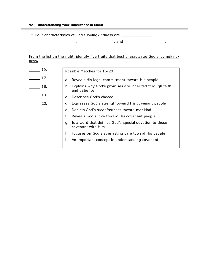#### 92 Understanding Your Inheritance in Christ

15. Four characteristics of God's lovingkindness are \_\_\_\_\_\_\_\_\_\_\_\_\_\_\_\_,

\_\_\_\_\_\_\_\_\_\_\_\_\_\_\_\_\_\_, \_\_\_\_\_\_\_\_\_\_\_\_\_\_\_\_, and \_\_\_\_\_\_\_\_\_\_\_\_\_\_\_\_\_\_.

\_\_\_

From the list on the right, identify five traits that best characterize God's lovingkindness.

| 16. | Possible Matches for 16-20                                                        |  |
|-----|-----------------------------------------------------------------------------------|--|
| 17. | a. Reveals His legal commitment toward His people                                 |  |
| 18. | b. Explains why God's promises are inherited through faith<br>and patience        |  |
| 19. | c. Describes God's checed                                                         |  |
| 20. | d. Expresses God's strengthtoward His covenant people                             |  |
|     | Depicts God's steadfastness toward mankind<br>e.                                  |  |
|     | f.<br>Reveals God's love toward His covenant people                               |  |
|     | g. Is a word that defines God's special devotion to those in<br>covenant with Him |  |
|     | h. Focuses on God's everlasting care toward His people                            |  |
|     | An important concept in understanding covenant                                    |  |
|     |                                                                                   |  |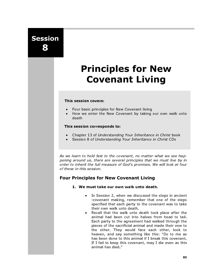Session 8

# Principles for New Covenant Living

## This session covers:

- Four basic principles for New Covenant living
- How we enter the New Covenant by taking our own walk unto death

## This session corresponds to:

- Chapter 13 of Understanding Your Inheritance in Christ book
- Session 8 of Understanding Your Inheritance in Christ CDs

As we learn to hold fast to the covenant, no matter what we see happening around us, there are several principles that we must live by in order to inherit the full measure of God's promises. We will look at four of these in this session.

# Four Principles for New Covenant Living

### 1. We must take our own walk unto death.

- In Session 2, when we discussed the steps in ancient -covenant making, remember that one of the steps specified that each party to the covenant was to take their own walk unto death.
- Recall that the walk unto death took place after the animal had been cut into halves from head to tail. Each party to the agreement had walked through the pieces of the sacrificial animal and made their vow to the other. They would face each other, look to heaven, and say something like this: "Do to me as has been done to this animal if I break this covenant. If I fail to keep this covenant, may I die even as this animal has died."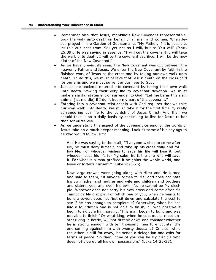- Remember also that Jesus, mankind's New Covenant representative, took the walk unto death on behalf of all men and women. When Jesus prayed in the Garden of Gethsemane, "My Father, if it is possible, let this cup pass from Me; yet not as I will, but as You will" (Matt. 26:39), He was saying in essence, "I will cut the covenant. I will take the walk unto death. I will be the covenant sacrifice. I will be the mediator of the New Covenant."
- As we have previously seen, the New Covenant was cut between the heavenly Father and Jesus. We enter the New Covenant by faith in the finished work of Jesus at the cross and by taking our own walk unto death. To do this, we must believe that Jesus' death on the cross paid for our sins and we must surrender our lives to God.
- Just as the ancients entered into covenant by taking their own walk unto death—vowing their very life to covenant devotion—we must make a similar statement of surrender to God: "Let me be as this slain animal [let me die] if I don't keep my part of the covenant."
- Entering into a covenant relationship with God requires that we take our own walk unto death. We must take it for the first time by really surrendering our life to the Lordship of Jesus Christ. And then we should take it on a daily basis by continuing to live for Jesus rather than for ourselves.
- As we understand this aspect of the covenant ceremony, the words of Jesus take on a much deeper meaning. Look at some of His sayings to all who would follow Him:

And He was saying to them all, "If anyone wishes to come after Me, he must deny himself, and take up his cross daily and follow Me. For whoever wishes to save his life will lose it, but whoever loses his life for My sake, he is the one who will save it. For what is a man profited if he gains the whole world, and loses or forfeits himself?" (Luke 9:23-25).

Now large crowds were going along with Him; and He turned and said to them, "If anyone comes to Me, and does not hate his own father and mother and wife and children and brothers and sisters, yes, and even his own life, he cannot be My disciple. Whoever does not carry his own cross and come after Me cannot be My disciple. For which one of you, when he wants to build a tower, does not first sit down and calculate the cost to see if he has enough to complete it? Otherwise, when he has laid a foundation and is not able to finish, all who observe it begin to ridicule him, saying, 'This man began to build and was not able to finish.' Or what king, when he sets out to meet another king in battle, will not first sit down and consider whether he is strong enough with ten thousand men to encounter the one coming against him with twenty thousand? Or else, while the other is still far away, he sends a delegation and asks for terms of peace. So then, none of you can be My disciple who does not give up all his own possessions" (Luke 14:25-33).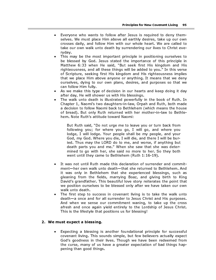- Everyone who wants to follow after Jesus is required to deny themselves. We must place Him above all earthly desires, take up our own crosses daily, and follow Him with our whole heart. We are called to take our own walk unto death by surrendering our lives to Christ everyday.
- This may be the most important principle in positioning ourselves to be blessed by God. Jesus stated the importance of this principle in Matthew 6:33 when He said, "But seek first His kingdom and His righteousness, and all these things will be added to you." In this verse of Scripture, seeking first His kingdom and His righteousness implies that we place Him above anyone or anything. It means that we deny ourselves, dying to our own plans, desires, and purposes so that we can follow Him fully.
- As we make this type of decision in our hearts and keep doing it day after day, He will shower us with His blessings.
- The walk unto death is illustrated powerfully in the book of Ruth. In Chapter 1, Naomi's two daughters-in-law, Orpah and Ruth, both made a decision to follow Naomi back to Bethlehem (which means the house of bread). But only Ruth returned with her mother-in-law to Bethlehem. Note Ruth's attitude toward Naomi:

But Ruth said, "Do not urge me to leave you or turn back from following you; for where you go, I will go, and where you lodge, I will lodge. Your people shall be my people, and your God, my God. Where you die, I will die, and there I will be buried. Thus may the LORD do to me, and worse, if anything but death parts you and me." When she saw that she was determined to go with her, she said no more to her. So they both went until they came to Bethlehem (Ruth 1:16-19).

- It was not until Ruth made this declaration of surrender and commitment—her own walk unto death—that she returned to Bethlehem. And it was only in Bethlehem that she experienced blessings, such as gleaning from the fields, marrying Boaz, and giving birth to King David's grandfather. This beautiful love story reiterates the point that we position ourselves to be blessed only after we have taken our own walk unto death.
- The first step to success in covenant living is to take the walk unto death—a once and for all surrender to Jesus Christ and His purposes. And when we sense our commitment waning, to take up the cross afresh and once again yield entirely to the Lordship of Jesus Christ. This is the lifestyle that positions us for blessing!

#### 2. We must expect a blessing.

• Expecting a blessing is another foundational principle for successful covenant living. This sounds simple, but few believers actually expect God's goodness in their lives. Though we have been redeemed from the curse, many of us have a greater expectation of bad things happening than good things.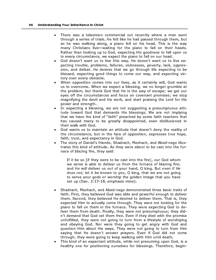#### 96 Understanding Your Inheritance in Christ

- There was a television commercial out recently where a man went through a series of trials. He felt like he had passed through them, but as he was walking along, a piano fell on his head. This is the way many Christians live—waiting for the piano to fall on their heads. Rather than looking up to God, expecting His goodness to fall upon us in every circumstance, we expect the piano to fall on our head.
- God doesn't want us to live this way. He doesn't want us to live expecting trouble, problems, failures, sicknesses, poverty, lack, oppression, and defeat. He desires that we go through life expecting to be blessed, expecting good things to come our way, and expecting victory over every obstacle.
- When opposition comes into our lives, as it certainly will, God wants us to overcome. When we expect a blessing, we no longer grumble at the problem, but thank God that He is the way of escape; we get our eyes off the circumstances and focus on covenant promises; we stop magnifying the devil and his work, and start praising the Lord for His power and strength.
- In expecting a blessing, we are not suggesting a presumptuous attitude toward God that demands His blessings. We are not implying that we have the kind of "faith" preached by some faith teachers that has caused many to be greatly disappointed, even disillusioned in their walk with God.
- God wants us to maintain an attitude that doesn't deny the reality of the circumstance, but in the face of opposition, expresses true hope, faith, trust, and expectancy in God.
- The story of Daniel's friends, Shadrach, Meshach, and Abed-nego illustrates this kind of attitude. As they were about to be cast into the furnace of blazing fire, they said:

If it be so [if they were to be cast into the fire], our God whom we serve is *able* to deliver us from the furnace of blazing fire; and He will deliver us out of your hand, O king. But even if He does not, let it be known to you, O king, that we are not going to serve your gods or worship the golden image that you have set up (Dan. 3:17-18, emphasis mine).

- Shadrach, Meshach, and Abed-nego demonstrated three basic traits of faith. First, they believed God was able and powerful enough to deliver them. Second, they believed He desired to deliver them. That is, they expected Him to actually come through. They were not looking for the piano to fall on them in the furnace. They were expecting God to deliver them from death. Finally, they were not presumptuous; they didn't demand that God set them free. Even if they died with the promise unfulfilled, they were not going to turn from a lifestyle of worshiping and obeying God. Nor were they going to get angry with God and question Him about His ways. They were not going to turn from Him saying that He doesn't answer prayers. Even if God did not come through, they were going to keep walking with Him until death.
- This kind of an expectant attitude, while not presuming upon God, is a healthy one for positioning ourselves for blessings. Therefore, begin-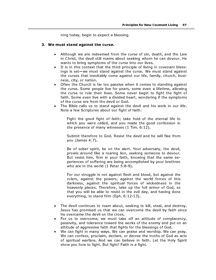ning today, begin to expect a blessing.

## 3. We must stand against the curse.

- Although we are redeemed from the curse of sin, death, and the Law in Christ, the devil still roams about seeking whom he can devour. He wants to bring symptoms of the curse into our lives.
- It is in this context that the third principle of living in covenant blessings is set—we must stand against the curse. We must stand against the curses that inevitably come against our life, family, church, business, city, or nation.
- Often the Church is far too passive when it comes to standing against the curse. Some people live for years, some even a lifetime, allowing the curse to rule their lives. Some never begin to fight the fight of faith. Some even live with a divided heart, wondering if the symptoms of the curse are from the devil or God.
- The Bible calls us to stand against the devil and his work in our life. Note a few Scriptures about our fight of faith:

Fight the good fight of faith; take hold of the eternal life to which you were called, and you made the good confession in the presence of many witnesses (1 Tim. 6:12).

Submit therefore to God. Resist the devil and he will flee from you (James 4:7).

Be of sober spirit, be on the alert. Your adversary, the devil, prowls around like a roaring lion, seeking someone to devour. But resist him, firm in your faith, knowing that the same experiences of suffering are being accomplished by your brethren who are in the world (1 Peter 5:8-9).

For our struggle is not against flesh and blood, but against the rulers, against the powers, against the world forces of this darkness, against the spiritual forces of wickedness in the heavenly places. Therefore, take up the full armor of God, so that you will be able to resist in the evil day, and having done everything, to stand firm (Eph. 6:12-13).

- The devil continues to roam about, seeking to kill, steal, and destroy. Jesus has promised us that we can overcome the devil by faith since He overcame the devil on the cross.
- For us to overcome, we must take off an attitude of complacency, passivity, and tolerance toward the works of the enemy and put on an attitude of aggressive faith that fights for the blessings of God.
- We can fight in many ways. We can praise and worship. We can pray. We can confess, proclaim, declare, or decree the truths of God as acts of spiritual warfare. And we can believe in faith. Let the Holy Spirit show you how to fight. But fight! Faith is a fight.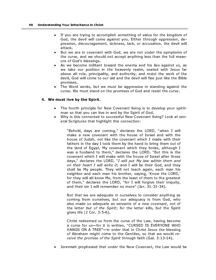- If you are trying to accomplish something of value for the kingdom of God, the devil will come against you. Either through oppression, depression, discouragement, sickness, lack, or accusation, the devil will attack.
- But we are in covenant with God, we are not under the symptoms of the curse, and we should not accept anything less than the full measure of God's blessings.
- As we become militant toward the enemy and his lies against us, as we take our position in the heavenly realm, seated with Jesus far above all rule, principality, and authority, and resist the work of the devil, God will come to our aid and the devil will flee just like the Bible promises.
- The Word works, but we must be aggressive in standing against the curse. We must stand on the promises of God and resist the curse.

#### 4. We must live by the Spirit.

- The fourth principle for New Covenant living is to develop your spiritman so that you can live in and by the Spirit of God.
- Why is this connected to successful New Covenant living? Look at several Scriptures that highlight this connection:

"Behold, days are coming," declares the LORD, "when I will make a new covenant with the house of Israel and with the house of Judah, not like the covenant which I made with their fathers in the day I took them by the hand to bring them out of the land of Egypt, My covenant which they broke, although I was a husband to them," declares the LORD. "But this is the covenant which I will make with the house of Israel after those days," declares the LORD, "I will put My law within them and on their heart I will write it; and I will be their God, and they shall be My people. They will not teach again, each man his neighbor and each man his brother, saying, 'Know the LORD,' for they will all know Me, from the least of them to the greatest of them," declares the LORD, "for I will forgive their iniquity, and their sin I will remember no more" (Jer. 31:31-34).

Not that we are adequate in ourselves to consider anything as coming from ourselves, but our adequacy is from God, who also made us adequate as servants of a new covenant, not of the letter but of the Spirit; for the letter kills, but the Spirit gives life (2 Cor. 3:5-6).

Christ redeemed us from the curse of the Law, having become a curse for us—for it is written, "CURSED IS EVERYONE WHO HANGS ON A TREE"—in order that in Christ Jesus the blessing of Abraham might come to the Gentiles, so that we would receive the promise of the Spirit through faith (Gal. 3:13-14).

• Jeremiah prophesied that under the New Covenant, the Law would be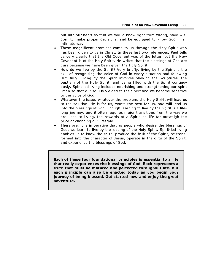put into our heart so that we would know right from wrong, have wisdom to make proper decisions, and be equipped to know God in an intimate way.

- These magnificent promises come to us through the Holy Spirit who has been given to us in Christ. In these last two references, Paul tells us very clearly that the Old Covenant was of the letter, but the New Covenant is of the Holy Spirit. He writes that the blessings of God are ours because we have been given the Holy Spirit.
- How do we live by the Spirit? Very briefly, living by the Spirit is the skill of recognizing the voice of God in every situation and following Him fully. Living by the Spirit involves obeying the Scriptures, the baptism of the Holy Spirit, and being filled with the Spirit continuously. Spirit-led living includes nourishing and strengthening our spirit -man so that our soul is yielded to the Spirit and we become sensitive to the voice of God. **Principles for New Covenant Living 99**<br>
put into our heart so that we would know right from wrong, have wis-<br>
dim to make proper decisions, and be equipped to know God in an<br>
intimate way.<br>
These magnificent promises come
- Whatever the issue, whatever the problem, the Holy Spirit will lead us to the solution. He is for us, wants the best for us, and will lead us into the blessings of God. Though learning to live by the Spirit is a lifelong journey, and it often requires major transitions from the way we are used to living, the rewards of a Spirit-led life far outweigh the price of changing our lifestyle.
- Therefore, it is imperative that as people who desire the blessings of God, we learn to live by the leading of the Holy Spirit. Spirit-led living enables us to know the truth, produce the fruit of the Spirit, be transformed into the character of Jesus, operate in the gifts of the Spirit, and experience the blessings of God.

that really experiences the blessings of God. Each represents a truth that must be matured and perfected throughout life. But each principle can also be enacted today as you begin your journey of being blessed. Get started now and enjoy the great adventure.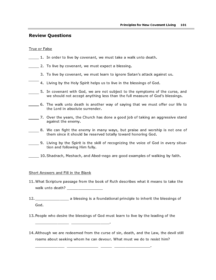# Review Questions

#### True or False

- 1. In order to live by covenant, we must take a walk unto death.
- **2. To live by covenant, we must expect a blessing.** 
	- 3. To live by covenant, we must learn to ignore Satan's attack against us.
	- $^-$  4. Living by the Holy Spirit helps us to live in the blessings of God.
- 5. In covenant with God, we are not subject to the symptoms of the curse, and we should not accept anything less than the full measure of God's blessings.
- 6. The walk unto death is another way of saying that we must offer our life to the Lord in absolute surrender.
- 7. Over the years, the Church has done a good job of taking an aggressive stand against the enemy.
- 8. We can fight the enemy in many ways, but praise and worship is not one of them since it should be reserved totally toward honoring God.
- 9. Living by the Spirit is the skill of recognizing the voice of God in every situation and following Him fully.
- 10. Shadrach, Meshach, and Abed-nego are good examples of walking by faith.

#### Short Answers and Fill in the Blank

- 11. What Scripture passage from the book of Ruth describes what it means to take the walk unto death? \_\_\_\_\_\_\_\_\_\_\_\_\_\_\_\_\_\_\_\_
- 12. **12. a** blessing is a foundational principle to inherit the blessings of God.
- 13. People who desire the blessings of God must learn to live by the leading of the

\_\_\_\_\_\_\_\_\_\_\_\_\_\_\_ \_\_\_\_\_\_\_\_\_\_\_\_\_\_\_\_\_.

14. Although we are redeemed from the curse of sin, death, and the Law, the devil still roams about seeking whom he can devour. What must we do to resist him?

\_\_\_\_\_\_\_\_\_\_\_\_\_ \_\_\_\_\_\_\_\_\_\_\_\_\_\_ \_\_\_\_\_ \_\_\_\_\_\_\_\_\_\_\_\_\_\_\_\_.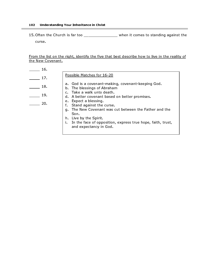#### 102 Understanding Your Inheritance in Christ

15. Often the Church is far too \_\_\_\_\_\_\_\_\_\_\_\_\_\_\_ when it comes to standing against the curse.

From the list on the right, identify the five that best describe how to live in the reality of the New Covenant.

| 16. |                                                                                                                                                                                                                                                 |
|-----|-------------------------------------------------------------------------------------------------------------------------------------------------------------------------------------------------------------------------------------------------|
| 17. | Possible Matches for 16-20                                                                                                                                                                                                                      |
| 18. | a. God is a covenant-making, covenant-keeping God.<br>b. The blessings of Abraham                                                                                                                                                               |
| 19. | c. Take a walk unto death.<br>d. A better covenant based on better promises.                                                                                                                                                                    |
| 20. | Expect a blessing.<br>е.<br>Stand against the curse.<br>f.<br>The New Covenant was cut between the Father and the<br>Son.<br>Live by the Spirit.<br>h.<br>In the face of opposition, express true hope, faith, trust,<br>and expectancy in God. |
|     |                                                                                                                                                                                                                                                 |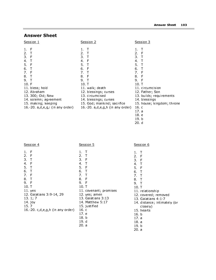# Answer Sheet

| Session 1                        | Session 2                          | Session 3                  |
|----------------------------------|------------------------------------|----------------------------|
| 1 F                              | $\top$<br>$1 -$<br>2 <sub>1</sub>  | 1<br>$\top$<br>2 F         |
| 2T<br>3 F                        | 3 <sub>1</sub>                     | 3 <sub>1</sub>             |
| $\top$<br>4 <sup>1</sup>         | 4 F                                | 4 <sub>1</sub>             |
|                                  | 5 T                                | 5. T                       |
| 5. F<br>6. T                     | 6 F                                | 6 T                        |
| $7 -$<br>F                       | 7 <sub>1</sub>                     | 7 F                        |
| 8.<br>Т                          | 8 F                                | 8 F                        |
| 9.<br>ा                          | 9. T                               | 9 F                        |
| 10. F                            | 10. T                              | 10 T                       |
| 11 bless, hold                   | 11 walk, death                     | 11 circumcision            |
| 12 Abraham                       | 12 blessings; curses               | 12. Father; Son            |
| 13 300; Old; New                 | 13 circumcised                     | 13. builds; requirements   |
| 14. solemn; agreement            | 14 blessings; curses               | 14 blessings               |
| 15. making; keeping              | 15. God; mankind; sacrifice        | 15. house; kingdom; throne |
| 16.-20. a,d,e,g,i (in any order) | 16.-20. $a,d,e,g,h$ (in any order) | 16 с                       |
|                                  |                                    | 17 a                       |
|                                  |                                    | 18 e                       |
|                                  |                                    | 19 b                       |

| 1 F<br>1. T<br>2 F<br>2. T<br>3 T<br>3. F<br>4 F<br>4. T<br>5 F<br>5. T<br>6. T<br>6. T                                                                                                                                                                                                            | Session 4 | Session 5 |
|----------------------------------------------------------------------------------------------------------------------------------------------------------------------------------------------------------------------------------------------------------------------------------------------------|-----------|-----------|
| 7 F<br>7. T<br>8. T<br>8 F<br>9. F<br>9. F<br>10 T<br>10 T<br>11 yes<br>11. covenant; promises<br>12. Galatians 3:9-14, 29<br>12. yes; amen<br>13 Galatians 3.13<br>13 1,7<br>14 Matthew 5.17<br>14 joy<br>15.7<br>15 justified<br>16 с<br>16.-20. c,d,e,g,h (in any order)<br>17e<br>18 b<br>19 d |           |           |

20. a

Session 6

1. T 2. F

20. d

- 3. F 4. T
- 5. F
	-
- 6. T
- 7. T
- 8. T
- 9. T
- 10. T
- 11. relationship
- 12. covered; removed
- 13. Galatians 4:1-7
- 14. distance; intimately (or closely)
- 15. hearts
- 16. b
- 17. a
- 18. a
- 19. b
- 20. a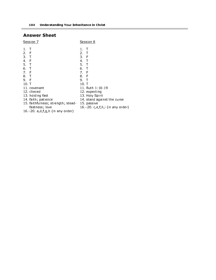# Answer Sheet

Î.

| Session 7      |                                    | <b>Session 8</b>                 |  |
|----------------|------------------------------------|----------------------------------|--|
| 1.             | $\top$                             | 1. T                             |  |
| 2 F            |                                    | 2T                               |  |
| 3 <sub>1</sub> |                                    | 3 F                              |  |
| 4 F            |                                    | 4. T                             |  |
| 5. T           |                                    | 5. T                             |  |
| 6. T           |                                    | 6. T                             |  |
| 7 F            |                                    | 7 F                              |  |
| 8. T           |                                    | 8 F                              |  |
| 9. F           |                                    | 9. T                             |  |
| 10. T          |                                    | 10 T                             |  |
|                | 11 covenant                        | 11 Ruth 1 16 19                  |  |
|                | 12 checed                          | 12. expecting                    |  |
|                | 13. holding fast                   | 13 Holy Spirit                   |  |
|                | 14 faith; patience                 | 14 stand against the curse       |  |
|                | 15. faithfulness; strength; stead- | 15 passive                       |  |
|                | fastness; love                     | 16.–20. c,e,f,h,i (in any order) |  |
|                | 16 -20 a,d,f,g,h (in any order)    |                                  |  |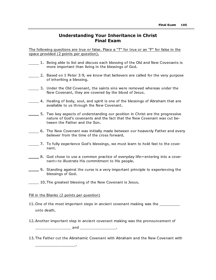# Understanding Your Inheritance in Christ Final Exam

The following questions are true or false. Place a "T" for true or an "F" for false in the space provided (2 points per question).

- 1. Being able to list and discuss each blessing of the Old and New Covenants is more important than living in the blessings of God.
- 2. Based on 1 Peter 3:9, we know that believers are called for the very purpose of inheriting a blessing.
- 3. Under the Old Covenant, the saints sins were removed whereas under the New Covenant, they are covered by the blood of Jesus.
- 4. Healing of body, soul, and spirit is one of the blessings of Abraham that are available to us through the New Covenant.
- 5. Two key aspects of understanding our position in Christ are the progressive nature of God's covenants and the fact that the New Covenant was cut between the Father and the Son.
- 6. The New Covenant was initially made between our heavenly Father and every believer from the time of the cross forward.
- 7. To fully experience God's blessings, we must learn to hold fast to the covenant.
- $\sim$  8. God chose to use a common practice of everyday life—entering into a covenant—to illustrate His commitment to His people.
- 9. Standing against the curse is a very important principle to experiencing the blessings of God.
- **10. The greatest blessing of the New Covenant is Jesus.**

#### Fill in the Blanks (2 points per question)

\_\_\_\_\_\_\_\_\_\_\_\_\_\_\_\_\_\_.

- 11. One of the most important steps in ancient covenant making was the \_\_\_\_\_\_\_\_\_ unto death.
- 12. Another important step in ancient covenant making was the pronouncement of

\_\_\_\_\_\_\_\_\_\_\_\_\_\_\_\_ and \_\_\_\_\_\_\_\_\_\_\_\_\_\_\_\_.

13. The Father cut the Abrahamic Covenant with Abraham and the New Covenant with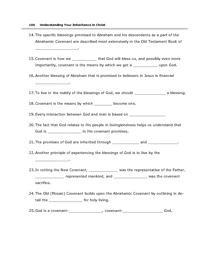#### 106 Understanding Your Inheritance in Christ

\_\_\_\_\_\_\_\_\_\_\_\_\_\_\_\_\_\_\_.

\_\_\_\_\_\_\_\_\_\_\_\_\_\_\_.

\_\_\_\_\_\_\_\_\_\_\_\_\_\_\_.

- 14. The specific blessings promised to Abraham and his descendents as a part of the Abrahamic Covenant are described most extensively in the Old Testament Book of
- 15. Covenant is how we extended that God will bless us, and possibly even more importantly, covenant is the means by which we get a \_\_\_\_\_\_\_\_\_\_\_ upon God.
- 16. Another blessing of Abraham that is promised to believers in Jesus is financial

17. To live in the reality of the blessings of God, we should \_\_\_\_\_\_\_\_\_\_\_\_\_\_\_\_\_ a blessing.

- 18. Covenant is the means by which \_\_\_\_\_\_\_\_ become one.
- 19. Every interaction between God and man is based on \_\_\_\_\_\_\_\_\_\_\_\_\_\_\_\_\_\_.
- 20. The fact that God relates to His people in lovingkindness helps us understand that God is \_\_\_\_\_\_\_\_\_\_\_\_\_\_\_ to His covenant promises.
- 21. The promises of God are inherited through \_\_\_\_\_\_\_\_\_\_\_\_ and \_\_\_\_\_\_\_\_\_\_\_\_\_.
- 22. Another principle of experiencing the blessings of God is to live by the

23. In cutting the New Covenant, \_\_\_\_\_\_\_\_\_\_\_\_\_ was the representative of the Father. \_\_\_\_\_\_\_\_\_ represented mankind, and \_\_\_\_\_\_\_\_\_\_\_\_\_\_\_\_\_\_ was the covenant sacrifice.

- 24. The Old (Mosaic) Covenant builds upon the Abrahamic Covenant by outlining in detail the \_\_\_\_\_\_\_\_\_\_\_\_\_\_\_\_\_\_ for holy living.
- 25. God is a covenant-\_\_\_\_\_\_\_\_\_\_\_\_\_\_\_, covenant-\_\_\_\_\_\_\_\_\_\_\_\_\_\_\_\_\_\_ God.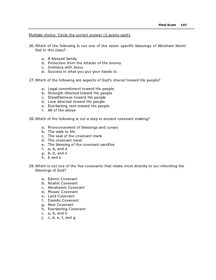#### Multiple choice: Circle the correct answer (2 points each)

- 26. Which of the following is not one of the seven specific blessings of Abraham identified in this class?
	- a. A blessed family
	- b. Protection from the attacks of the enemy
	- c. Intimacy with Jesus
	- d. Success in what you put your hands to
- 27. Which of the following are aspects of God's checed toward His people?
	- a. Legal commitment toward His people
	- b. Strength directed toward His people
	- c. Steadfastness toward His people
	- d. Love directed toward His people
	- e. Everlasting care toward His people
	- f. All of the above

28. Which of the following is not a step in ancient covenant making?

- a. Pronouncement of blessings and curses
- b. The walk to life
- c. The seal of the covenant mark
- d. The covenant meal
- e. The blessing of the covenant sacrifice
- f. a, b, and d
- g. b, d, and e
- h. b and e
- 29. Which is not one of the five covenants that relate most directly to our inheriting the blessings of God?
	- a. Edenic Covenant
	- b. Noahic Covenant
	- c. Abrahamic Covenant
	- d. Mosaic Covenant
	- e. Land Covenant
	- f. Davidic Covenant
	- g. New Covenant
	- h. Everlasting Covenant
	- i. a, b, and h
	- j. c, d, e, f, and g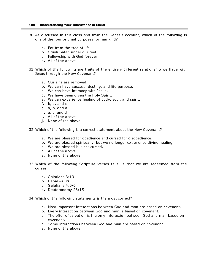- 30. As discussed in this class and from the Genesis account, which of the following is one of the four original purposes for mankind?
	- a. Eat from the tree of life
	- b. Crush Satan under our feet
	- c. Fellowship with God forever
	- d. All of the above
- 31. Which of the following are traits of the entirely different relationship we have with Jesus through the New Covenant?
	- a. Our sins are removed.
	- b. We can have success, destiny, and life purpose.
	- c. We can have intimacy with Jesus.
	- d. We have been given the Holy Spirit.
	- e. We can experience healing of body, soul, and spirit.
	- f. b, d, and e
	- g. a, b, and d
	- h. a, c, and d
	- i. All of the above
	- j. None of the above

32. Which of the following is a correct statement about the New Covenant?

- a. We are blessed for obedience and cursed for disobedience.
- b. We are blessed spiritually, but we no longer experience divine healing.
- c. We are blessed but not cursed.
- d. All of the above
- e. None of the above
- 33. Which of the following Scripture verses tells us that we are redeemed from the curse?
	- a. Galatians 3:13
	- b. Hebrews 8:6
	- c. Galatians 4:5-6
	- d. Deuteronomy 28:15
- 34. Which of the following statements is the most correct?
	- a. Most important interactions between God and man are based on covenant.
	- b. Every interaction between God and man is based on covenant.
	- c. The offer of salvation is the only interaction between God and man based on covenant.
	- d. Some interactions between God and man are based on covenant.
	- e. None of the above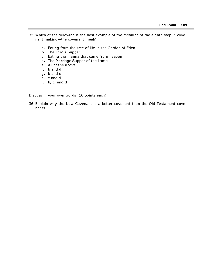- 35. Which of the following is the best example of the meaning of the eighth step in covenant making—the covenant meal?
	- a. Eating from the tree of life in the Garden of Eden
	- b. The Lord's Supper
	- c. Eating the manna that came from heaven
	- d. The Marriage Supper of the Lamb
	- e. All of the above
	- f. b and d
	- g. b and c
	- h. c and d
	- i. b, c, and d

## Discuss in your own words (10 points each)

36. Explain why the New Covenant is a better covenant than the Old Testament covenants.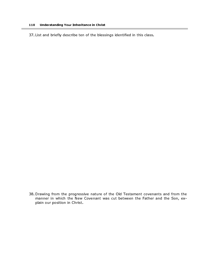37. List and briefly describe ten of the blessings identified in this class.

38. Drawing from the progressive nature of the Old Testament covenants and from the manner in which the New Covenant was cut between the Father and the Son, explain our position in Christ.